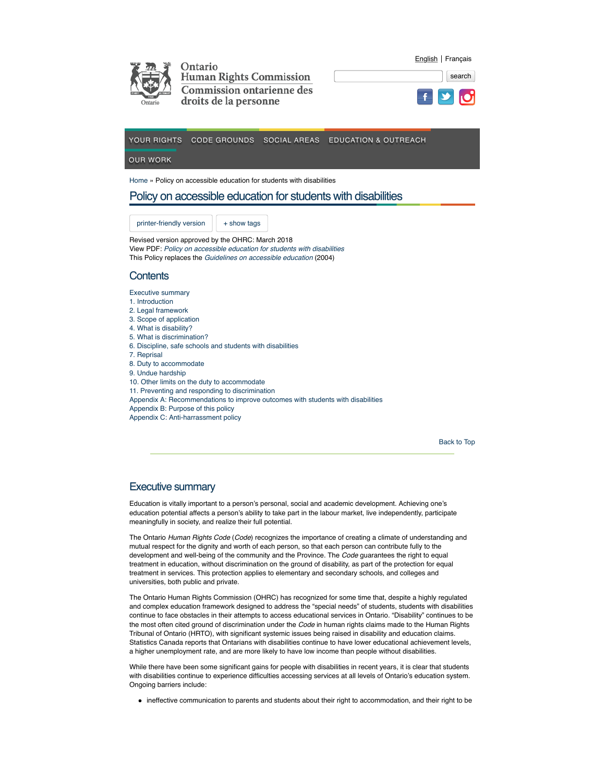

|  |  | search |
|--|--|--------|
|  |  |        |

English Français



OUR WORK

Home » Policy on accessible education for students with disabilities

# Policy on accessible education for students with disabilities

printer-friendly version  $|$  + show tags

Revised version approved by the OHRC: March 2018 View PDF: *Policy on accessible education for students with disabilities*  This Policy replaces the *Guidelines on accessible education* (2004)

## **Contents**

Executive summary

- 1. Introduction
- 2. Legal framework
- 3. Scope of application
- 4. What is disability? 5. What is discrimination?
- 6. Discipline, safe schools and students with disabilities
- 7. Reprisal
- 8. Duty to accommodate
- 9. Undue hardship
- 10. Other limits on the duty to accommodate
- 11. Preventing and responding to discrimination
- Appendix A: Recommendations to improve outcomes with students with disabilities
- Appendix B: Purpose of this policy
- Appendix C: Anti-harrassment policy

Back to Top

# Executive summary

Education is vitally important to a person's personal, social and academic development. Achieving one's education potential affects a person's ability to take part in the labour market, live independently, participate meaningfully in society, and realize their full potential.

The Ontario *Human Rights Code* (*Code*) recognizes the importance of creating a climate of understanding and mutual respect for the dignity and worth of each person, so that each person can contribute fully to the development and well-being of the community and the Province. The *Code* guarantees the right to equal treatment in education, without discrimination on the ground of disability, as part of the protection for equal treatment in services. This protection applies to elementary and secondary schools, and colleges and universities, both public and private.

The Ontario Human Rights Commission (OHRC) has recognized for some time that, despite a highly regulated and complex education framework designed to address the "special needs" of students, students with disabilities continue to face obstacles in their attempts to access educational services in Ontario. "Disability" continues to be the most often cited ground of discrimination under the *Code* in human rights claims made to the Human Rights Tribunal of Ontario (HRTO), with significant systemic issues being raised in disability and education claims. Statistics Canada reports that Ontarians with disabilities continue to have lower educational achievement levels, a higher unemployment rate, and are more likely to have low income than people without disabilities.

While there have been some significant gains for people with disabilities in recent years, it is clear that students with disabilities continue to experience difficulties accessing services at all levels of Ontario's education system. Ongoing barriers include:

ineffective communication to parents and students about their right to accommodation, and their right to be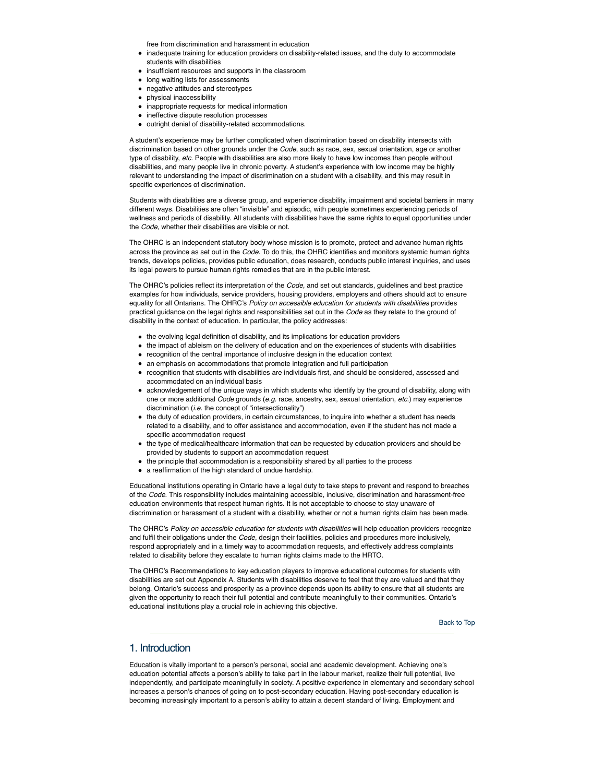free from discrimination and harassment in education

- inadequate training for education providers on disability-related issues, and the duty to accommodate students with disabilities
- insufficient resources and supports in the classroom
- long waiting lists for assessments
- negative attitudes and stereotypes
- **•** physical inaccessibility
- inappropriate requests for medical information
- ineffective dispute resolution processes
- $\bullet$  outright denial of disability-related accommodations.

A student's experience may be further complicated when discrimination based on disability intersects with discrimination based on other grounds under the *Code*, such as race, sex, sexual orientation, age or another type of disability, *etc*. People with disabilities are also more likely to have low incomes than people without disabilities, and many people live in chronic poverty. A student's experience with low income may be highly relevant to understanding the impact of discrimination on a student with a disability, and this may result in specific experiences of discrimination.

Students with disabilities are a diverse group, and experience disability, impairment and societal barriers in many different ways. Disabilities are often "invisible" and episodic, with people sometimes experiencing periods of wellness and periods of disability. All students with disabilities have the same rights to equal opportunities under the *Code*, whether their disabilities are visible or not.

The OHRC is an independent statutory body whose mission is to promote, protect and advance human rights across the province as set out in the *Code*. To do this, the OHRC identifies and monitors systemic human rights trends, develops policies, provides public education, does research, conducts public interest inquiries, and uses its legal powers to pursue human rights remedies that are in the public interest.

The OHRC's policies reflect its interpretation of the *Code,* and set out standards, guidelines and best practice examples for how individuals, service providers, housing providers, employers and others should act to ensure equality for all Ontarians. The OHRC's Policy on accessible education for students with disabilities provides practical guidance on the legal rights and responsibilities set out in the *Code* as they relate to the ground of disability in the context of education*.* In particular, the policy addresses:

- the evolving legal definition of disability, and its implications for education providers
- the impact of ableism on the delivery of education and on the experiences of students with disabilities
- recognition of the central importance of inclusive design in the education context
- an emphasis on accommodations that promote integration and full participation
- recognition that students with disabilities are individuals first, and should be considered, assessed and accommodated on an individual basis
- acknowledgement of the unique ways in which students who identify by the ground of disability, along with one or more additional *Code* grounds (*e.g.* race, ancestry, sex, sexual orientation, *etc.*) may experience discrimination (*i.e.* the concept of "intersectionality")
- the duty of education providers, in certain circumstances, to inquire into whether a student has needs related to a disability, and to offer assistance and accommodation, even if the student has not made a specific accommodation request
- the type of medical/healthcare information that can be requested by education providers and should be provided by students to support an accommodation request
- the principle that accommodation is a responsibility shared by all parties to the process
- a reaffirmation of the high standard of undue hardship.

Educational institutions operating in Ontario have a legal duty to take steps to prevent and respond to breaches of the *Code*. This responsibility includes maintaining accessible, inclusive, discrimination and harassment-free education environments that respect human rights. It is not acceptable to choose to stay unaware of discrimination or harassment of a student with a disability, whether or not a human rights claim has been made.

The OHRC's *Policy on accessible education for students with disabilities* will help education providers recognize and fulfil their obligations under the *Code*, design their facilities, policies and procedures more inclusively, respond appropriately and in a timely way to accommodation requests, and effectively address complaints related to disability before they escalate to human rights claims made to the HRTO.

The OHRC's Recommendations to key education players to improve educational outcomes for students with disabilities are set out Appendix A. Students with disabilities deserve to feel that they are valued and that they belong. Ontario's success and prosperity as a province depends upon its ability to ensure that all students are given the opportunity to reach their full potential and contribute meaningfully to their communities. Ontario's educational institutions play a crucial role in achieving this objective.

Back to Top

## 1. Introduction

Education is vitally important to a person's personal, social and academic development. Achieving one's education potential affects a person's ability to take part in the labour market, realize their full potential, live independently, and participate meaningfully in society. A positive experience in elementary and secondary school increases a person's chances of going on to post-secondary education. Having post-secondary education is becoming increasingly important to a person's ability to attain a decent standard of living. Employment and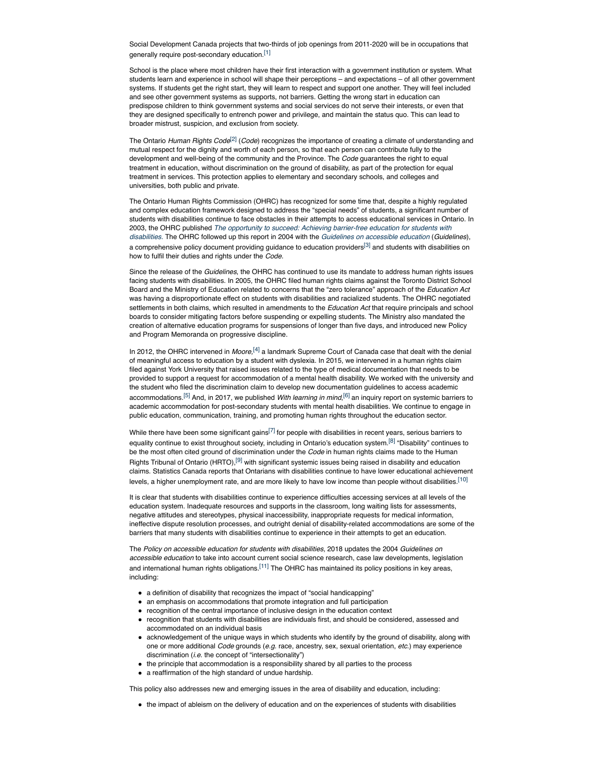Social Development Canada projects that two-thirds of job openings from 2011-2020 will be in occupations that generally require post-secondary education.[1]

School is the place where most children have their first interaction with a government institution or system. What students learn and experience in school will shape their perceptions – and expectations – of all other government systems. If students get the right start, they will learn to respect and support one another. They will feel included and see other government systems as supports, not barriers. Getting the wrong start in education can predispose children to think government systems and social services do not serve their interests, or even that they are designed specifically to entrench power and privilege, and maintain the status quo. This can lead to broader mistrust, suspicion, and exclusion from society.

The Ontario *Human Rights Code*[2] (*Code*) recognizes the importance of creating a climate of understanding and mutual respect for the dignity and worth of each person, so that each person can contribute fully to the development and well-being of the community and the Province. The *Code* guarantees the right to equal treatment in education, without discrimination on the ground of disability, as part of the protection for equal treatment in services. This protection applies to elementary and secondary schools, and colleges and universities, both public and private.

The Ontario Human Rights Commission (OHRC) has recognized for some time that, despite a highly regulated and complex education framework designed to address the "special needs" of students, a significant number of students with disabilities continue to face obstacles in their attempts to access educational services in Ontario. In 2003, the OHRC published *The opportunity to succeed: Achieving barrier-free education for students with disabilities.* The OHRC followed up this report in 2004 with the *Guidelines on accessible education* (*Guidelines*), a comprehensive policy document providing guidance to education providers<sup>[3]</sup> and students with disabilities on how to fulfil their duties and rights under the *Code.*

Since the release of the *Guidelines*, the OHRC has continued to use its mandate to address human rights issues facing students with disabilities. In 2005, the OHRC filed human rights claims against the Toronto District School Board and the Ministry of Education related to concerns that the "zero tolerance" approach of the *Education Act* was having a disproportionate effect on students with disabilities and racialized students. The OHRC negotiated settlements in both claims, which resulted in amendments to the *Education Act* that require principals and school boards to consider mitigating factors before suspending or expelling students. The Ministry also mandated the creation of alternative education programs for suspensions of longer than five days, and introduced new Policy and Program Memoranda on progressive discipline.

In 2012, the OHRC intervened in *Moore,*[4] a landmark Supreme Court of Canada case that dealt with the denial of meaningful access to education by a student with dyslexia. In 2015, we intervened in a human rights claim filed against York University that raised issues related to the type of medical documentation that needs to be provided to support a request for accommodation of a mental health disability. We worked with the university and the student who filed the discrimination claim to develop new documentation guidelines to access academic accommodations.[5] And, in 2017, we published *With learning in mind*, [6] an inquiry report on systemic barriers to academic accommodation for post-secondary students with mental health disabilities. We continue to engage in public education, communication, training, and promoting human rights throughout the education sector.

While there have been some significant gains $[7]$  for people with disabilities in recent years, serious barriers to equality continue to exist throughout society, including in Ontario's education system.[8] "Disability" continues to be the most often cited ground of discrimination under the *Code* in human rights claims made to the Human Rights Tribunal of Ontario (HRTO),<sup>[9]</sup> with significant systemic issues being raised in disability and education claims. Statistics Canada reports that Ontarians with disabilities continue to have lower educational achievement levels, a higher unemployment rate, and are more likely to have low income than people without disabilities.<sup>[10]</sup>

It is clear that students with disabilities continue to experience difficulties accessing services at all levels of the education system. Inadequate resources and supports in the classroom, long waiting lists for assessments, negative attitudes and stereotypes, physical inaccessibility, inappropriate requests for medical information, ineffective dispute resolution processes, and outright denial of disability-related accommodations are some of the barriers that many students with disabilities continue to experience in their attempts to get an education.

The *Policy on accessible education for students with disabilities,* 2018 updates the 2004 *Guidelines on accessible education* to take into account current social science research, case law developments, legislation and international human rights obligations.<sup>[11]</sup> The OHRC has maintained its policy positions in key areas, including:

- a definition of disability that recognizes the impact of "social handicapping"
- an emphasis on accommodations that promote integration and full participation
- recognition of the central importance of inclusive design in the education context
- recognition that students with disabilities are individuals first, and should be considered, assessed and accommodated on an individual basis
- acknowledgement of the unique ways in which students who identify by the ground of disability, along with one or more additional *Code* grounds (*e.g.* race, ancestry, sex, sexual orientation, *etc.*) may experience discrimination (*i.e.* the concept of "intersectionality")
- the principle that accommodation is a responsibility shared by all parties to the process
- a reaffirmation of the high standard of undue hardship.

This policy also addresses new and emerging issues in the area of disability and education, including:

the impact of ableism on the delivery of education and on the experiences of students with disabilities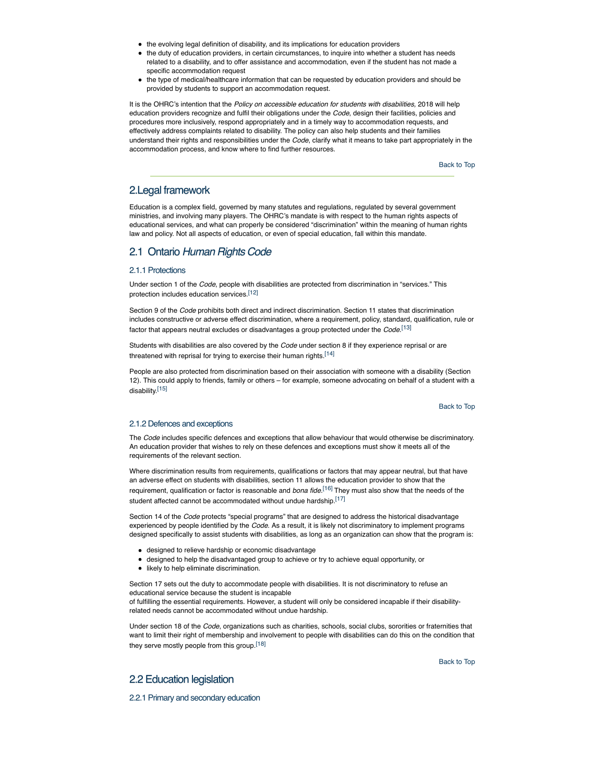- the evolving legal definition of disability, and its implications for education providers
- the duty of education providers, in certain circumstances, to inquire into whether a student has needs related to a disability, and to offer assistance and accommodation, even if the student has not made a specific accommodation request
- the type of medical/healthcare information that can be requested by education providers and should be provided by students to support an accommodation request.

It is the OHRC's intention that the *Policy on accessible education for students with disabilities*, 2018 will help education providers recognize and fulfil their obligations under the *Code*, design their facilities, policies and procedures more inclusively, respond appropriately and in a timely way to accommodation requests, and effectively address complaints related to disability. The policy can also help students and their families understand their rights and responsibilities under the *Code*, clarify what it means to take part appropriately in the accommodation process, and know where to find further resources.

Back to Top

# 2.Legal framework

Education is a complex field, governed by many statutes and regulations, regulated by several government ministries, and involving many players. The OHRC's mandate is with respect to the human rights aspects of educational services, and what can properly be considered "discrimination" within the meaning of human rights law and policy. Not all aspects of education, or even of special education, fall within this mandate.

# 2.1 Ontario *Human Rights Code*

## 2.1.1 Protections

Under section 1 of the *Code*, people with disabilities are protected from discrimination in "services." This protection includes education services.[12]

Section 9 of the *Code* prohibits both direct and indirect discrimination. Section 11 states that discrimination includes constructive or adverse effect discrimination, where a requirement, policy, standard, qualification, rule or factor that appears neutral excludes or disadvantages a group protected under the *Code*. [13]

Students with disabilities are also covered by the *Code* under section 8 if they experience reprisal or are threatened with reprisal for trying to exercise their human rights.<sup>[14]</sup>

People are also protected from discrimination based on their association with someone with a disability (Section 12). This could apply to friends, family or others – for example, someone advocating on behalf of a student with a disability.[15]

Back to Top

## 2.1.2 Defences and exceptions

The *Code* includes specific defences and exceptions that allow behaviour that would otherwise be discriminatory. An education provider that wishes to rely on these defences and exceptions must show it meets all of the requirements of the relevant section.

Where discrimination results from requirements, qualifications or factors that may appear neutral, but that have an adverse effect on students with disabilities, section 11 allows the education provider to show that the requirement, qualification or factor is reasonable and *bona fide.*[16] They must also show that the needs of the student affected cannot be accommodated without undue hardship.<sup>[17]</sup>

Section 14 of the *Code* protects "special programs" that are designed to address the historical disadvantage experienced by people identified by the *Code*. As a result, it is likely not discriminatory to implement programs designed specifically to assist students with disabilities, as long as an organization can show that the program is:

- designed to relieve hardship or economic disadvantage
- designed to help the disadvantaged group to achieve or try to achieve equal opportunity, or
- **•** likely to help eliminate discrimination.

Section 17 sets out the duty to accommodate people with disabilities. It is not discriminatory to refuse an educational service because the student is incapable

of fulfilling the essential requirements. However, a student will only be considered incapable if their disabilityrelated needs cannot be accommodated without undue hardship.

Under section 18 of the *Code*, organizations such as charities, schools, social clubs, sororities or fraternities that want to limit their right of membership and involvement to people with disabilities can do this on the condition that they serve mostly people from this group.<sup>[18]</sup>

Back to Top

# 2.2 Education legislation

2.2.1 Primary and secondary education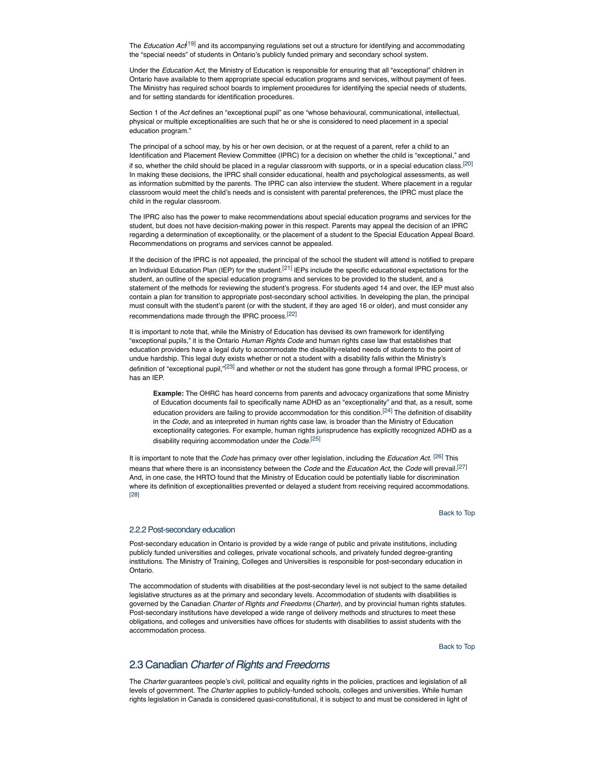The *Education Act*<sup>[19]</sup> and its accompanying regulations set out a structure for identifying and accommodating the "special needs" of students in Ontario's publicly funded primary and secondary school system.

Under the *Education Act*, the Ministry of Education is responsible for ensuring that all "exceptional" children in Ontario have available to them appropriate special education programs and services, without payment of fees. The Ministry has required school boards to implement procedures for identifying the special needs of students, and for setting standards for identification procedures.

Section 1 of the *Act* defines an "exceptional pupil" as one "whose behavioural, communicational, intellectual, physical or multiple exceptionalities are such that he or she is considered to need placement in a special education program."

The principal of a school may, by his or her own decision, or at the request of a parent, refer a child to an Identification and Placement Review Committee (IPRC) for a decision on whether the child is "exceptional," and if so, whether the child should be placed in a regular classroom with supports, or in a special education class.<sup>[20]</sup> In making these decisions, the IPRC shall consider educational, health and psychological assessments, as well as information submitted by the parents. The IPRC can also interview the student. Where placement in a regular classroom would meet the child's needs and is consistent with parental preferences, the IPRC must place the child in the regular classroom.

The IPRC also has the power to make recommendations about special education programs and services for the student, but does not have decision-making power in this respect. Parents may appeal the decision of an IPRC regarding a determination of exceptionality, or the placement of a student to the Special Education Appeal Board. Recommendations on programs and services cannot be appealed.

If the decision of the IPRC is not appealed, the principal of the school the student will attend is notified to prepare an Individual Education Plan (IEP) for the student.<sup>[21]</sup> IEPs include the specific educational expectations for the student, an outline of the special education programs and services to be provided to the student, and a statement of the methods for reviewing the student's progress. For students aged 14 and over, the IEP must also contain a plan for transition to appropriate post-secondary school activities. In developing the plan, the principal must consult with the student's parent (or with the student, if they are aged 16 or older), and must consider any recommendations made through the IPRC process.[22]

It is important to note that, while the Ministry of Education has devised its own framework for identifying "exceptional pupils," it is the Ontario *Human Rights Code* and human rights case law that establishes that education providers have a legal duty to accommodate the disability-related needs of students to the point of undue hardship. This legal duty exists whether or not a student with a disability falls within the Ministry's definition of "exceptional pupil,"<sup>[23]</sup> and whether or not the student has gone through a formal IPRC process, or has an IEP.

**Example:** The OHRC has heard concerns from parents and advocacy organizations that some Ministry of Education documents fail to specifically name ADHD as an "exceptionality" and that, as a result, some education providers are failing to provide accommodation for this condition.<sup>[24]</sup> The definition of disability in the *Code*, and as interpreted in human rights case law, is broader than the Ministry of Education exceptionality categories. For example, human rights jurisprudence has explicitly recognized ADHD as a disability requiring accommodation under the *Code.*[25]

It is important to note that the *Code* has primacy over other legislation, including the *Education Act.* [26] This means that where there is an inconsistency between the *Code* and the *Education Act*, the *Code* will prevail.[27] And, in one case, the HRTO found that the Ministry of Education could be potentially liable for discrimination where its definition of exceptionalities prevented or delayed a student from receiving required accommodations. [28]

Back to Top

#### 2.2.2 Post-secondary education

Post-secondary education in Ontario is provided by a wide range of public and private institutions, including publicly funded universities and colleges, private vocational schools, and privately funded degree-granting institutions. The Ministry of Training, Colleges and Universities is responsible for post-secondary education in Ontario.

The accommodation of students with disabilities at the post-secondary level is not subject to the same detailed legislative structures as at the primary and secondary levels. Accommodation of students with disabilities is governed by the Canadian *Charter of Rights and Freedoms* (*Charter*), and by provincial human rights statutes. Post-secondary institutions have developed a wide range of delivery methods and structures to meet these obligations, and colleges and universities have offices for students with disabilities to assist students with the accommodation process.

Back to Top

## 2.3 Canadian *Charter of Rights and Freedoms*

The *Charter* guarantees people's civil, political and equality rights in the policies, practices and legislation of all levels of government. The *Charter* applies to publicly-funded schools, colleges and universities. While human rights legislation in Canada is considered quasi-constitutional, it is subject to and must be considered in light of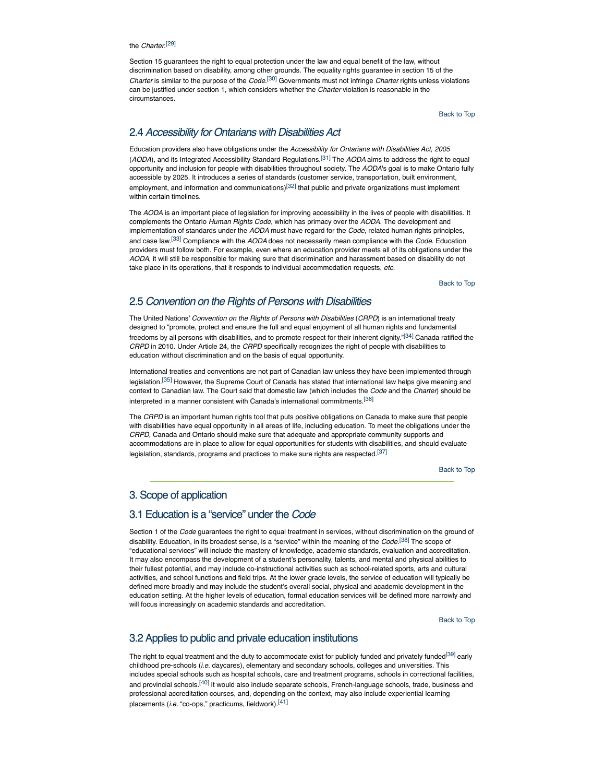### the *Charter*. [29]

Section 15 guarantees the right to equal protection under the law and equal benefit of the law, without discrimination based on disability, among other grounds. The equality rights guarantee in section 15 of the *Charter* is similar to the purpose of the *Code*. [30] Governments must not infringe *Charter* rights unless violations can be justified under section 1, which considers whether the *Charter* violation is reasonable in the circumstances.

Back to Top

# 2.4 *Accessibility for Ontarians with Disabilities Act*

Education providers also have obligations under the *Accessibility for Ontarians with Disabilities Act, 2005* (*AODA*), and its Integrated Accessibility Standard Regulations.[31] The *AODA* aims to address the right to equal opportunity and inclusion for people with disabilities throughout society. The *AODA*'s goal is to make Ontario fully accessible by 2025. It introduces a series of standards (customer service, transportation, built environment, employment, and information and communications)<sup>[32]</sup> that public and private organizations must implement within certain timelines.

The *AODA* is an important piece of legislation for improving accessibility in the lives of people with disabilities. It complements the Ontario *Human Rights Code*, which has primacy over the *AODA*. The development and implementation of standards under the *AODA* must have regard for the *Code*, related human rights principles, and case law.[33] Compliance with the *AODA* does not necessarily mean compliance with the *Code*. Education providers must follow both. For example, even where an education provider meets all of its obligations under the *AODA*, it will still be responsible for making sure that discrimination and harassment based on disability do not take place in its operations, that it responds to individual accommodation requests, *etc.*

Back to Top

# 2.5 *Convention on the Rights of Persons with Disabilities*

The United Nations' *Convention on the Rights of Persons with Disabilities* (*CRPD*) is an international treaty designed to "promote, protect and ensure the full and equal enjoyment of all human rights and fundamental freedoms by all persons with disabilities, and to promote respect for their inherent dignity."<sup>[34]</sup> Canada ratified the *CRPD* in 2010. Under Article 24, the *CRPD* specifically recognizes the right of people with disabilities to education without discrimination and on the basis of equal opportunity.

International treaties and conventions are not part of Canadian law unless they have been implemented through legislation.<sup>[35]</sup> However, the Supreme Court of Canada has stated that international law helps give meaning and context to Canadian law. The Court said that domestic law (which includes the *Code* and the *Charter*) should be interpreted in a manner consistent with Canada's international commitments.[36]

The *CRPD* is an important human rights tool that puts positive obligations on Canada to make sure that people with disabilities have equal opportunity in all areas of life, including education. To meet the obligations under the *CRPD,* Canada and Ontario should make sure that adequate and appropriate community supports and accommodations are in place to allow for equal opportunities for students with disabilities, and should evaluate legislation, standards, programs and practices to make sure rights are respected.<sup>[37]</sup>

Back to Top

## 3. Scope of application

# 3.1 Education is a "service" under the *Code*

Section 1 of the *Code* guarantees the right to equal treatment in services, without discrimination on the ground of disability. Education, in its broadest sense, is a "service" within the meaning of the *Code*. [38] The scope of "educational services" will include the mastery of knowledge, academic standards, evaluation and accreditation. It may also encompass the development of a student's personality, talents, and mental and physical abilities to their fullest potential, and may include co-instructional activities such as school-related sports, arts and cultural activities, and school functions and field trips. At the lower grade levels, the service of education will typically be defined more broadly and may include the student's overall social, physical and academic development in the education setting. At the higher levels of education, formal education services will be defined more narrowly and will focus increasingly on academic standards and accreditation.

Back to Top

## 3.2 Applies to public and private education institutions

The right to equal treatment and the duty to accommodate exist for publicly funded and privately funded<sup>[39]</sup> early childhood pre-schools (*i.e.* daycares), elementary and secondary schools, colleges and universities. This includes special schools such as hospital schools, care and treatment programs, schools in correctional facilities, and provincial schools.<sup>[40]</sup> It would also include separate schools, French-language schools, trade, business and professional accreditation courses, and, depending on the context, may also include experiential learning placements (*i.e.* "co-ops," practicums, fieldwork).[41]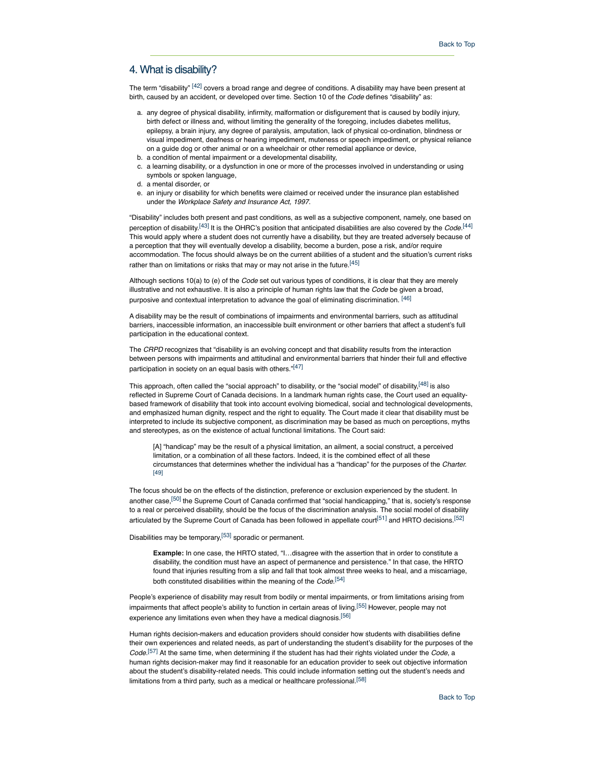## 4. What is disability?

The term "disability" [42] covers a broad range and degree of conditions. A disability may have been present at birth, caused by an accident, or developed over time. Section 10 of the *Code* defines "disability" as:

- a. any degree of physical disability, infirmity, malformation or disfigurement that is caused by bodily injury, birth defect or illness and, without limiting the generality of the foregoing, includes diabetes mellitus, epilepsy, a brain injury, any degree of paralysis, amputation, lack of physical co-ordination, blindness or visual impediment, deafness or hearing impediment, muteness or speech impediment, or physical reliance on a guide dog or other animal or on a wheelchair or other remedial appliance or device,
- b. a condition of mental impairment or a developmental disability,
- c. a learning disability, or a dysfunction in one or more of the processes involved in understanding or using symbols or spoken language,
- d. a mental disorder, or
- e. an injury or disability for which benefits were claimed or received under the insurance plan established under the *Workplace Safety and Insurance Act, 1997*.

"Disability" includes both present and past conditions, as well as a subjective component, namely, one based on perception of disability.[43] It is the OHRC's position that anticipated disabilities are also covered by the *Code.*[44] This would apply where a student does not currently have a disability, but they are treated adversely because of a perception that they will eventually develop a disability, become a burden, pose a risk, and/or require accommodation. The focus should always be on the current abilities of a student and the situation's current risks rather than on limitations or risks that may or may not arise in the future.<sup>[45]</sup>

Although sections 10(a) to (e) of the *Code* set out various types of conditions, it is clear that they are merely illustrative and not exhaustive. It is also a principle of human rights law that the *Code* be given a broad, purposive and contextual interpretation to advance the goal of eliminating discrimination. [46]

A disability may be the result of combinations of impairments and environmental barriers, such as attitudinal barriers, inaccessible information, an inaccessible built environment or other barriers that affect a student's full participation in the educational context.

The *CRPD* recognizes that "disability is an evolving concept and that disability results from the interaction between persons with impairments and attitudinal and environmental barriers that hinder their full and effective participation in society on an equal basis with others."[47]

This approach, often called the "social approach" to disability, or the "social model" of disability,<sup>[48]</sup> is also reflected in Supreme Court of Canada decisions. In a landmark human rights case, the Court used an equalitybased framework of disability that took into account evolving biomedical, social and technological developments, and emphasized human dignity, respect and the right to equality. The Court made it clear that disability must be interpreted to include its subjective component, as discrimination may be based as much on perceptions, myths and stereotypes, as on the existence of actual functional limitations. The Court said:

[A] "handicap" may be the result of a physical limitation, an ailment, a social construct, a perceived limitation, or a combination of all these factors. Indeed, it is the combined effect of all these circumstances that determines whether the individual has a "handicap" for the purposes of the *Charter.* [49]

The focus should be on the effects of the distinction, preference or exclusion experienced by the student. In another case,[50] the Supreme Court of Canada confirmed that "social handicapping," that is*,* society's response to a real or perceived disability, should be the focus of the discrimination analysis. The social model of disability articulated by the Supreme Court of Canada has been followed in appellate court<sup>[51]</sup> and HRTO decisions.<sup>[52]</sup>

Disabilities may be temporary,[53] sporadic or permanent.

**Example:** In one case, the HRTO stated, "I…disagree with the assertion that in order to constitute a disability, the condition must have an aspect of permanence and persistence." In that case, the HRTO found that injuries resulting from a slip and fall that took almost three weeks to heal, and a miscarriage, both constituted disabilities within the meaning of the *Code.*[54]

People's experience of disability may result from bodily or mental impairments, or from limitations arising from impairments that affect people's ability to function in certain areas of living.<sup>[55]</sup> However, people may not experience any limitations even when they have a medical diagnosis.<sup>[56]</sup>

Human rights decision-makers and education providers should consider how students with disabilities define their own experiences and related needs, as part of understanding the student's disability for the purposes of the *Code*. [57] At the same time, when determining if the student has had their rights violated under the *Code*, a human rights decision-maker may find it reasonable for an education provider to seek out objective information about the student's disability-related needs. This could include information setting out the student's needs and limitations from a third party, such as a medical or healthcare professional.<sup>[58]</sup>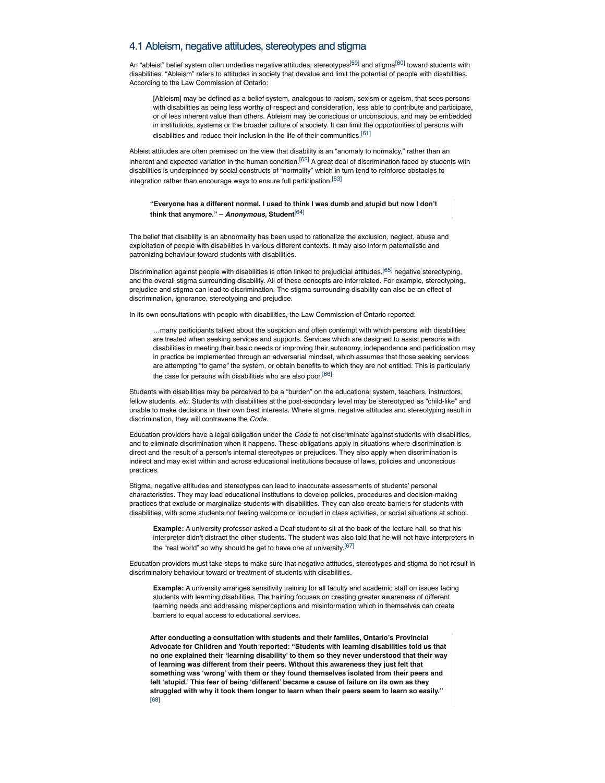## 4.1 Ableism, negative attitudes, stereotypes and stigma

An "ableist" belief system often underlies negative attitudes, stereotypes<sup>[59]</sup> and stigma<sup>[60]</sup> toward students with disabilities. "Ableism" refers to attitudes in society that devalue and limit the potential of people with disabilities. According to the Law Commission of Ontario:

[Ableism] may be defined as a belief system, analogous to racism, sexism or ageism, that sees persons with disabilities as being less worthy of respect and consideration, less able to contribute and participate, or of less inherent value than others. Ableism may be conscious or unconscious, and may be embedded in institutions, systems or the broader culture of a society. It can limit the opportunities of persons with disabilities and reduce their inclusion in the life of their communities.<sup>[61]</sup>

Ableist attitudes are often premised on the view that disability is an "anomaly to normalcy," rather than an inherent and expected variation in the human condition.<sup>[62]</sup> A great deal of discrimination faced by students with disabilities is underpinned by social constructs of "normality" which in turn tend to reinforce obstacles to integration rather than encourage ways to ensure full participation.[63]

### **"Everyone has a different normal. I used to think I was dumb and stupid but now I don't think that anymore." –** *Anonymous***, Student**[64]

The belief that disability is an abnormality has been used to rationalize the exclusion, neglect, abuse and exploitation of people with disabilities in various different contexts. It may also inform paternalistic and patronizing behaviour toward students with disabilities.

Discrimination against people with disabilities is often linked to prejudicial attitudes,<sup>[65]</sup> negative stereotyping, and the overall stigma surrounding disability. All of these concepts are interrelated. For example, stereotyping, prejudice and stigma can lead to discrimination. The stigma surrounding disability can also be an effect of discrimination, ignorance, stereotyping and prejudice.

In its own consultations with people with disabilities, the Law Commission of Ontario reported:

…many participants talked about the suspicion and often contempt with which persons with disabilities are treated when seeking services and supports. Services which are designed to assist persons with disabilities in meeting their basic needs or improving their autonomy, independence and participation may in practice be implemented through an adversarial mindset, which assumes that those seeking services are attempting "to game" the system, or obtain benefits to which they are not entitled. This is particularly the case for persons with disabilities who are also poor.<sup>[66]</sup>

Students with disabilities may be perceived to be a "burden" on the educational system, teachers, instructors, fellow students, *etc.* Students with disabilities at the post-secondary level may be stereotyped as "child-like" and unable to make decisions in their own best interests. Where stigma, negative attitudes and stereotyping result in discrimination, they will contravene the *Code.*

Education providers have a legal obligation under the *Code* to not discriminate against students with disabilities, and to eliminate discrimination when it happens. These obligations apply in situations where discrimination is direct and the result of a person's internal stereotypes or prejudices. They also apply when discrimination is indirect and may exist within and across educational institutions because of laws, policies and unconscious practices.

Stigma, negative attitudes and stereotypes can lead to inaccurate assessments of students' personal characteristics. They may lead educational institutions to develop policies, procedures and decision-making practices that exclude or marginalize students with disabilities. They can also create barriers for students with disabilities, with some students not feeling welcome or included in class activities, or social situations at school.

**Example:** A university professor asked a Deaf student to sit at the back of the lecture hall, so that his interpreter didn't distract the other students. The student was also told that he will not have interpreters in the "real world" so why should he get to have one at university.  $[67]$ 

Education providers must take steps to make sure that negative attitudes, stereotypes and stigma do not result in discriminatory behaviour toward or treatment of students with disabilities.

**Example:** A university arranges sensitivity training for all faculty and academic staff on issues facing students with learning disabilities. The training focuses on creating greater awareness of different learning needs and addressing misperceptions and misinformation which in themselves can create barriers to equal access to educational services.

**After conducting a consultation with students and their families, Ontario's Provincial Advocate for Children and Youth reported: "Students with learning disabilities told us that no one explained their 'learning disability' to them so they never understood that their way of learning was different from their peers. Without this awareness they just felt that something was 'wrong' with them or they found themselves isolated from their peers and felt 'stupid.' This fear of being 'different' became a cause of failure on its own as they struggled with why it took them longer to learn when their peers seem to learn so easily."** [68]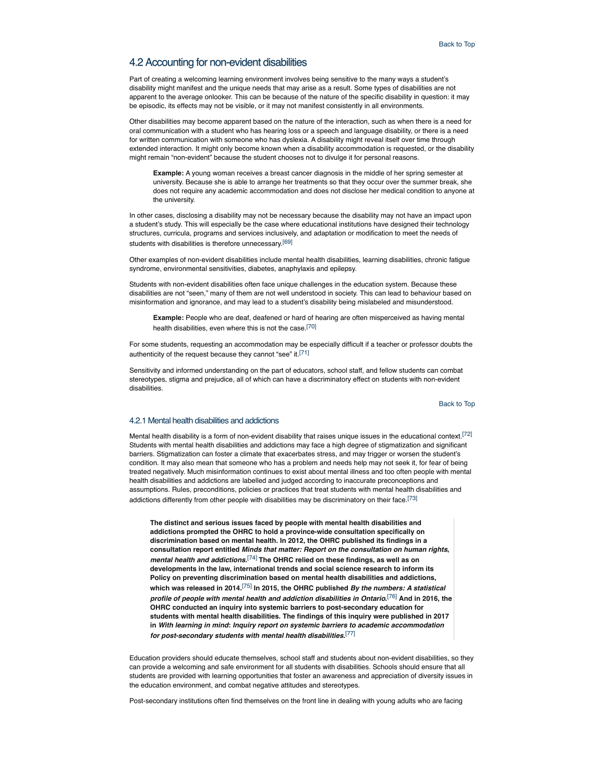## 4.2 Accounting for non-evident disabilities

Part of creating a welcoming learning environment involves being sensitive to the many ways a student's disability might manifest and the unique needs that may arise as a result. Some types of disabilities are not apparent to the average onlooker. This can be because of the nature of the specific disability in question: it may be episodic, its effects may not be visible, or it may not manifest consistently in all environments.

Other disabilities may become apparent based on the nature of the interaction, such as when there is a need for oral communication with a student who has hearing loss or a speech and language disability, or there is a need for written communication with someone who has dyslexia. A disability might reveal itself over time through extended interaction. It might only become known when a disability accommodation is requested, or the disability might remain "non-evident" because the student chooses not to divulge it for personal reasons.

**Example:** A young woman receives a breast cancer diagnosis in the middle of her spring semester at university. Because she is able to arrange her treatments so that they occur over the summer break, she does not require any academic accommodation and does not disclose her medical condition to anyone at the university.

In other cases, disclosing a disability may not be necessary because the disability may not have an impact upon a student's study. This will especially be the case where educational institutions have designed their technology structures, curricula, programs and services inclusively, and adaptation or modification to meet the needs of students with disabilities is therefore unnecessary.[69]

Other examples of non-evident disabilities include mental health disabilities, learning disabilities, chronic fatigue syndrome, environmental sensitivities, diabetes, anaphylaxis and epilepsy.

Students with non-evident disabilities often face unique challenges in the education system. Because these disabilities are not "seen," many of them are not well understood in society. This can lead to behaviour based on misinformation and ignorance, and may lead to a student's disability being mislabeled and misunderstood.

**Example:** People who are deaf, deafened or hard of hearing are often misperceived as having mental health disabilities, even where this is not the case.<sup>[70]</sup>

For some students, requesting an accommodation may be especially difficult if a teacher or professor doubts the authenticity of the request because they cannot "see" it.<sup>[71]</sup>

Sensitivity and informed understanding on the part of educators, school staff, and fellow students can combat stereotypes, stigma and prejudice, all of which can have a discriminatory effect on students with non-evident disabilities.

Back to Top

### 4.2.1 Mental health disabilities and addictions

Mental health disability is a form of non-evident disability that raises unique issues in the educational context.<sup>[72]</sup> Students with mental health disabilities and addictions may face a high degree of stigmatization and significant barriers. Stigmatization can foster a climate that exacerbates stress, and may trigger or worsen the student's condition. It may also mean that someone who has a problem and needs help may not seek it, for fear of being treated negatively. Much misinformation continues to exist about mental illness and too often people with mental health disabilities and addictions are labelled and judged according to inaccurate preconceptions and assumptions. Rules, preconditions, policies or practices that treat students with mental health disabilities and addictions differently from other people with disabilities may be discriminatory on their face.<sup>[73]</sup>

**The distinct and serious issues faced by people with mental health disabilities and addictions prompted the OHRC to hold a province-wide consultation specifically on discrimination based on mental health. In 2012, the OHRC published its findings in a consultation report entitled** *Minds that matter: Report on the consultation on human rights***,** *mental health and addictions***.** [74] **The OHRC relied on these findings, as well as on developments in the law, international trends and social science research to inform its Policy on preventing discrimination based on mental health disabilities and addictions, which was released in 2014.**[75] **In 2015, the OHRC published** *By the numbers: A statistical profile of people with mental health and addiction disabilities in Ontario***.** [76] **And in 2016, the OHRC conducted an inquiry into systemic barriers to post-secondary education for students with mental health disabilities. The findings of this inquiry were published in 2017 in** *With learning in mind***:** *Inquiry report on systemic barriers to academic accommodation for post-secondary students with mental health disabilities***.** [77]

Education providers should educate themselves, school staff and students about non-evident disabilities, so they can provide a welcoming and safe environment for all students with disabilities. Schools should ensure that all students are provided with learning opportunities that foster an awareness and appreciation of diversity issues in the education environment, and combat negative attitudes and stereotypes.

Post-secondary institutions often find themselves on the front line in dealing with young adults who are facing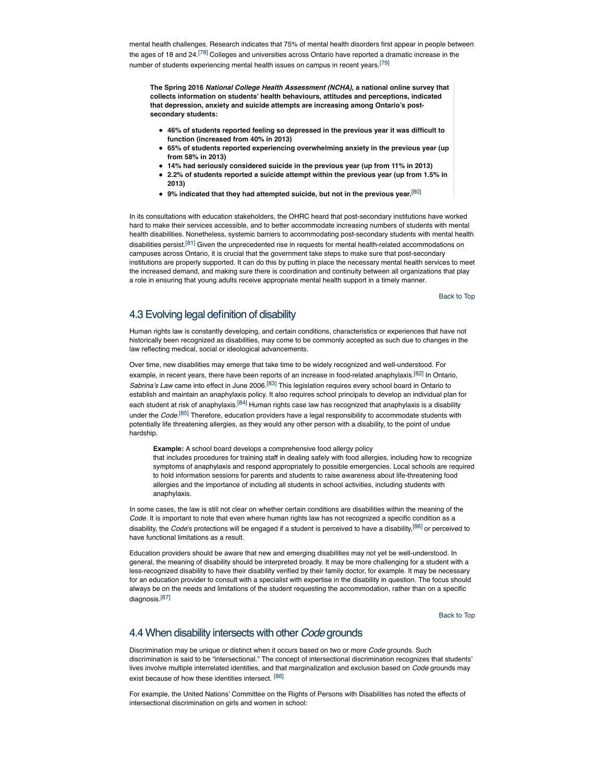mental health challenges. Research indicates that 75% of mental health disorders first appear in people between the ages of 18 and 24.<sup>[78]</sup> Colleges and universities across Ontario have reported a dramatic increase in the number of students experiencing mental health issues on campus in recent years.<sup>[79]</sup>

**The Spring 2016** *National College Health Assessment (NCHA)***, a national online survey that collects information on students' health behaviours, attitudes and perceptions, indicated that depression, anxiety and suicide attempts are increasing among Ontario's postsecondary students:**

- **46% of students reported feeling so depressed in the previous year it was difficult to function (increased from 40% in 2013)**
- **65% of students reported experiencing overwhelming anxiety in the previous year (up from 58% in 2013)**
- **14% had seriously considered suicide in the previous year (up from 11% in 2013)**
- **2.2% of students reported a suicide attempt within the previous year (up from 1.5% in 2013)**
- **9% indicated that they had attempted suicide, but not in the previous year.**[80]

In its consultations with education stakeholders, the OHRC heard that post-secondary institutions have worked hard to make their services accessible, and to better accommodate increasing numbers of students with mental health disabilities. Nonetheless, systemic barriers to accommodating post-secondary students with mental health disabilities persist.<sup>[81]</sup> Given the unprecedented rise in requests for mental health-related accommodations on campuses across Ontario, it is crucial that the government take steps to make sure that post-secondary institutions are properly supported. It can do this by putting in place the necessary mental health services to meet the increased demand, and making sure there is coordination and continuity between all organizations that play a role in ensuring that young adults receive appropriate mental health support in a timely manner.

Back to Top

# 4.3 Evolving legal definition of disability

Human rights law is constantly developing, and certain conditions, characteristics or experiences that have not historically been recognized as disabilities, may come to be commonly accepted as such due to changes in the law reflecting medical, social or ideological advancements.

Over time, new disabilities may emerge that take time to be widely recognized and well-understood. For example, in recent years, there have been reports of an increase in food-related anaphylaxis.<sup>[82]</sup> In Ontario, *Sabrina's Law* came into effect in June 2006.[83] This legislation requires every school board in Ontario to establish and maintain an anaphylaxis policy. It also requires school principals to develop an individual plan for each student at risk of anaphylaxis.<sup>[84]</sup> Human rights case law has recognized that anaphylaxis is a disability under the *Code*. [85] Therefore, education providers have a legal responsibility to accommodate students with potentially life threatening allergies, as they would any other person with a disability, to the point of undue hardship.

**Example:** A school board develops a comprehensive food allergy policy that includes procedures for training staff in dealing safely with food allergies, including how to recognize symptoms of anaphylaxis and respond appropriately to possible emergencies. Local schools are required to hold information sessions for parents and students to raise awareness about life-threatening food allergies and the importance of including all students in school activities, including students with anaphylaxis.

In some cases, the law is still not clear on whether certain conditions are disabilities within the meaning of the *Code.* It is important to note that even where human rights law has not recognized a specific condition as a disability, the *Code*'s protections will be engaged if a student is perceived to have a disability,[86] or perceived to have functional limitations as a result.

Education providers should be aware that new and emerging disabilities may not yet be well-understood. In general, the meaning of disability should be interpreted broadly. It may be more challenging for a student with a less-recognized disability to have their disability verified by their family doctor, for example. It may be necessary for an education provider to consult with a specialist with expertise in the disability in question. The focus should always be on the needs and limitations of the student requesting the accommodation, rather than on a specific diagnosis.[87]

Back to Top

## 4.4 When disability intersects with other *Code* grounds

Discrimination may be unique or distinct when it occurs based on two or more *Code* grounds. Such discrimination is said to be "intersectional." The concept of intersectional discrimination recognizes that students' lives involve multiple interrelated identities, and that marginalization and exclusion based on *Code* grounds may exist because of how these identities intersect. [88]

For example, the United Nations' Committee on the Rights of Persons with Disabilities has noted the effects of intersectional discrimination on girls and women in school: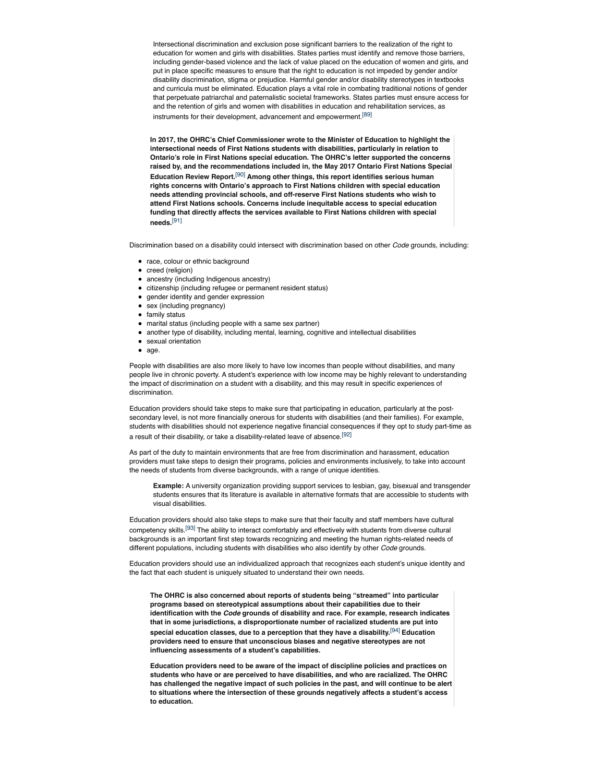Intersectional discrimination and exclusion pose significant barriers to the realization of the right to education for women and girls with disabilities. States parties must identify and remove those barriers, including gender-based violence and the lack of value placed on the education of women and girls, and put in place specific measures to ensure that the right to education is not impeded by gender and/or disability discrimination, stigma or prejudice. Harmful gender and/or disability stereotypes in textbooks and curricula must be eliminated. Education plays a vital role in combating traditional notions of gender that perpetuate patriarchal and paternalistic societal frameworks. States parties must ensure access for and the retention of girls and women with disabilities in education and rehabilitation services, as instruments for their development, advancement and empowerment.<sup>[89]</sup>

**In 2017, the OHRC's Chief Commissioner wrote to the Minister of Education to highlight the intersectional needs of First Nations students with disabilities, particularly in relation to Ontario's role in First Nations special education. The OHRC's letter supported the concerns raised by, and the recommendations included in, the May 2017 Ontario First Nations Special Education Review Report.**[90] **Among other things, this report identifies serious human rights concerns with Ontario's approach to First Nations children with special education needs attending provincial schools, and off-reserve First Nations students who wish to attend First Nations schools. Concerns include inequitable access to special education funding that directly affects the services available to First Nations children with special needs.**[91]

Discrimination based on a disability could intersect with discrimination based on other *Code* grounds, including:

- race, colour or ethnic background
- creed (religion)
- ancestry (including Indigenous ancestry)
- citizenship (including refugee or permanent resident status)
- gender identity and gender expression
- **sex (including pregnancy)**
- family status
- marital status (including people with a same sex partner)
- another type of disability, including mental, learning, cognitive and intellectual disabilities
- sexual orientation
- age.

People with disabilities are also more likely to have low incomes than people without disabilities, and many people live in chronic poverty. A student's experience with low income may be highly relevant to understanding the impact of discrimination on a student with a disability, and this may result in specific experiences of discrimination.

Education providers should take steps to make sure that participating in education, particularly at the postsecondary level, is not more financially onerous for students with disabilities (and their families). For example, students with disabilities should not experience negative financial consequences if they opt to study part-time as a result of their disability, or take a disability-related leave of absence.[92]

As part of the duty to maintain environments that are free from discrimination and harassment, education providers must take steps to design their programs, policies and environments inclusively, to take into account the needs of students from diverse backgrounds, with a range of unique identities.

**Example:** A university organization providing support services to lesbian, gay, bisexual and transgender students ensures that its literature is available in alternative formats that are accessible to students with visual disabilities.

Education providers should also take steps to make sure that their faculty and staff members have cultural competency skills.[93] The ability to interact comfortably and effectively with students from diverse cultural backgrounds is an important first step towards recognizing and meeting the human rights-related needs of different populations, including students with disabilities who also identify by other *Code* grounds.

Education providers should use an individualized approach that recognizes each student's unique identity and the fact that each student is uniquely situated to understand their own needs.

**The OHRC is also concerned about reports of students being "streamed" into particular programs based on stereotypical assumptions about their capabilities due to their identification with the** *Code* **grounds of disability and race. For example, research indicates that in some jurisdictions, a disproportionate number of racialized students are put into special education classes, due to a perception that they have a disability.**[94] **Education providers need to ensure that unconscious biases and negative stereotypes are not influencing assessments of a student's capabilities.**

**Education providers need to be aware of the impact of discipline policies and practices on students who have or are perceived to have disabilities, and who are racialized. The OHRC has challenged the negative impact of such policies in the past, and will continue to be alert to situations where the intersection of these grounds negatively affects a student's access to education.**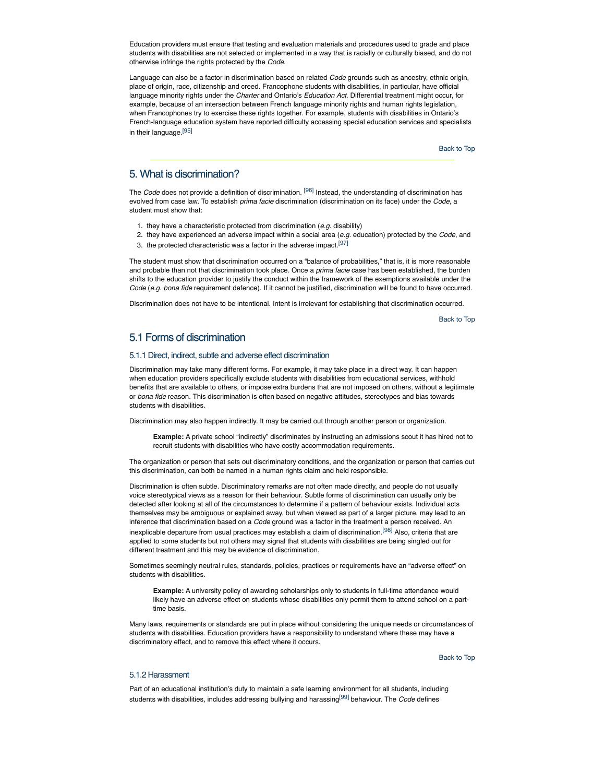Education providers must ensure that testing and evaluation materials and procedures used to grade and place students with disabilities are not selected or implemented in a way that is racially or culturally biased, and do not otherwise infringe the rights protected by the *Code*.

Language can also be a factor in discrimination based on related *Code* grounds such as ancestry, ethnic origin, place of origin, race, citizenship and creed. Francophone students with disabilities, in particular, have official language minority rights under the *Charter* and Ontario's *Education Act*. Differential treatment might occur, for example, because of an intersection between French language minority rights and human rights legislation, when Francophones try to exercise these rights together. For example, students with disabilities in Ontario's French-language education system have reported difficulty accessing special education services and specialists in their language.<sup>[95]</sup>

Back to Top

# 5. What is discrimination?

The *Code* does not provide a definition of discrimination. [96] Instead, the understanding of discrimination has evolved from case law. To establish *prima facie* discrimination (discrimination on its face) under the *Code*, a student must show that:

- 1. they have a characteristic protected from discrimination (*e.g.* disability)
- 2. they have experienced an adverse impact within a social area (*e.g.* education) protected by the *Code*, and
- 3. the protected characteristic was a factor in the adverse impact.[97]

The student must show that discrimination occurred on a "balance of probabilities," that is, it is more reasonable and probable than not that discrimination took place. Once a *prima facie* case has been established, the burden shifts to the education provider to justify the conduct within the framework of the exemptions available under the *Code* (*e.g. bona fide* requirement defence). If it cannot be justified, discrimination will be found to have occurred.

Discrimination does not have to be intentional. Intent is irrelevant for establishing that discrimination occurred.

Back to Top

# 5.1 Forms of discrimination

### 5.1.1 Direct, indirect, subtle and adverse effect discrimination

Discrimination may take many different forms. For example, it may take place in a direct way. It can happen when education providers specifically exclude students with disabilities from educational services, withhold benefits that are available to others, or impose extra burdens that are not imposed on others, without a legitimate or *bona fide* reason. This discrimination is often based on negative attitudes, stereotypes and bias towards students with disabilities.

Discrimination may also happen indirectly. It may be carried out through another person or organization.

**Example:** A private school "indirectly" discriminates by instructing an admissions scout it has hired not to recruit students with disabilities who have costly accommodation requirements.

The organization or person that sets out discriminatory conditions, and the organization or person that carries out this discrimination, can both be named in a human rights claim and held responsible.

Discrimination is often subtle. Discriminatory remarks are not often made directly, and people do not usually voice stereotypical views as a reason for their behaviour. Subtle forms of discrimination can usually only be detected after looking at all of the circumstances to determine if a pattern of behaviour exists. Individual acts themselves may be ambiguous or explained away, but when viewed as part of a larger picture, may lead to an inference that discrimination based on a *Code* ground was a factor in the treatment a person received. An inexplicable departure from usual practices may establish a claim of discrimination.<sup>[98]</sup> Also, criteria that are applied to some students but not others may signal that students with disabilities are being singled out for different treatment and this may be evidence of discrimination.

Sometimes seemingly neutral rules, standards, policies, practices or requirements have an "adverse effect" on students with disabilities.

**Example:** A university policy of awarding scholarships only to students in full-time attendance would likely have an adverse effect on students whose disabilities only permit them to attend school on a parttime basis.

Many laws, requirements or standards are put in place without considering the unique needs or circumstances of students with disabilities. Education providers have a responsibility to understand where these may have a discriminatory effect, and to remove this effect where it occurs.

Back to Top

## 5.1.2 Harassment

Part of an educational institution's duty to maintain a safe learning environment for all students, including students with disabilities, includes addressing bullying and harassing[99] behaviour. The *Code* defines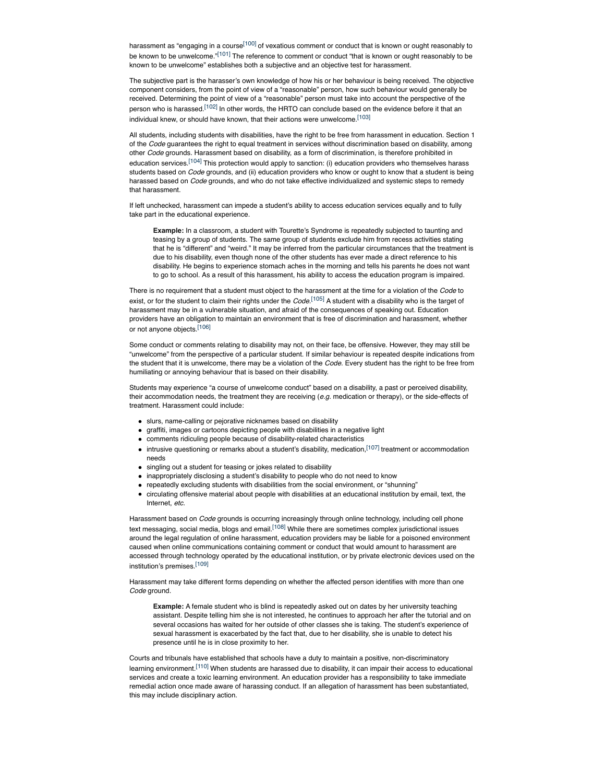harassment as "engaging in a course<sup>[100]</sup> of vexatious comment or conduct that is known or ought reasonably to be known to be unwelcome."<sup>[101]</sup> The reference to comment or conduct "that is known or ought reasonably to be known to be unwelcome" establishes both a subjective and an objective test for harassment.

The subjective part is the harasser's own knowledge of how his or her behaviour is being received. The objective component considers, from the point of view of a "reasonable" person, how such behaviour would generally be received. Determining the point of view of a "reasonable" person must take into account the perspective of the person who is harassed.<sup>[102]</sup> In other words, the HRTO can conclude based on the evidence before it that an individual knew, or should have known, that their actions were unwelcome.[103]

All students, including students with disabilities, have the right to be free from harassment in education. Section 1 of the *Code* guarantees the right to equal treatment in services without discrimination based on disability, among other *Code* grounds. Harassment based on disability, as a form of discrimination, is therefore prohibited in education services.<sup>[104]</sup> This protection would apply to sanction: (i) education providers who themselves harass students based on *Code* grounds, and (ii) education providers who know or ought to know that a student is being harassed based on *Code* grounds, and who do not take effective individualized and systemic steps to remedy that harassment.

If left unchecked, harassment can impede a student's ability to access education services equally and to fully take part in the educational experience.

**Example:** In a classroom, a student with Tourette's Syndrome is repeatedly subjected to taunting and teasing by a group of students. The same group of students exclude him from recess activities stating that he is "different" and "weird." It may be inferred from the particular circumstances that the treatment is due to his disability, even though none of the other students has ever made a direct reference to his disability. He begins to experience stomach aches in the morning and tells his parents he does not want to go to school. As a result of this harassment, his ability to access the education program is impaired.

There is no requirement that a student must object to the harassment at the time for a violation of the *Code* to exist, or for the student to claim their rights under the *Code*. [105] A student with a disability who is the target of harassment may be in a vulnerable situation, and afraid of the consequences of speaking out. Education providers have an obligation to maintain an environment that is free of discrimination and harassment, whether or not anyone objects.[106]

Some conduct or comments relating to disability may not, on their face, be offensive. However, they may still be "unwelcome" from the perspective of a particular student. If similar behaviour is repeated despite indications from the student that it is unwelcome, there may be a violation of the *Code*. Every student has the right to be free from humiliating or annoying behaviour that is based on their disability.

Students may experience "a course of unwelcome conduct" based on a disability, a past or perceived disability, their accommodation needs, the treatment they are receiving (*e.g.* medication or therapy), or the side-effects of treatment. Harassment could include:

- slurs, name-calling or pejorative nicknames based on disability
- graffiti, images or cartoons depicting people with disabilities in a negative light
- comments ridiculing people because of disability-related characteristics
- $\bullet$  intrusive questioning or remarks about a student's disability, medication,  $^{[107]}$  treatment or accommodation needs
- singling out a student for teasing or jokes related to disability
- inappropriately disclosing a student's disability to people who do not need to know
- repeatedly excluding students with disabilities from the social environment, or "shunning"
- circulating offensive material about people with disabilities at an educational institution by email, text, the Internet, *etc.*

Harassment based on *Code* grounds is occurring increasingly through online technology, including cell phone text messaging, social media, blogs and email.<sup>[108]</sup> While there are sometimes complex jurisdictional issues around the legal regulation of online harassment, education providers may be liable for a poisoned environment caused when online communications containing comment or conduct that would amount to harassment are accessed through technology operated by the educational institution, or by private electronic devices used on the institution's premises.[109]

Harassment may take different forms depending on whether the affected person identifies with more than one Code ground

**Example:** A female student who is blind is repeatedly asked out on dates by her university teaching assistant. Despite telling him she is not interested, he continues to approach her after the tutorial and on several occasions has waited for her outside of other classes she is taking. The student's experience of sexual harassment is exacerbated by the fact that, due to her disability, she is unable to detect his presence until he is in close proximity to her.

Courts and tribunals have established that schools have a duty to maintain a positive, non-discriminatory learning environment.<sup>[110]</sup> When students are harassed due to disability, it can impair their access to educational services and create a toxic learning environment. An education provider has a responsibility to take immediate remedial action once made aware of harassing conduct. If an allegation of harassment has been substantiated, this may include disciplinary action.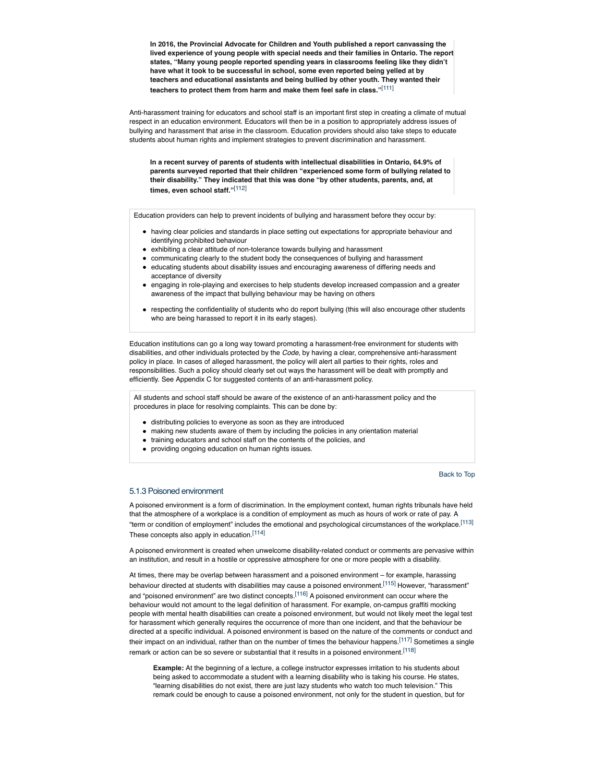**In 2016, the Provincial Advocate for Children and Youth published a report canvassing the lived experience of young people with special needs and their families in Ontario. The report states, "Many young people reported spending years in classrooms feeling like they didn't have what it took to be successful in school, some even reported being yelled at by teachers and educational assistants and being bullied by other youth. They wanted their teachers to protect them from harm and make them feel safe in class."**[111]

Anti-harassment training for educators and school staff is an important first step in creating a climate of mutual respect in an education environment. Educators will then be in a position to appropriately address issues of bullying and harassment that arise in the classroom. Education providers should also take steps to educate students about human rights and implement strategies to prevent discrimination and harassment.

**In a recent survey of parents of students with intellectual disabilities in Ontario, 64.9% of parents surveyed reported that their children "experienced some form of bullying related to their disability." They indicated that this was done "by other students, parents, and, at times, even school staff."**[112]

Education providers can help to prevent incidents of bullying and harassment before they occur by:

- having clear policies and standards in place setting out expectations for appropriate behaviour and identifying prohibited behaviour
- exhibiting a clear attitude of non-tolerance towards bullying and harassment
- communicating clearly to the student body the consequences of bullying and harassment educating students about disability issues and encouraging awareness of differing needs and
- acceptance of diversity
- engaging in role-playing and exercises to help students develop increased compassion and a greater awareness of the impact that bullying behaviour may be having on others
- respecting the confidentiality of students who do report bullying (this will also encourage other students who are being harassed to report it in its early stages).

Education institutions can go a long way toward promoting a harassment-free environment for students with disabilities, and other individuals protected by the *Code*, by having a clear, comprehensive anti-harassment policy in place. In cases of alleged harassment, the policy will alert all parties to their rights, roles and responsibilities. Such a policy should clearly set out ways the harassment will be dealt with promptly and efficiently. See Appendix C for suggested contents of an anti-harassment policy.

All students and school staff should be aware of the existence of an anti-harassment policy and the procedures in place for resolving complaints. This can be done by:

- distributing policies to everyone as soon as they are introduced
- making new students aware of them by including the policies in any orientation material
- training educators and school staff on the contents of the policies, and
- providing ongoing education on human rights issues.

Back to Top

### 5.1.3 Poisoned environment

A poisoned environment is a form of discrimination. In the employment context, human rights tribunals have held that the atmosphere of a workplace is a condition of employment as much as hours of work or rate of pay. A "term or condition of employment" includes the emotional and psychological circumstances of the workplace.[113] These concepts also apply in education.[114]

A poisoned environment is created when unwelcome disability-related conduct or comments are pervasive within an institution, and result in a hostile or oppressive atmosphere for one or more people with a disability.

At times, there may be overlap between harassment and a poisoned environment – for example, harassing behaviour directed at students with disabilities may cause a poisoned environment.[115] However, "harassment" and "poisoned environment" are two distinct concepts.<sup>[116]</sup> A poisoned environment can occur where the behaviour would not amount to the legal definition of harassment. For example, on-campus graffiti mocking people with mental health disabilities can create a poisoned environment, but would not likely meet the legal test for harassment which generally requires the occurrence of more than one incident, and that the behaviour be directed at a specific individual. A poisoned environment is based on the nature of the comments or conduct and their impact on an individual, rather than on the number of times the behaviour happens.<sup>[117]</sup> Sometimes a single remark or action can be so severe or substantial that it results in a poisoned environment.<sup>[118]</sup>

**Example:** At the beginning of a lecture, a college instructor expresses irritation to his students about being asked to accommodate a student with a learning disability who is taking his course. He states, "learning disabilities do not exist, there are just lazy students who watch too much television." This remark could be enough to cause a poisoned environment, not only for the student in question, but for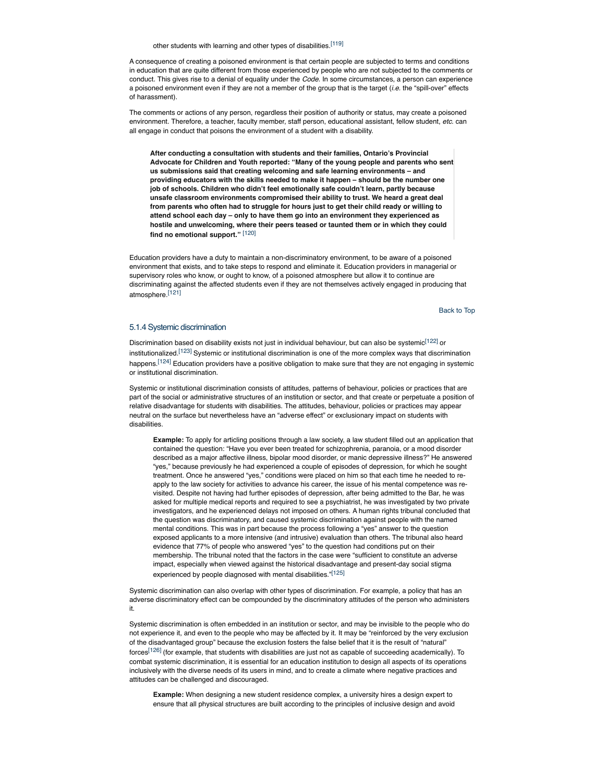other students with learning and other types of disabilities.<sup>[119]</sup>

A consequence of creating a poisoned environment is that certain people are subjected to terms and conditions in education that are quite different from those experienced by people who are not subjected to the comments or conduct. This gives rise to a denial of equality under the *Code.* In some circumstances, a person can experience a poisoned environment even if they are not a member of the group that is the target (*i.e.* the "spill-over" effects of harassment).

The comments or actions of any person, regardless their position of authority or status, may create a poisoned environment. Therefore, a teacher, faculty member, staff person, educational assistant, fellow student, *etc*. can all engage in conduct that poisons the environment of a student with a disability.

**After conducting a consultation with students and their families, Ontario's Provincial Advocate for Children and Youth reported: "Many of the young people and parents who sent us submissions said that creating welcoming and safe learning environments – and providing educators with the skills needed to make it happen – should be the number one job of schools. Children who didn't feel emotionally safe couldn't learn, partly because unsafe classroom environments compromised their ability to trust. We heard a great deal from parents who often had to struggle for hours just to get their child ready or willing to attend school each day – only to have them go into an environment they experienced as hostile and unwelcoming, where their peers teased or taunted them or in which they could find no emotional support."** [120]

Education providers have a duty to maintain a non-discriminatory environment, to be aware of a poisoned environment that exists, and to take steps to respond and eliminate it. Education providers in managerial or supervisory roles who know, or ought to know, of a poisoned atmosphere but allow it to continue are discriminating against the affected students even if they are not themselves actively engaged in producing that atmosphere.[121]

Back to Top

### 5.1.4 Systemic discrimination

Discrimination based on disability exists not just in individual behaviour, but can also be systemic<sup>[122]</sup> or institutionalized.<sup>[123]</sup> Systemic or institutional discrimination is one of the more complex ways that discrimination happens.<sup>[124]</sup> Education providers have a positive obligation to make sure that they are not engaging in systemic or institutional discrimination.

Systemic or institutional discrimination consists of attitudes, patterns of behaviour, policies or practices that are part of the social or administrative structures of an institution or sector, and that create or perpetuate a position of relative disadvantage for students with disabilities. The attitudes, behaviour, policies or practices may appear neutral on the surface but nevertheless have an "adverse effect" or exclusionary impact on students with disabilities.

**Example:** To apply for articling positions through a law society, a law student filled out an application that contained the question: "Have you ever been treated for schizophrenia, paranoia, or a mood disorder described as a major affective illness, bipolar mood disorder, or manic depressive illness?" He answered "yes," because previously he had experienced a couple of episodes of depression, for which he sought treatment. Once he answered "yes," conditions were placed on him so that each time he needed to reapply to the law society for activities to advance his career, the issue of his mental competence was revisited. Despite not having had further episodes of depression, after being admitted to the Bar, he was asked for multiple medical reports and required to see a psychiatrist, he was investigated by two private investigators, and he experienced delays not imposed on others. A human rights tribunal concluded that the question was discriminatory, and caused systemic discrimination against people with the named mental conditions. This was in part because the process following a "yes" answer to the question exposed applicants to a more intensive (and intrusive) evaluation than others. The tribunal also heard evidence that 77% of people who answered "yes" to the question had conditions put on their membership. The tribunal noted that the factors in the case were "sufficient to constitute an adverse impact, especially when viewed against the historical disadvantage and present-day social stigma experienced by people diagnosed with mental disabilities."<sup>[125]</sup>

Systemic discrimination can also overlap with other types of discrimination. For example, a policy that has an adverse discriminatory effect can be compounded by the discriminatory attitudes of the person who administers it.

Systemic discrimination is often embedded in an institution or sector, and may be invisible to the people who do not experience it, and even to the people who may be affected by it. It may be "reinforced by the very exclusion of the disadvantaged group" because the exclusion fosters the false belief that it is the result of "natural" forces<sup>[126]</sup> (for example, that students with disabilities are just not as capable of succeeding academically). To combat systemic discrimination, it is essential for an education institution to design all aspects of its operations inclusively with the diverse needs of its users in mind, and to create a climate where negative practices and attitudes can be challenged and discouraged.

**Example:** When designing a new student residence complex, a university hires a design expert to ensure that all physical structures are built according to the principles of inclusive design and avoid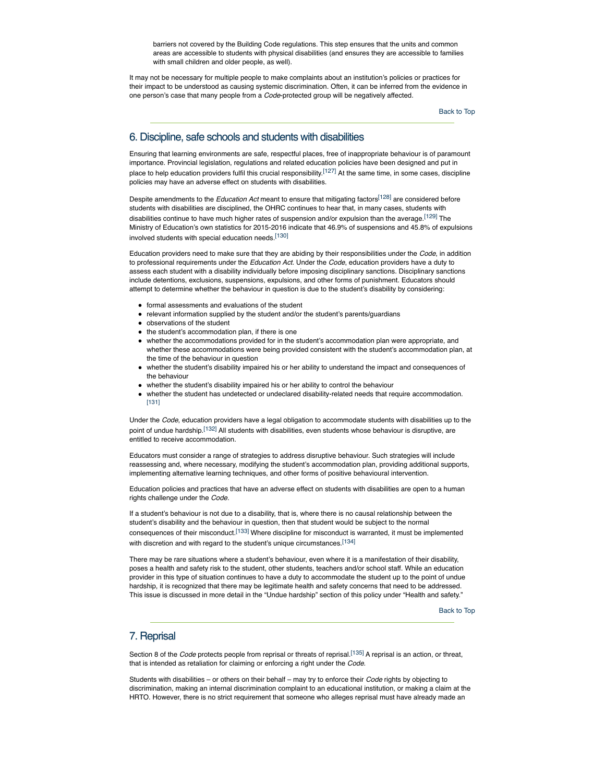barriers not covered by the Building Code regulations. This step ensures that the units and common areas are accessible to students with physical disabilities (and ensures they are accessible to families with small children and older people, as well).

It may not be necessary for multiple people to make complaints about an institution's policies or practices for their impact to be understood as causing systemic discrimination. Often, it can be inferred from the evidence in one person's case that many people from a *Code*-protected group will be negatively affected.

Back to Top

# 6. Discipline, safe schools and students with disabilities

Ensuring that learning environments are safe, respectful places, free of inappropriate behaviour is of paramount importance. Provincial legislation, regulations and related education policies have been designed and put in place to help education providers fulfil this crucial responsibility.<sup>[127]</sup> At the same time, in some cases, discipline policies may have an adverse effect on students with disabilities.

Despite amendments to the *Education Act* meant to ensure that mitigating factors[128] are considered before students with disabilities are disciplined, the OHRC continues to hear that, in many cases, students with disabilities continue to have much higher rates of suspension and/or expulsion than the average.<sup>[129]</sup> The Ministry of Education's own statistics for 2015-2016 indicate that 46.9% of suspensions and 45.8% of expulsions involved students with special education needs.[130]

Education providers need to make sure that they are abiding by their responsibilities under the *Code*, in addition to professional requirements under the *Education Act.* Under the *Code*, education providers have a duty to assess each student with a disability individually before imposing disciplinary sanctions. Disciplinary sanctions include detentions, exclusions, suspensions, expulsions, and other forms of punishment. Educators should attempt to determine whether the behaviour in question is due to the student's disability by considering:

- formal assessments and evaluations of the student
- relevant information supplied by the student and/or the student's parents/guardians
- observations of the student
- the student's accommodation plan, if there is one
- whether the accommodations provided for in the student's accommodation plan were appropriate, and whether these accommodations were being provided consistent with the student's accommodation plan, at the time of the behaviour in question
- whether the student's disability impaired his or her ability to understand the impact and consequences of the behaviour
- whether the student's disability impaired his or her ability to control the behaviour
- whether the student has undetected or undeclared disability-related needs that require accommodation. [131]

Under the *Code*, education providers have a legal obligation to accommodate students with disabilities up to the point of undue hardship.[132] All students with disabilities, even students whose behaviour is disruptive, are entitled to receive accommodation.

Educators must consider a range of strategies to address disruptive behaviour. Such strategies will include reassessing and, where necessary, modifying the student's accommodation plan, providing additional supports, implementing alternative learning techniques, and other forms of positive behavioural intervention.

Education policies and practices that have an adverse effect on students with disabilities are open to a human rights challenge under the *Code.*

If a student's behaviour is not due to a disability, that is, where there is no causal relationship between the student's disability and the behaviour in question, then that student would be subject to the normal consequences of their misconduct.[133] Where discipline for misconduct is warranted, it must be implemented with discretion and with regard to the student's unique circumstances.<sup>[134]</sup>

There may be rare situations where a student's behaviour, even where it is a manifestation of their disability, poses a health and safety risk to the student, other students, teachers and/or school staff. While an education provider in this type of situation continues to have a duty to accommodate the student up to the point of undue hardship, it is recognized that there may be legitimate health and safety concerns that need to be addressed. This issue is discussed in more detail in the "Undue hardship" section of this policy under "Health and safety."

Back to Top

## 7. Reprisal

Section 8 of the *Code* protects people from reprisal or threats of reprisal.<sup>[135]</sup> A reprisal is an action, or threat, that is intended as retaliation for claiming or enforcing a right under the *Code*.

Students with disabilities – or others on their behalf – may try to enforce their *Code* rights by objecting to discrimination, making an internal discrimination complaint to an educational institution, or making a claim at the HRTO. However, there is no strict requirement that someone who alleges reprisal must have already made an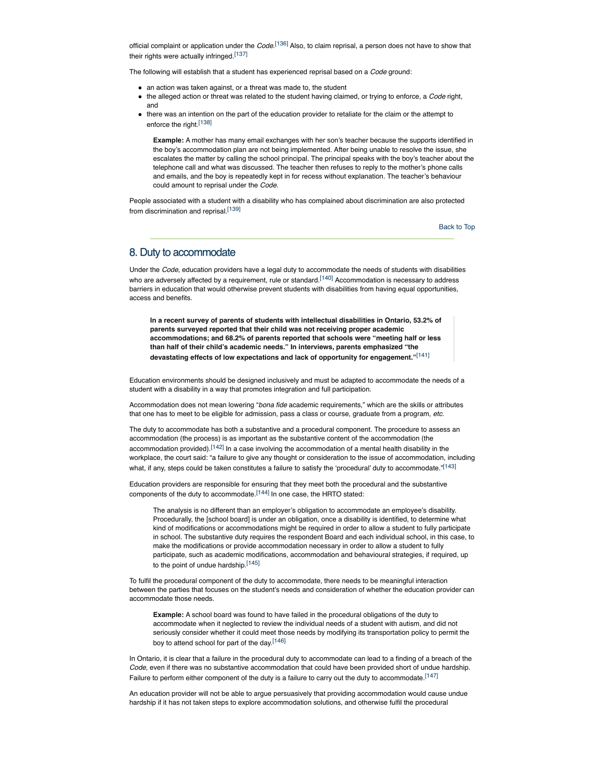official complaint or application under the *Code*. [136] Also, to claim reprisal, a person does not have to show that their rights were actually infringed.[137]

The following will establish that a student has experienced reprisal based on a *Code* ground:

- an action was taken against, or a threat was made to, the student
- the alleged action or threat was related to the student having claimed, or trying to enforce, a *Code* right, and
- there was an intention on the part of the education provider to retaliate for the claim or the attempt to enforce the right.[138]

**Example:** A mother has many email exchanges with her son's teacher because the supports identified in the boy's accommodation plan are not being implemented. After being unable to resolve the issue, she escalates the matter by calling the school principal. The principal speaks with the boy's teacher about the telephone call and what was discussed. The teacher then refuses to reply to the mother's phone calls and emails, and the boy is repeatedly kept in for recess without explanation. The teacher's behaviour could amount to reprisal under the *Code.*

People associated with a student with a disability who has complained about discrimination are also protected from discrimination and reprisal.[139]

Back to Top

## 8. Duty to accommodate

Under the *Code*, education providers have a legal duty to accommodate the needs of students with disabilities who are adversely affected by a requirement, rule or standard.<sup>[140]</sup> Accommodation is necessary to address barriers in education that would otherwise prevent students with disabilities from having equal opportunities, access and benefits.

**In a recent survey of parents of students with intellectual disabilities in Ontario, 53.2% of parents surveyed reported that their child was not receiving proper academic accommodations; and 68.2% of parents reported that schools were "meeting half or less than half of their child's academic needs." In interviews, parents emphasized "the devastating effects of low expectations and lack of opportunity for engagement."**[141]

Education environments should be designed inclusively and must be adapted to accommodate the needs of a student with a disability in a way that promotes integration and full participation.

Accommodation does not mean lowering "*bona fide* academic requirements," which are the skills or attributes that one has to meet to be eligible for admission, pass a class or course, graduate from a program, *etc.*

The duty to accommodate has both a substantive and a procedural component. The procedure to assess an accommodation (the process) is as important as the substantive content of the accommodation (the accommodation provided).[142] In a case involving the accommodation of a mental health disability in the workplace, the court said: "a failure to give any thought or consideration to the issue of accommodation, including what, if any, steps could be taken constitutes a failure to satisfy the 'procedural' duty to accommodate."<sup>[143]</sup>

Education providers are responsible for ensuring that they meet both the procedural and the substantive components of the duty to accommodate.<sup>[144]</sup> In one case, the HRTO stated:

The analysis is no different than an employer's obligation to accommodate an employee's disability. Procedurally, the [school board] is under an obligation, once a disability is identified, to determine what kind of modifications or accommodations might be required in order to allow a student to fully participate in school. The substantive duty requires the respondent Board and each individual school, in this case, to make the modifications or provide accommodation necessary in order to allow a student to fully participate, such as academic modifications, accommodation and behavioural strategies, if required, up to the point of undue hardship. [145]

To fulfil the procedural component of the duty to accommodate, there needs to be meaningful interaction between the parties that focuses on the student's needs and consideration of whether the education provider can accommodate those needs.

**Example:** A school board was found to have failed in the procedural obligations of the duty to accommodate when it neglected to review the individual needs of a student with autism, and did not seriously consider whether it could meet those needs by modifying its transportation policy to permit the boy to attend school for part of the day.[146]

In Ontario, it is clear that a failure in the procedural duty to accommodate can lead to a finding of a breach of the *Code*, even if there was no substantive accommodation that could have been provided short of undue hardship. Failure to perform either component of the duty is a failure to carry out the duty to accommodate.<sup>[147]</sup>

An education provider will not be able to argue persuasively that providing accommodation would cause undue hardship if it has not taken steps to explore accommodation solutions, and otherwise fulfil the procedural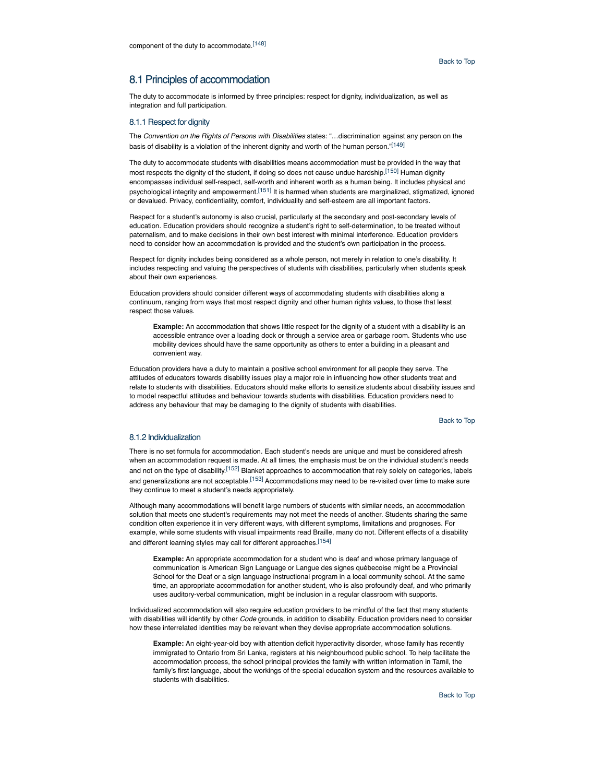# 8.1 Principles of accommodation

The duty to accommodate is informed by three principles: respect for dignity, individualization, as well as integration and full participation.

### 8.1.1 Respect for dignity

The *Convention on the Rights of Persons with Disabilities* states: "…discrimination against any person on the basis of disability is a violation of the inherent dignity and worth of the human person."[149]

The duty to accommodate students with disabilities means accommodation must be provided in the way that most respects the dignity of the student, if doing so does not cause undue hardship.<sup>[150]</sup> Human dignity encompasses individual self-respect, self-worth and inherent worth as a human being. It includes physical and psychological integrity and empowerment.<sup>[151]</sup> It is harmed when students are marginalized, stigmatized, ignored or devalued. Privacy, confidentiality, comfort, individuality and self-esteem are all important factors.

Respect for a student's autonomy is also crucial, particularly at the secondary and post-secondary levels of education. Education providers should recognize a student's right to self-determination, to be treated without paternalism, and to make decisions in their own best interest with minimal interference. Education providers need to consider how an accommodation is provided and the student's own participation in the process.

Respect for dignity includes being considered as a whole person, not merely in relation to one's disability. It includes respecting and valuing the perspectives of students with disabilities, particularly when students speak about their own experiences.

Education providers should consider different ways of accommodating students with disabilities along a continuum, ranging from ways that most respect dignity and other human rights values, to those that least respect those values.

**Example:** An accommodation that shows little respect for the dignity of a student with a disability is an accessible entrance over a loading dock or through a service area or garbage room. Students who use mobility devices should have the same opportunity as others to enter a building in a pleasant and convenient way.

Education providers have a duty to maintain a positive school environment for all people they serve. The attitudes of educators towards disability issues play a major role in influencing how other students treat and relate to students with disabilities. Educators should make efforts to sensitize students about disability issues and to model respectful attitudes and behaviour towards students with disabilities. Education providers need to address any behaviour that may be damaging to the dignity of students with disabilities.

Back to Top

### 8.1.2 Individualization

There is no set formula for accommodation. Each student's needs are unique and must be considered afresh when an accommodation request is made. At all times, the emphasis must be on the individual student's needs and not on the type of disability.<sup>[152]</sup> Blanket approaches to accommodation that rely solely on categories, labels and generalizations are not acceptable.<sup>[153]</sup> Accommodations may need to be re-visited over time to make sure they continue to meet a student's needs appropriately.

Although many accommodations will benefit large numbers of students with similar needs, an accommodation solution that meets one student's requirements may not meet the needs of another. Students sharing the same condition often experience it in very different ways, with different symptoms, limitations and prognoses. For example, while some students with visual impairments read Braille, many do not. Different effects of a disability and different learning styles may call for different approaches.<sup>[154]</sup>

**Example:** An appropriate accommodation for a student who is deaf and whose primary language of communication is American Sign Language or Langue des signes québecoise might be a Provincial School for the Deaf or a sign language instructional program in a local community school. At the same time, an appropriate accommodation for another student, who is also profoundly deaf, and who primarily uses auditory-verbal communication, might be inclusion in a regular classroom with supports.

Individualized accommodation will also require education providers to be mindful of the fact that many students with disabilities will identify by other *Code* grounds, in addition to disability. Education providers need to consider how these interrelated identities may be relevant when they devise appropriate accommodation solutions.

**Example:** An eight-year-old boy with attention deficit hyperactivity disorder, whose family has recently immigrated to Ontario from Sri Lanka, registers at his neighbourhood public school. To help facilitate the accommodation process, the school principal provides the family with written information in Tamil, the family's first language, about the workings of the special education system and the resources available to students with disabilities.

Back to Top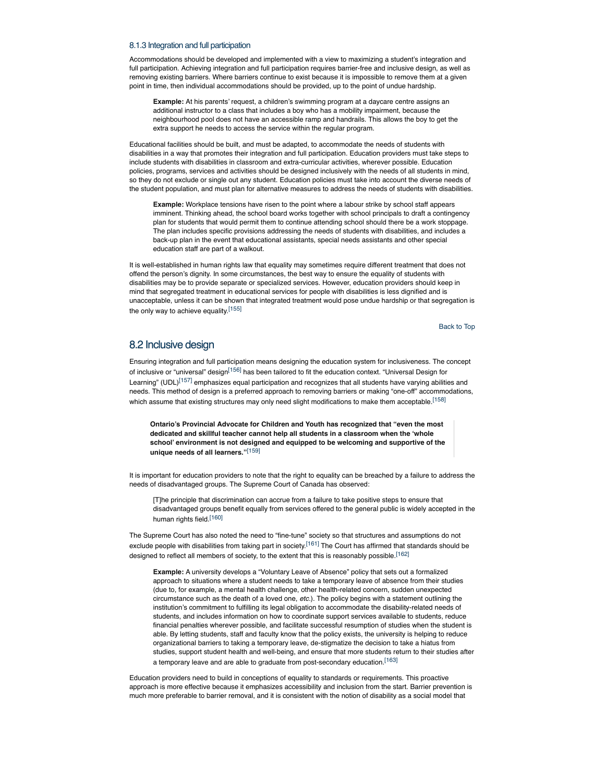#### 8.1.3 Integration and full participation

Accommodations should be developed and implemented with a view to maximizing a student's integration and full participation. Achieving integration and full participation requires barrier-free and inclusive design, as well as removing existing barriers. Where barriers continue to exist because it is impossible to remove them at a given point in time, then individual accommodations should be provided, up to the point of undue hardship.

**Example:** At his parents' request, a children's swimming program at a daycare centre assigns an additional instructor to a class that includes a boy who has a mobility impairment, because the neighbourhood pool does not have an accessible ramp and handrails. This allows the boy to get the extra support he needs to access the service within the regular program.

Educational facilities should be built, and must be adapted, to accommodate the needs of students with disabilities in a way that promotes their integration and full participation. Education providers must take steps to include students with disabilities in classroom and extra-curricular activities, wherever possible. Education policies, programs, services and activities should be designed inclusively with the needs of all students in mind, so they do not exclude or single out any student. Education policies must take into account the diverse needs of the student population, and must plan for alternative measures to address the needs of students with disabilities.

**Example:** Workplace tensions have risen to the point where a labour strike by school staff appears imminent. Thinking ahead, the school board works together with school principals to draft a contingency plan for students that would permit them to continue attending school should there be a work stoppage. The plan includes specific provisions addressing the needs of students with disabilities, and includes a back-up plan in the event that educational assistants, special needs assistants and other special education staff are part of a walkout.

It is well-established in human rights law that equality may sometimes require different treatment that does not offend the person's dignity. In some circumstances, the best way to ensure the equality of students with disabilities may be to provide separate or specialized services. However, education providers should keep in mind that segregated treatment in educational services for people with disabilities is less dignified and is unacceptable, unless it can be shown that integrated treatment would pose undue hardship or that segregation is the only way to achieve equality.<sup>[155]</sup>

Back to Top

## 8.2 Inclusive design

Ensuring integration and full participation means designing the education system for inclusiveness. The concept of inclusive or "universal" design<sup>[156]</sup> has been tailored to fit the education context. "Universal Design for Learning" (UDL)<sup>[157]</sup> emphasizes equal participation and recognizes that all students have varying abilities and needs. This method of design is a preferred approach to removing barriers or making "one-off" accommodations, which assume that existing structures may only need slight modifications to make them acceptable.<sup>[158]</sup>

**Ontario's Provincial Advocate for Children and Youth has recognized that "even the most dedicated and skillful teacher cannot help all students in a classroom when the 'whole school' environment is not designed and equipped to be welcoming and supportive of the unique needs of all learners."**[159]

It is important for education providers to note that the right to equality can be breached by a failure to address the needs of disadvantaged groups. The Supreme Court of Canada has observed:

[T]he principle that discrimination can accrue from a failure to take positive steps to ensure that disadvantaged groups benefit equally from services offered to the general public is widely accepted in the human rights field.<sup>[160]</sup>

The Supreme Court has also noted the need to "fine-tune" society so that structures and assumptions do not exclude people with disabilities from taking part in society.<sup>[161]</sup> The Court has affirmed that standards should be designed to reflect all members of society, to the extent that this is reasonably possible.<sup>[162]</sup>

**Example:** A university develops a "Voluntary Leave of Absence" policy that sets out a formalized approach to situations where a student needs to take a temporary leave of absence from their studies (due to, for example, a mental health challenge, other health-related concern, sudden unexpected circumstance such as the death of a loved one, *etc.*). The policy begins with a statement outlining the institution's commitment to fulfilling its legal obligation to accommodate the disability-related needs of students, and includes information on how to coordinate support services available to students, reduce financial penalties wherever possible, and facilitate successful resumption of studies when the student is able. By letting students, staff and faculty know that the policy exists, the university is helping to reduce organizational barriers to taking a temporary leave, de-stigmatize the decision to take a hiatus from studies, support student health and well-being, and ensure that more students return to their studies after a temporary leave and are able to graduate from post-secondary education.<sup>[163]</sup>

Education providers need to build in conceptions of equality to standards or requirements. This proactive approach is more effective because it emphasizes accessibility and inclusion from the start. Barrier prevention is much more preferable to barrier removal, and it is consistent with the notion of disability as a social model that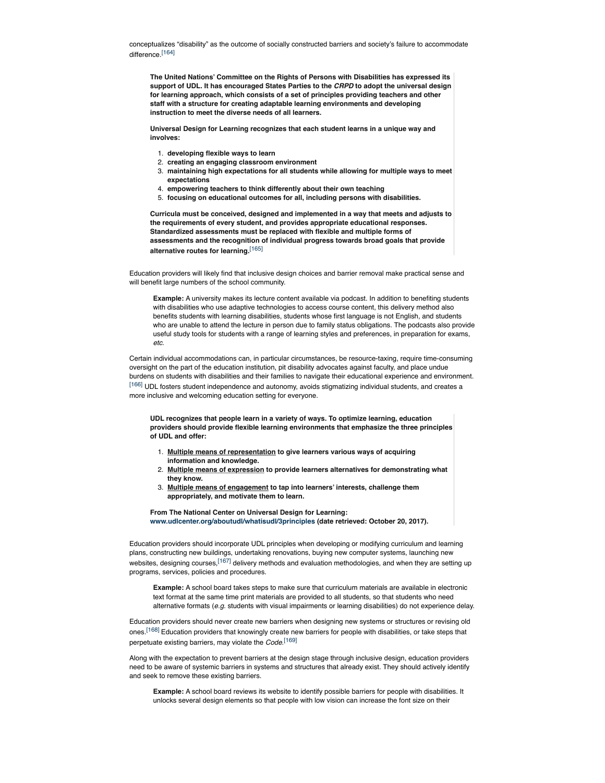conceptualizes "disability" as the outcome of socially constructed barriers and society's failure to accommodate difference.[164]

**The United Nations' Committee on the Rights of Persons with Disabilities has expressed its support of UDL. It has encouraged States Parties to the** *CRPD* **to adopt the universal design for learning approach, which consists of a set of principles providing teachers and other staff with a structure for creating adaptable learning environments and developing instruction to meet the diverse needs of all learners.**

**Universal Design for Learning recognizes that each student learns in a unique way and involves:**

- 1. **developing flexible ways to learn**
- 2. **creating an engaging classroom environment**
- 3. **maintaining high expectations for all students while allowing for multiple ways to meet expectations**
- 4. **empowering teachers to think differently about their own teaching**
- 5. **focusing on educational outcomes for all, including persons with disabilities.**

**Curricula must be conceived, designed and implemented in a way that meets and adjusts to the requirements of every student, and provides appropriate educational responses. Standardized assessments must be replaced with flexible and multiple forms of assessments and the recognition of individual progress towards broad goals that provide alternative routes for learning.**[165]

Education providers will likely find that inclusive design choices and barrier removal make practical sense and will benefit large numbers of the school community.

**Example:** A university makes its lecture content available via podcast. In addition to benefiting students with disabilities who use adaptive technologies to access course content, this delivery method also benefits students with learning disabilities, students whose first language is not English, and students who are unable to attend the lecture in person due to family status obligations. The podcasts also provide useful study tools for students with a range of learning styles and preferences, in preparation for exams, *etc.*

Certain individual accommodations can, in particular circumstances, be resource-taxing, require time-consuming oversight on the part of the education institution, pit disability advocates against faculty, and place undue burdens on students with disabilities and their families to navigate their educational experience and environment. [166] UDL fosters student independence and autonomy, avoids stigmatizing individual students, and creates a more inclusive and welcoming education setting for everyone.

**UDL recognizes that people learn in a variety of ways. To optimize learning, education providers should provide flexible learning environments that emphasize the three principles of UDL and offer:**

- 1. **Multiple means of representation to give learners various ways of acquiring information and knowledge.**
- 2. **Multiple means of expression to provide learners alternatives for demonstrating what they know.**
- 3. **Multiple means of engagement to tap into learners' interests, challenge them appropriately, and motivate them to learn.**

**From The National Center on Universal Design for Learning: www.udlcenter.org/aboutudl/whatisudl/3principles (date retrieved: October 20, 2017).**

Education providers should incorporate UDL principles when developing or modifying curriculum and learning plans, constructing new buildings, undertaking renovations, buying new computer systems, launching new websites, designing courses,<sup>[167]</sup> delivery methods and evaluation methodologies, and when they are setting up programs, services, policies and procedures.

**Example:** A school board takes steps to make sure that curriculum materials are available in electronic text format at the same time print materials are provided to all students, so that students who need alternative formats (*e.g.* students with visual impairments or learning disabilities) do not experience delay.

Education providers should never create new barriers when designing new systems or structures or revising old ones.<sup>[168]</sup> Education providers that knowingly create new barriers for people with disabilities, or take steps that perpetuate existing barriers, may violate the *Code*. [169]

Along with the expectation to prevent barriers at the design stage through inclusive design, education providers need to be aware of systemic barriers in systems and structures that already exist. They should actively identify and seek to remove these existing barriers.

**Example:** A school board reviews its website to identify possible barriers for people with disabilities. It unlocks several design elements so that people with low vision can increase the font size on their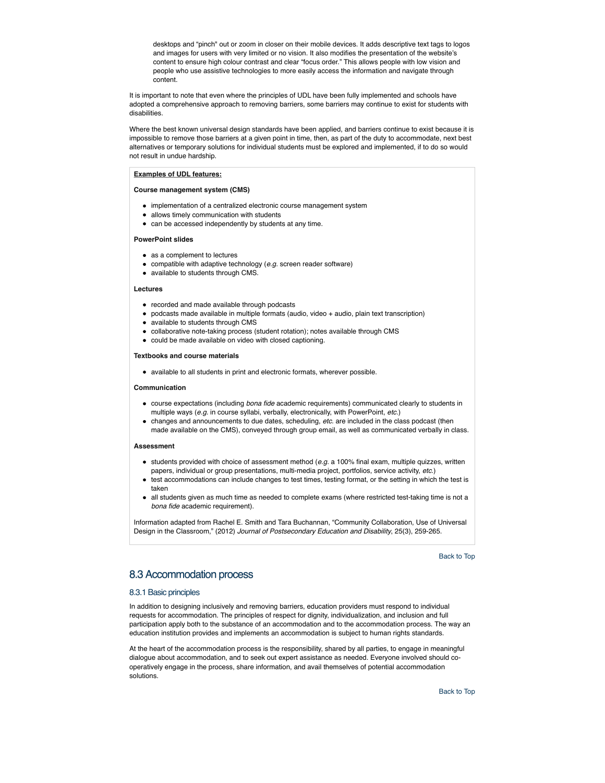desktops and "pinch" out or zoom in closer on their mobile devices. It adds descriptive text tags to logos and images for users with very limited or no vision. It also modifies the presentation of the website's content to ensure high colour contrast and clear "focus order." This allows people with low vision and people who use assistive technologies to more easily access the information and navigate through content.

It is important to note that even where the principles of UDL have been fully implemented and schools have adopted a comprehensive approach to removing barriers, some barriers may continue to exist for students with disabilities.

Where the best known universal design standards have been applied, and barriers continue to exist because it is impossible to remove those barriers at a given point in time, then, as part of the duty to accommodate, next best alternatives or temporary solutions for individual students must be explored and implemented, if to do so would not result in undue hardship.

### **Examples of UDL features:**

**Course management system (CMS)**

- implementation of a centralized electronic course management system
- allows timely communication with students
- can be accessed independently by students at any time.

#### **PowerPoint slides**

- as a complement to lectures
- compatible with adaptive technology (*e.g.* screen reader software)
- available to students through CMS.

#### **Lectures**

- recorded and made available through podcasts
- podcasts made available in multiple formats (audio, video + audio, plain text transcription)
- available to students through CMS
- collaborative note-taking process (student rotation); notes available through CMS
- could be made available on video with closed captioning.

#### **Textbooks and course materials**

available to all students in print and electronic formats, wherever possible.

#### **Communication**

- course expectations (including *bona fide* academic requirements) communicated clearly to students in multiple ways (*e.g.* in course syllabi, verbally, electronically, with PowerPoint, *etc.*)
- changes and announcements to due dates, scheduling, *etc.* are included in the class podcast (then made available on the CMS), conveyed through group email, as well as communicated verbally in class.

#### **Assessment**

- students provided with choice of assessment method (*e.g.* a 100% final exam, multiple quizzes, written papers, individual or group presentations, multi-media project, portfolios, service activity, *etc.*)
- test accommodations can include changes to test times, testing format, or the setting in which the test is taken
- all students given as much time as needed to complete exams (where restricted test-taking time is not a *bona fide* academic requirement).

Information adapted from Rachel E. Smith and Tara Buchannan, "Community Collaboration, Use of Universal Design in the Classroom," (2012) *Journal of Postsecondary Education and Disability*, 25(3), 259-265.

Back to Top

## 8.3 Accommodation process

### 8.3.1 Basic principles

In addition to designing inclusively and removing barriers, education providers must respond to individual requests for accommodation. The principles of respect for dignity, individualization, and inclusion and full participation apply both to the substance of an accommodation and to the accommodation process. The way an education institution provides and implements an accommodation is subject to human rights standards.

At the heart of the accommodation process is the responsibility, shared by all parties, to engage in meaningful dialogue about accommodation, and to seek out expert assistance as needed. Everyone involved should cooperatively engage in the process, share information, and avail themselves of potential accommodation solutions.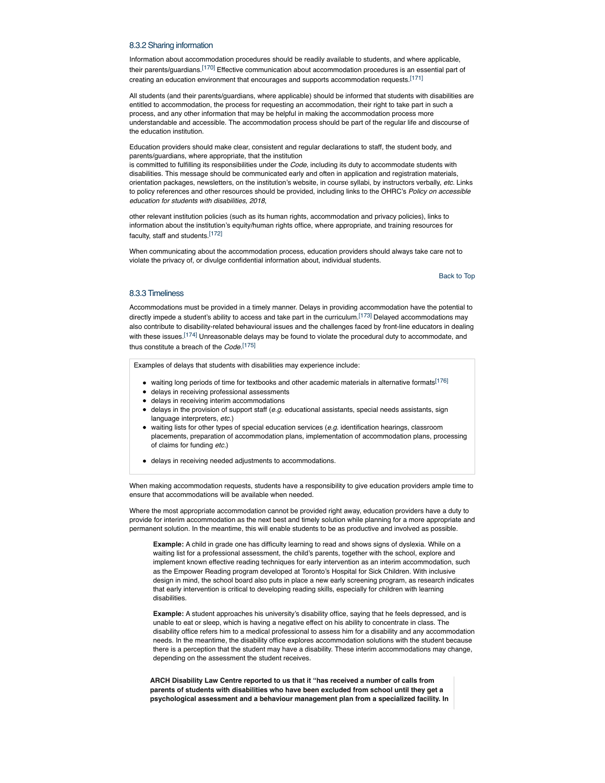### 8.3.2 Sharing information

Information about accommodation procedures should be readily available to students, and where applicable, their parents/guardians.[170] Effective communication about accommodation procedures is an essential part of creating an education environment that encourages and supports accommodation requests.[171]

All students (and their parents/guardians, where applicable) should be informed that students with disabilities are entitled to accommodation, the process for requesting an accommodation, their right to take part in such a process, and any other information that may be helpful in making the accommodation process more understandable and accessible. The accommodation process should be part of the regular life and discourse of the education institution.

Education providers should make clear, consistent and regular declarations to staff, the student body, and parents/guardians, where appropriate, that the institution

is committed to fulfilling its responsibilities under the *Code*, including its duty to accommodate students with disabilities. This message should be communicated early and often in application and registration materials, orientation packages, newsletters, on the institution's website, in course syllabi, by instructors verbally, *etc.* Links to policy references and other resources should be provided, including links to the OHRC's *Policy on accessible education for students with disabilities, 2018*,

other relevant institution policies (such as its human rights, accommodation and privacy policies), links to information about the institution's equity/human rights office, where appropriate, and training resources for faculty, staff and students.[172]

When communicating about the accommodation process, education providers should always take care not to violate the privacy of, or divulge confidential information about, individual students.

Back to Top

### 8.3.3 Timeliness

Accommodations must be provided in a timely manner. Delays in providing accommodation have the potential to directly impede a student's ability to access and take part in the curriculum.<sup>[173]</sup> Delayed accommodations may also contribute to disability-related behavioural issues and the challenges faced by front-line educators in dealing with these issues.<sup>[174]</sup> Unreasonable delays may be found to violate the procedural duty to accommodate, and thus constitute a breach of the *Code*. [175]

Examples of delays that students with disabilities may experience include:

- waiting long periods of time for textbooks and other academic materials in alternative formats<sup>[176]</sup>
- delays in receiving professional assessments
- delays in receiving interim accommodations
- delays in the provision of support staff (*e.g.* educational assistants, special needs assistants, sign language interpreters, *etc.*)
- waiting lists for other types of special education services (*e.g.* identification hearings, classroom placements, preparation of accommodation plans, implementation of accommodation plans, processing of claims for funding *etc.*)
- delays in receiving needed adjustments to accommodations.

When making accommodation requests, students have a responsibility to give education providers ample time to ensure that accommodations will be available when needed.

Where the most appropriate accommodation cannot be provided right away, education providers have a duty to provide for interim accommodation as the next best and timely solution while planning for a more appropriate and permanent solution. In the meantime, this will enable students to be as productive and involved as possible.

**Example:** A child in grade one has difficulty learning to read and shows signs of dyslexia. While on a waiting list for a professional assessment, the child's parents, together with the school, explore and implement known effective reading techniques for early intervention as an interim accommodation, such as the Empower Reading program developed at Toronto's Hospital for Sick Children. With inclusive design in mind, the school board also puts in place a new early screening program, as research indicates that early intervention is critical to developing reading skills, especially for children with learning disabilities.

**Example:** A student approaches his university's disability office, saying that he feels depressed, and is unable to eat or sleep, which is having a negative effect on his ability to concentrate in class. The disability office refers him to a medical professional to assess him for a disability and any accommodation needs. In the meantime, the disability office explores accommodation solutions with the student because there is a perception that the student may have a disability. These interim accommodations may change, depending on the assessment the student receives.

**ARCH Disability Law Centre reported to us that it "has received a number of calls from parents of students with disabilities who have been excluded from school until they get a psychological assessment and a behaviour management plan from a specialized facility. In**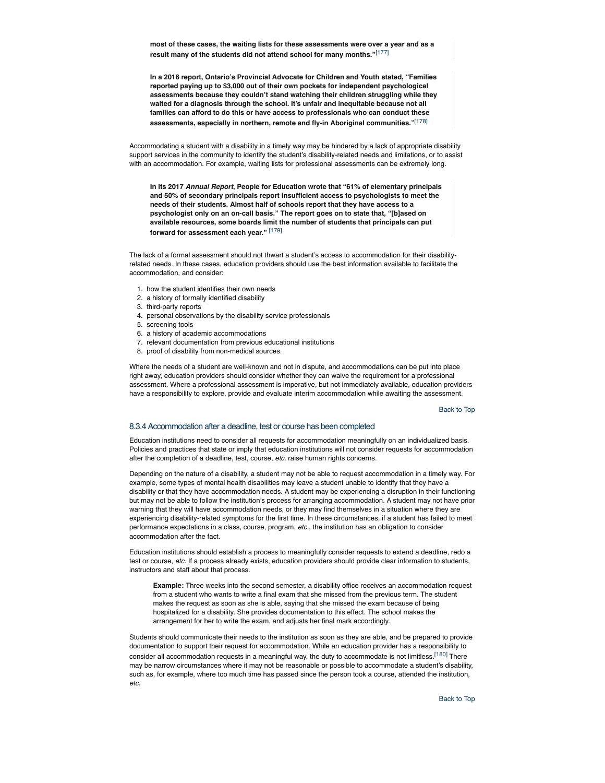**most of these cases, the waiting lists for these assessments were over a year and as a result many of the students did not attend school for many months."**[177]

**In a 2016 report, Ontario's Provincial Advocate for Children and Youth stated, "Families reported paying up to \$3,000 out of their own pockets for independent psychological assessments because they couldn't stand watching their children struggling while they waited for a diagnosis through the school. It's unfair and inequitable because not all families can afford to do this or have access to professionals who can conduct these assessments, especially in northern, remote and fly-in Aboriginal communities."**[178]

Accommodating a student with a disability in a timely way may be hindered by a lack of appropriate disability support services in the community to identify the student's disability-related needs and limitations, or to assist with an accommodation. For example, waiting lists for professional assessments can be extremely long.

**In its 2017** *Annual Report***, People for Education wrote that "61% of elementary principals and 50% of secondary principals report insufficient access to psychologists to meet the needs of their students. Almost half of schools report that they have access to a psychologist only on an on-call basis." The report goes on to state that, "[b]ased on available resources, some boards limit the number of students that principals can put forward for assessment each year."** [179]

The lack of a formal assessment should not thwart a student's access to accommodation for their disabilityrelated needs. In these cases, education providers should use the best information available to facilitate the accommodation, and consider:

- 1. how the student identifies their own needs
- 2. a history of formally identified disability
- 3. third-party reports
- 4. personal observations by the disability service professionals
- 5. screening tools
- 6. a history of academic accommodations
- 7. relevant documentation from previous educational institutions
- 8. proof of disability from non-medical sources.

Where the needs of a student are well-known and not in dispute, and accommodations can be put into place right away, education providers should consider whether they can waive the requirement for a professional assessment. Where a professional assessment is imperative, but not immediately available, education providers have a responsibility to explore, provide and evaluate interim accommodation while awaiting the assessment.

#### Back to Top

#### 8.3.4 Accommodation after a deadline, test or course has been completed

Education institutions need to consider all requests for accommodation meaningfully on an individualized basis. Policies and practices that state or imply that education institutions will not consider requests for accommodation after the completion of a deadline, test, course, *etc.* raise human rights concerns.

Depending on the nature of a disability, a student may not be able to request accommodation in a timely way. For example, some types of mental health disabilities may leave a student unable to identify that they have a disability or that they have accommodation needs. A student may be experiencing a disruption in their functioning but may not be able to follow the institution's process for arranging accommodation. A student may not have prior warning that they will have accommodation needs, or they may find themselves in a situation where they are experiencing disability-related symptoms for the first time. In these circumstances, if a student has failed to meet performance expectations in a class, course, program, *etc.*, the institution has an obligation to consider accommodation after the fact.

Education institutions should establish a process to meaningfully consider requests to extend a deadline, redo a test or course, *etc.* If a process already exists, education providers should provide clear information to students, instructors and staff about that process.

**Example:** Three weeks into the second semester, a disability office receives an accommodation request from a student who wants to write a final exam that she missed from the previous term. The student makes the request as soon as she is able, saying that she missed the exam because of being hospitalized for a disability. She provides documentation to this effect. The school makes the arrangement for her to write the exam, and adjusts her final mark accordingly.

Students should communicate their needs to the institution as soon as they are able, and be prepared to provide documentation to support their request for accommodation. While an education provider has a responsibility to consider all accommodation requests in a meaningful way, the duty to accommodate is not limitless.<sup>[180]</sup> There may be narrow circumstances where it may not be reasonable or possible to accommodate a student's disability, such as, for example, where too much time has passed since the person took a course, attended the institution, *etc*.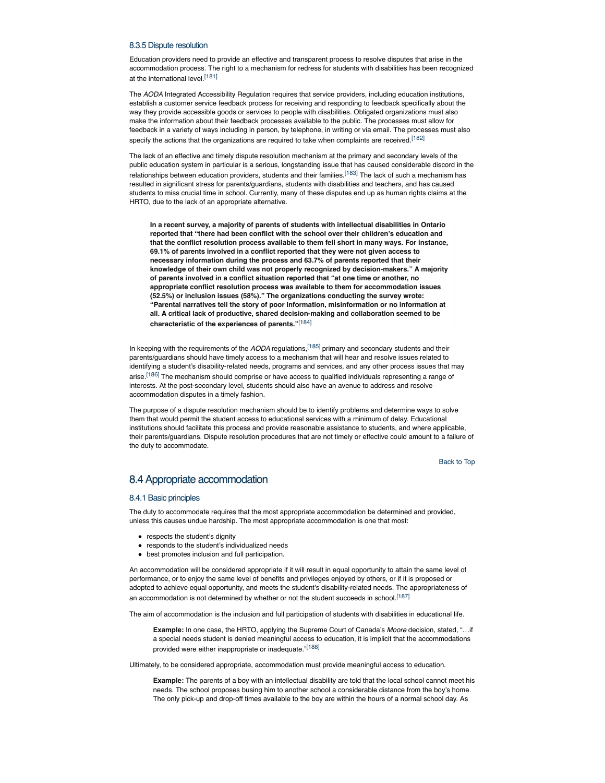### 8.3.5 Dispute resolution

Education providers need to provide an effective and transparent process to resolve disputes that arise in the accommodation process. The right to a mechanism for redress for students with disabilities has been recognized at the international level.<sup>[181]</sup>

The *AODA* Integrated Accessibility Regulation requires that service providers, including education institutions, establish a customer service feedback process for receiving and responding to feedback specifically about the way they provide accessible goods or services to people with disabilities. Obligated organizations must also make the information about their feedback processes available to the public. The processes must allow for feedback in a variety of ways including in person, by telephone, in writing or via email. The processes must also specify the actions that the organizations are required to take when complaints are received.<sup>[182]</sup>

The lack of an effective and timely dispute resolution mechanism at the primary and secondary levels of the public education system in particular is a serious, longstanding issue that has caused considerable discord in the relationships between education providers, students and their families.<sup>[183]</sup> The lack of such a mechanism has resulted in significant stress for parents/guardians, students with disabilities and teachers, and has caused students to miss crucial time in school. Currently, many of these disputes end up as human rights claims at the HRTO, due to the lack of an appropriate alternative.

**In a recent survey, a majority of parents of students with intellectual disabilities in Ontario reported that "there had been conflict with the school over their children's education and that the conflict resolution process available to them fell short in many ways. For instance, 69.1% of parents involved in a conflict reported that they were not given access to necessary information during the process and 63.7% of parents reported that their knowledge of their own child was not properly recognized by decision-makers." A majority of parents involved in a conflict situation reported that "at one time or another, no appropriate conflict resolution process was available to them for accommodation issues (52.5%) or inclusion issues (58%)." The organizations conducting the survey wrote: "Parental narratives tell the story of poor information, misinformation or no information at all. A critical lack of productive, shared decision-making and collaboration seemed to be characteristic of the experiences of parents."**[184]

In keeping with the requirements of the *AODA* regulations,[185] primary and secondary students and their parents/guardians should have timely access to a mechanism that will hear and resolve issues related to identifying a student's disability-related needs, programs and services, and any other process issues that may arise.<sup>[186]</sup> The mechanism should comprise or have access to qualified individuals representing a range of interests. At the post-secondary level, students should also have an avenue to address and resolve accommodation disputes in a timely fashion.

The purpose of a dispute resolution mechanism should be to identify problems and determine ways to solve them that would permit the student access to educational services with a minimum of delay. Educational institutions should facilitate this process and provide reasonable assistance to students, and where applicable, their parents/guardians. Dispute resolution procedures that are not timely or effective could amount to a failure of the duty to accommodate.

Back to Top

## 8.4 Appropriate accommodation

### 8.4.1 Basic principles

The duty to accommodate requires that the most appropriate accommodation be determined and provided, unless this causes undue hardship. The most appropriate accommodation is one that most:

- respects the student's dignity
- responds to the student's individualized needs
- best promotes inclusion and full participation.

An accommodation will be considered appropriate if it will result in equal opportunity to attain the same level of performance, or to enjoy the same level of benefits and privileges enjoyed by others, or if it is proposed or adopted to achieve equal opportunity, and meets the student's disability-related needs. The appropriateness of an accommodation is not determined by whether or not the student succeeds in school.<sup>[187]</sup>

The aim of accommodation is the inclusion and full participation of students with disabilities in educational life.

**Example:** In one case, the HRTO, applying the Supreme Court of Canada's *Moore* decision, stated, "…if a special needs student is denied meaningful access to education, it is implicit that the accommodations provided were either inappropriate or inadequate."<sup>[188]</sup>

Ultimately, to be considered appropriate, accommodation must provide meaningful access to education.

**Example:** The parents of a boy with an intellectual disability are told that the local school cannot meet his needs. The school proposes busing him to another school a considerable distance from the boy's home. The only pick-up and drop-off times available to the boy are within the hours of a normal school day. As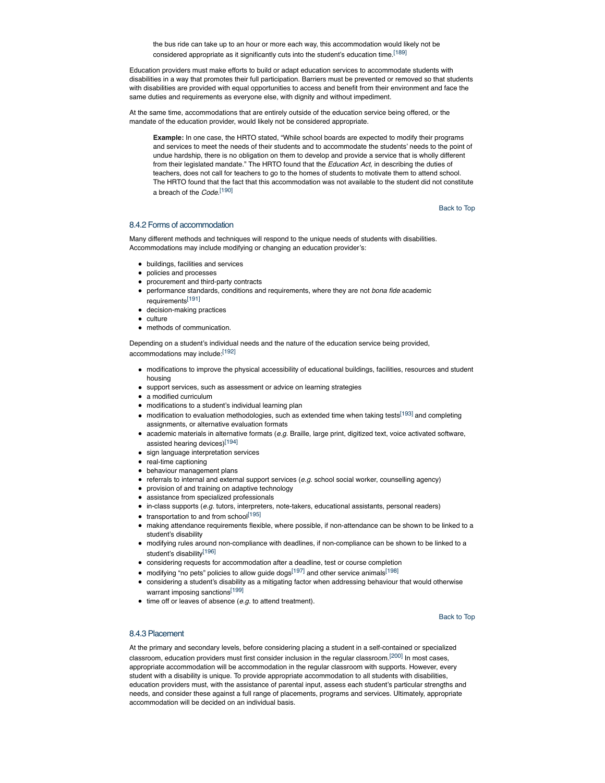the bus ride can take up to an hour or more each way, this accommodation would likely not be considered appropriate as it significantly cuts into the student's education time.<sup>[189]</sup>

Education providers must make efforts to build or adapt education services to accommodate students with disabilities in a way that promotes their full participation. Barriers must be prevented or removed so that students with disabilities are provided with equal opportunities to access and benefit from their environment and face the same duties and requirements as everyone else, with dignity and without impediment.

At the same time, accommodations that are entirely outside of the education service being offered, or the mandate of the education provider, would likely not be considered appropriate.

**Example:** In one case, the HRTO stated, "While school boards are expected to modify their programs and services to meet the needs of their students and to accommodate the students' needs to the point of undue hardship, there is no obligation on them to develop and provide a service that is wholly different from their legislated mandate." The HRTO found that the *Education Act*, in describing the duties of teachers, does not call for teachers to go to the homes of students to motivate them to attend school. The HRTO found that the fact that this accommodation was not available to the student did not constitute a breach of the *Code*. [190]

Back to Top

## 8.4.2 Forms of accommodation

Many different methods and techniques will respond to the unique needs of students with disabilities. Accommodations may include modifying or changing an education provider's:

- buildings, facilities and services
- policies and processes
- procurement and third-party contracts
- performance standards, conditions and requirements, where they are not *bona fide* academic requirements[191]
- decision-making practices
- **culture**
- methods of communication.

Depending on a student's individual needs and the nature of the education service being provided, accommodations may include:[192]

- modifications to improve the physical accessibility of educational buildings, facilities, resources and student housing
- support services, such as assessment or advice on learning strategies
- a modified curriculum
- modifications to a student's individual learning plan
- modification to evaluation methodologies, such as extended time when taking tests<sup>[193]</sup> and completing assignments, or alternative evaluation formats
- academic materials in alternative formats (*e.g.* Braille, large print, digitized text, voice activated software, assisted hearing devices)[194]
- sign language interpretation services
- real-time captioning
- behaviour management plans
- referrals to internal and external support services (*e.g.* school social worker, counselling agency)
- provision of and training on adaptive technology
- assistance from specialized professionals
- in-class supports (*e.g.* tutors, interpreters, note-takers, educational assistants, personal readers)
- $\bullet$  transportation to and from school<sup>[195]</sup>
- making attendance requirements flexible, where possible, if non-attendance can be shown to be linked to a student's disability
- modifying rules around non-compliance with deadlines, if non-compliance can be shown to be linked to a student's disability<sup>[196]</sup>
- considering requests for accommodation after a deadline, test or course completion
- $\bullet$  modifying "no pets" policies to allow guide dogs<sup>[197]</sup> and other service animals<sup>[198]</sup>
- considering a student's disability as a mitigating factor when addressing behaviour that would otherwise warrant imposing sanctions<sup>[199]</sup>
- time off or leaves of absence (*e.g.* to attend treatment).

Back to Top

### 8.4.3 Placement

At the primary and secondary levels, before considering placing a student in a self-contained or specialized classroom, education providers must first consider inclusion in the regular classroom.<sup>[200]</sup> In most cases, appropriate accommodation will be accommodation in the regular classroom with supports. However, every student with a disability is unique. To provide appropriate accommodation to all students with disabilities, education providers must, with the assistance of parental input, assess each student's particular strengths and needs, and consider these against a full range of placements, programs and services. Ultimately, appropriate accommodation will be decided on an individual basis.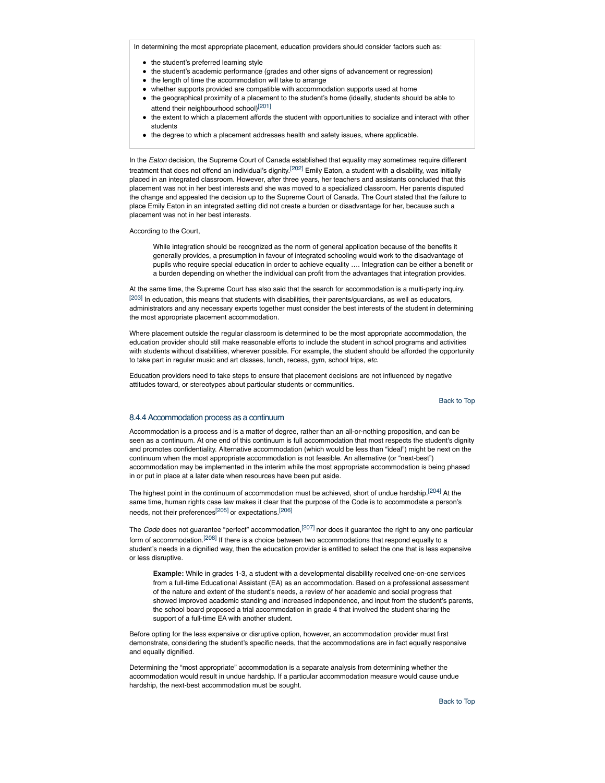In determining the most appropriate placement, education providers should consider factors such as:

- the student's preferred learning style
- the student's academic performance (grades and other signs of advancement or regression)
- the length of time the accommodation will take to arrange
- whether supports provided are compatible with accommodation supports used at home
- the geographical proximity of a placement to the student's home (ideally, students should be able to attend their neighbourhood school)<sup>[201]</sup>
- the extent to which a placement affords the student with opportunities to socialize and interact with other students
- the degree to which a placement addresses health and safety issues, where applicable.

In the *Eaton* decision, the Supreme Court of Canada established that equality may sometimes require different treatment that does not offend an individual's dignity.<sup>[202]</sup> Emily Eaton, a student with a disability, was initially placed in an integrated classroom. However, after three years, her teachers and assistants concluded that this placement was not in her best interests and she was moved to a specialized classroom. Her parents disputed the change and appealed the decision up to the Supreme Court of Canada. The Court stated that the failure to place Emily Eaton in an integrated setting did not create a burden or disadvantage for her, because such a placement was not in her best interests.

According to the Court,

While integration should be recognized as the norm of general application because of the benefits it generally provides, a presumption in favour of integrated schooling would work to the disadvantage of pupils who require special education in order to achieve equality …. Integration can be either a benefit or a burden depending on whether the individual can profit from the advantages that integration provides.

At the same time, the Supreme Court has also said that the search for accommodation is a multi-party inquiry.  $[203]$  In education, this means that students with disabilities, their parents/guardians, as well as educators, administrators and any necessary experts together must consider the best interests of the student in determining the most appropriate placement accommodation.

Where placement outside the regular classroom is determined to be the most appropriate accommodation, the education provider should still make reasonable efforts to include the student in school programs and activities with students without disabilities, wherever possible. For example, the student should be afforded the opportunity to take part in regular music and art classes, lunch, recess, gym, school trips, *etc*.

Education providers need to take steps to ensure that placement decisions are not influenced by negative attitudes toward, or stereotypes about particular students or communities.

Back to Top

### 8.4.4 Accommodation process as a continuum

Accommodation is a process and is a matter of degree, rather than an all-or-nothing proposition, and can be seen as a continuum. At one end of this continuum is full accommodation that most respects the student's dignity and promotes confidentiality. Alternative accommodation (which would be less than "ideal") might be next on the continuum when the most appropriate accommodation is not feasible. An alternative (or "next-best") accommodation may be implemented in the interim while the most appropriate accommodation is being phased in or put in place at a later date when resources have been put aside.

The highest point in the continuum of accommodation must be achieved, short of undue hardship.<sup>[204]</sup> At the same time, human rights case law makes it clear that the purpose of the Code is to accommodate a person's needs, not their preferences[205] or expectations.[206]

The *Code* does not guarantee "perfect" accommodation,[207] nor does it guarantee the right to any one particular form of accommodation.[208] If there is a choice between two accommodations that respond equally to a student's needs in a dignified way, then the education provider is entitled to select the one that is less expensive or less disruptive.

**Example:** While in grades 1-3, a student with a developmental disability received one-on-one services from a full-time Educational Assistant (EA) as an accommodation. Based on a professional assessment of the nature and extent of the student's needs, a review of her academic and social progress that showed improved academic standing and increased independence, and input from the student's parents, the school board proposed a trial accommodation in grade 4 that involved the student sharing the support of a full-time EA with another student.

Before opting for the less expensive or disruptive option, however, an accommodation provider must first demonstrate, considering the student's specific needs, that the accommodations are in fact equally responsive and equally dignified.

Determining the "most appropriate" accommodation is a separate analysis from determining whether the accommodation would result in undue hardship. If a particular accommodation measure would cause undue hardship, the next-best accommodation must be sought.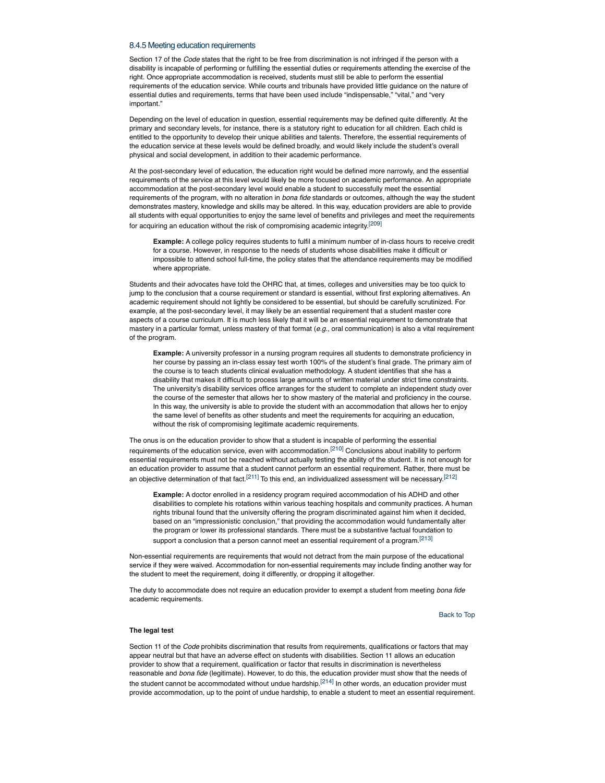#### 8.4.5 Meeting education requirements

Section 17 of the *Code* states that the right to be free from discrimination is not infringed if the person with a disability is incapable of performing or fulfilling the essential duties or requirements attending the exercise of the right. Once appropriate accommodation is received, students must still be able to perform the essential requirements of the education service. While courts and tribunals have provided little guidance on the nature of essential duties and requirements, terms that have been used include "indispensable," "vital," and "very important."

Depending on the level of education in question, essential requirements may be defined quite differently. At the primary and secondary levels, for instance, there is a statutory right to education for all children. Each child is entitled to the opportunity to develop their unique abilities and talents. Therefore, the essential requirements of the education service at these levels would be defined broadly, and would likely include the student's overall physical and social development, in addition to their academic performance.

At the post-secondary level of education, the education right would be defined more narrowly, and the essential requirements of the service at this level would likely be more focused on academic performance. An appropriate accommodation at the post-secondary level would enable a student to successfully meet the essential requirements of the program, with no alteration in *bona fide* standards or outcomes, although the way the student demonstrates mastery, knowledge and skills may be altered. In this way, education providers are able to provide all students with equal opportunities to enjoy the same level of benefits and privileges and meet the requirements for acquiring an education without the risk of compromising academic integrity.[209]

**Example:** A college policy requires students to fulfil a minimum number of in-class hours to receive credit for a course. However, in response to the needs of students whose disabilities make it difficult or impossible to attend school full-time, the policy states that the attendance requirements may be modified where appropriate.

Students and their advocates have told the OHRC that, at times, colleges and universities may be too quick to jump to the conclusion that a course requirement or standard is essential, without first exploring alternatives. An academic requirement should not lightly be considered to be essential, but should be carefully scrutinized. For example, at the post-secondary level, it may likely be an essential requirement that a student master core aspects of a course curriculum. It is much less likely that it will be an essential requirement to demonstrate that mastery in a particular format, unless mastery of that format (*e.g*., oral communication) is also a vital requirement of the program.

**Example:** A university professor in a nursing program requires all students to demonstrate proficiency in her course by passing an in-class essay test worth 100% of the student's final grade. The primary aim of the course is to teach students clinical evaluation methodology. A student identifies that she has a disability that makes it difficult to process large amounts of written material under strict time constraints. The university's disability services office arranges for the student to complete an independent study over the course of the semester that allows her to show mastery of the material and proficiency in the course. In this way, the university is able to provide the student with an accommodation that allows her to enjoy the same level of benefits as other students and meet the requirements for acquiring an education, without the risk of compromising legitimate academic requirements.

The onus is on the education provider to show that a student is incapable of performing the essential requirements of the education service, even with accommodation.<sup>[210]</sup> Conclusions about inability to perform essential requirements must not be reached without actually testing the ability of the student. It is not enough for an education provider to assume that a student cannot perform an essential requirement. Rather, there must be an objective determination of that fact.<sup>[211]</sup> To this end, an individualized assessment will be necessary.<sup>[212]</sup>

**Example:** A doctor enrolled in a residency program required accommodation of his ADHD and other disabilities to complete his rotations within various teaching hospitals and community practices. A human rights tribunal found that the university offering the program discriminated against him when it decided, based on an "impressionistic conclusion," that providing the accommodation would fundamentally alter the program or lower its professional standards. There must be a substantive factual foundation to support a conclusion that a person cannot meet an essential requirement of a program.<sup>[213]</sup>

Non-essential requirements are requirements that would not detract from the main purpose of the educational service if they were waived. Accommodation for non-essential requirements may include finding another way for the student to meet the requirement, doing it differently, or dropping it altogether.

The duty to accommodate does not require an education provider to exempt a student from meeting *bona fide* academic requirements.

Back to Top

#### **The legal test**

Section 11 of the *Code* prohibits discrimination that results from requirements, qualifications or factors that may appear neutral but that have an adverse effect on students with disabilities. Section 11 allows an education provider to show that a requirement, qualification or factor that results in discrimination is nevertheless reasonable and *bona fide* (legitimate). However, to do this, the education provider must show that the needs of the student cannot be accommodated without undue hardship.<sup>[214]</sup> In other words, an education provider must provide accommodation, up to the point of undue hardship, to enable a student to meet an essential requirement.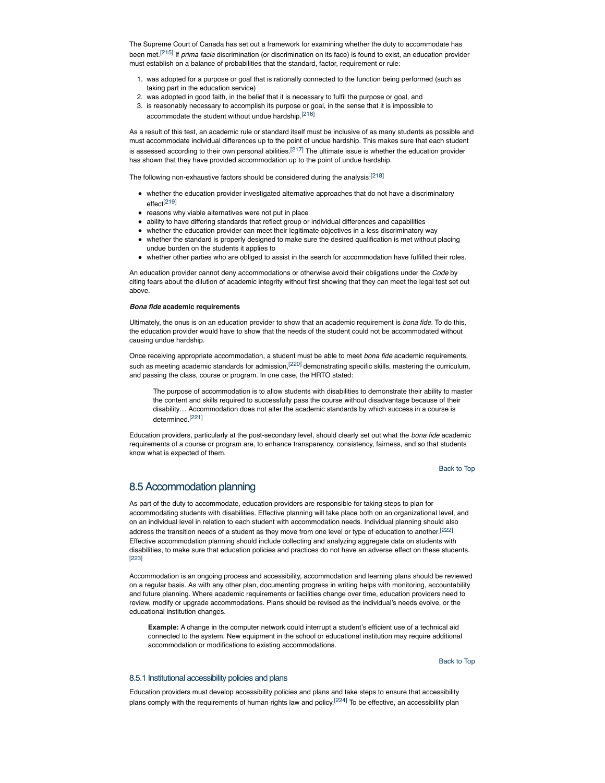The Supreme Court of Canada has set out a framework for examining whether the duty to accommodate has been met.[215] If *prima facie* discrimination (or discrimination on its face) is found to exist, an education provider must establish on a balance of probabilities that the standard, factor, requirement or rule:

- 1. was adopted for a purpose or goal that is rationally connected to the function being performed (such as taking part in the education service)
- 2. was adopted in good faith, in the belief that it is necessary to fulfil the purpose or goal, and
- 3. is reasonably necessary to accomplish its purpose or goal, in the sense that it is impossible to accommodate the student without undue hardship.[216]

As a result of this test, an academic rule or standard itself must be inclusive of as many students as possible and must accommodate individual differences up to the point of undue hardship. This makes sure that each student is assessed according to their own personal abilities.<sup>[217]</sup> The ultimate issue is whether the education provider has shown that they have provided accommodation up to the point of undue hardship.

The following non-exhaustive factors should be considered during the analysis:<sup>[218]</sup>

- whether the education provider investigated alternative approaches that do not have a discriminatory effect[219]
- reasons why viable alternatives were not put in place
- ability to have differing standards that reflect group or individual differences and capabilities
- whether the education provider can meet their legitimate objectives in a less discriminatory way
- whether the standard is properly designed to make sure the desired qualification is met without placing undue burden on the students it applies to
- whether other parties who are obliged to assist in the search for accommodation have fulfilled their roles.

An education provider cannot deny accommodations or otherwise avoid their obligations under the *Code* by citing fears about the dilution of academic integrity without first showing that they can meet the legal test set out above.

#### *Bona fide* **academic requirements**

Ultimately, the onus is on an education provider to show that an academic requirement is *bona fide.* To do this, the education provider would have to show that the needs of the student could not be accommodated without causing undue hardship.

Once receiving appropriate accommodation, a student must be able to meet *bona fide* academic requirements, such as meeting academic standards for admission,<sup>[220]</sup> demonstrating specific skills, mastering the curriculum, and passing the class, course or program. In one case, the HRTO stated:

The purpose of accommodation is to allow students with disabilities to demonstrate their ability to master the content and skills required to successfully pass the course without disadvantage because of their disability… Accommodation does not alter the academic standards by which success in a course is determined.[221]

Education providers, particularly at the post-secondary level, should clearly set out what the *bona fide* academic requirements of a course or program are, to enhance transparency, consistency, fairness, and so that students know what is expected of them.

Back to Top

# 8.5 Accommodation planning

As part of the duty to accommodate, education providers are responsible for taking steps to plan for accommodating students with disabilities. Effective planning will take place both on an organizational level, and on an individual level in relation to each student with accommodation needs. Individual planning should also address the transition needs of a student as they move from one level or type of education to another.<sup>[222]</sup> Effective accommodation planning should include collecting and analyzing aggregate data on students with disabilities, to make sure that education policies and practices do not have an adverse effect on these students. [223]

Accommodation is an ongoing process and accessibility, accommodation and learning plans should be reviewed on a regular basis. As with any other plan, documenting progress in writing helps with monitoring, accountability and future planning. Where academic requirements or facilities change over time, education providers need to review, modify or upgrade accommodations. Plans should be revised as the individual's needs evolve, or the educational institution changes.

**Example:** A change in the computer network could interrupt a student's efficient use of a technical aid connected to the system. New equipment in the school or educational institution may require additional accommodation or modifications to existing accommodations.

Back to Top

### 8.5.1 Institutional accessibility policies and plans

Education providers must develop accessibility policies and plans and take steps to ensure that accessibility plans comply with the requirements of human rights law and policy.<sup>[224]</sup> To be effective, an accessibility plan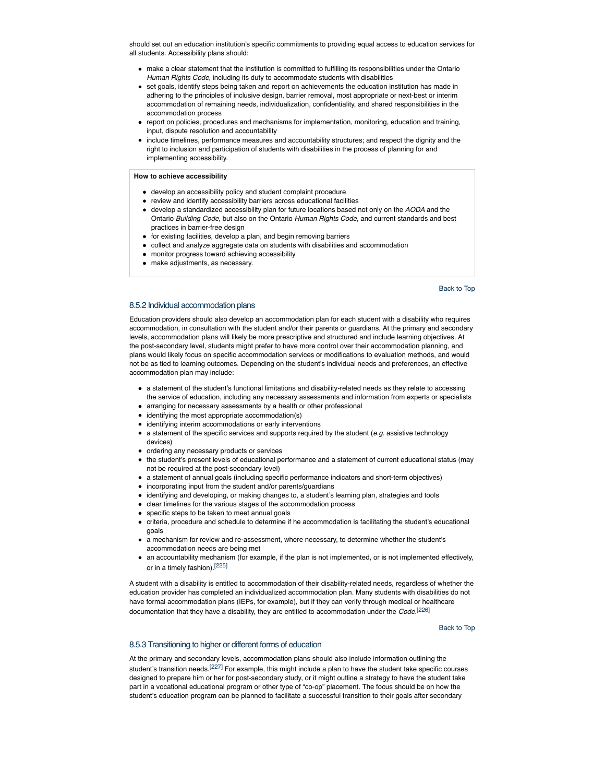should set out an education institution's specific commitments to providing equal access to education services for all students. Accessibility plans should:

- make a clear statement that the institution is committed to fulfilling its responsibilities under the Ontario *Human Rights Code*, including its duty to accommodate students with disabilities
- set goals, identify steps being taken and report on achievements the education institution has made in adhering to the principles of inclusive design, barrier removal, most appropriate or next-best or interim accommodation of remaining needs, individualization, confidentiality, and shared responsibilities in the accommodation process
- report on policies, procedures and mechanisms for implementation, monitoring, education and training, input, dispute resolution and accountability
- include timelines, performance measures and accountability structures; and respect the dignity and the right to inclusion and participation of students with disabilities in the process of planning for and implementing accessibility.

**How to achieve accessibility**

- develop an accessibility policy and student complaint procedure
- review and identify accessibility barriers across educational facilities
- develop a standardized accessibility plan for future locations based not only on the *AODA* and the Ontario *Building Code*, but also on the Ontario *Human Rights Code*, and current standards and best practices in barrier-free design
- for existing facilities, develop a plan, and begin removing barriers
- collect and analyze aggregate data on students with disabilities and accommodation
- monitor progress toward achieving accessibility
- make adjustments, as necessary.

Back to Top

### 8.5.2 Individual accommodation plans

Education providers should also develop an accommodation plan for each student with a disability who requires accommodation, in consultation with the student and/or their parents or guardians. At the primary and secondary levels, accommodation plans will likely be more prescriptive and structured and include learning objectives. At the post-secondary level, students might prefer to have more control over their accommodation planning, and plans would likely focus on specific accommodation services or modifications to evaluation methods, and would not be as tied to learning outcomes. Depending on the student's individual needs and preferences, an effective accommodation plan may include:

- a statement of the student's functional limitations and disability-related needs as they relate to accessing the service of education, including any necessary assessments and information from experts or specialists
- arranging for necessary assessments by a health or other professional
- $\bullet$  identifying the most appropriate accommodation(s)
- identifying interim accommodations or early interventions
- a statement of the specific services and supports required by the student (*e.g.* assistive technology devices)
- ordering any necessary products or services
- the student's present levels of educational performance and a statement of current educational status (may not be required at the post-secondary level)
- a statement of annual goals (including specific performance indicators and short-term objectives)
- incorporating input from the student and/or parents/guardians
- identifying and developing, or making changes to, a student's learning plan, strategies and tools
- clear timelines for the various stages of the accommodation process
- specific steps to be taken to meet annual goals
- criteria, procedure and schedule to determine if he accommodation is facilitating the student's educational goals
- a mechanism for review and re-assessment, where necessary, to determine whether the student's accommodation needs are being met
- an accountability mechanism (for example, if the plan is not implemented, or is not implemented effectively, or in a timely fashion).[225]

A student with a disability is entitled to accommodation of their disability-related needs, regardless of whether the education provider has completed an individualized accommodation plan. Many students with disabilities do not have formal accommodation plans (IEPs, for example), but if they can verify through medical or healthcare documentation that they have a disability, they are entitled to accommodation under the *Code.*[226]

Back to Top

#### 8.5.3 Transitioning to higher or different forms of education

At the primary and secondary levels, accommodation plans should also include information outlining the student's transition needs.<sup>[227]</sup> For example, this might include a plan to have the student take specific courses designed to prepare him or her for post-secondary study, or it might outline a strategy to have the student take part in a vocational educational program or other type of "co-op" placement. The focus should be on how the student's education program can be planned to facilitate a successful transition to their goals after secondary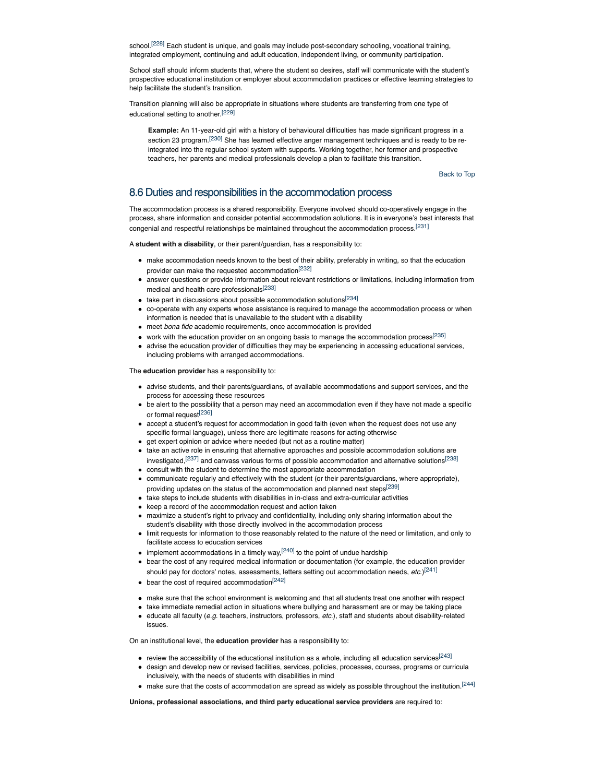school.<sup>[228]</sup> Each student is unique, and goals may include post-secondary schooling, vocational training, integrated employment, continuing and adult education, independent living, or community participation.

School staff should inform students that, where the student so desires, staff will communicate with the student's prospective educational institution or employer about accommodation practices or effective learning strategies to help facilitate the student's transition.

Transition planning will also be appropriate in situations where students are transferring from one type of educational setting to another.[229]

**Example:** An 11-year-old girl with a history of behavioural difficulties has made significant progress in a section 23 program.<sup>[230]</sup> She has learned effective anger management techniques and is ready to be reintegrated into the regular school system with supports. Working together, her former and prospective teachers, her parents and medical professionals develop a plan to facilitate this transition.

Back to Top

## 8.6 Duties and responsibilities in the accommodation process

The accommodation process is a shared responsibility. Everyone involved should co-operatively engage in the process, share information and consider potential accommodation solutions. It is in everyone's best interests that congenial and respectful relationships be maintained throughout the accommodation process.<sup>[231]</sup>

A **student with a disability**, or their parent/guardian, has a responsibility to:

- make accommodation needs known to the best of their ability, preferably in writing, so that the education provider can make the requested accommodation[232]
- answer questions or provide information about relevant restrictions or limitations, including information from medical and health care professionals[233]
- $\bullet$  take part in discussions about possible accommodation solutions<sup>[234]</sup>
- co-operate with any experts whose assistance is required to manage the accommodation process or when information is needed that is unavailable to the student with a disability
- meet *bona fide* academic requirements, once accommodation is provided
- work with the education provider on an ongoing basis to manage the accommodation process<sup>[235]</sup>
- advise the education provider of difficulties they may be experiencing in accessing educational services, including problems with arranged accommodations.

The **education provider** has a responsibility to:

- advise students, and their parents/guardians, of available accommodations and support services, and the process for accessing these resources
- be alert to the possibility that a person may need an accommodation even if they have not made a specific or formal request<sup>[236]</sup>
- accept a student's request for accommodation in good faith (even when the request does not use any specific formal language), unless there are legitimate reasons for acting otherwise
- or det expert opinion or advice where needed (but not as a routine matter)
- take an active role in ensuring that alternative approaches and possible accommodation solutions are investigated,<sup>[237]</sup> and canvass various forms of possible accommodation and alternative solutions<sup>[238]</sup>
- consult with the student to determine the most appropriate accommodation communicate regularly and effectively with the student (or their parents/guardians, where appropriate), providing updates on the status of the accommodation and planned next steps<sup>[239]</sup>
- take steps to include students with disabilities in in-class and extra-curricular activities
- keep a record of the accommodation request and action taken
- maximize a student's right to privacy and confidentiality, including only sharing information about the student's disability with those directly involved in the accommodation process
- limit requests for information to those reasonably related to the nature of the need or limitation, and only to facilitate access to education services
- $\bullet$  implement accommodations in a timely way,  $^{[240]}$  to the point of undue hardship
- bear the cost of any required medical information or documentation (for example, the education provider should pay for doctors' notes, assessments, letters setting out accommodation needs, *etc*.)[241]
- $\bullet$  bear the cost of required accommodation<sup>[242]</sup>
- make sure that the school environment is welcoming and that all students treat one another with respect
- take immediate remedial action in situations where bullying and harassment are or may be taking place
- $\bullet$  educate all faculty (*e.g.* teachers, instructors, professors, *etc.*), staff and students about disability-related issues.

On an institutional level, the **education provider** has a responsibility to:

- $\bullet$  review the accessibility of the educational institution as a whole, including all education services<sup>[243]</sup>
- design and develop new or revised facilities, services, policies, processes, courses, programs or curricula inclusively, with the needs of students with disabilities in mind
- make sure that the costs of accommodation are spread as widely as possible throughout the institution.<sup>[244]</sup>

**Unions, professional associations, and third party educational service providers** are required to: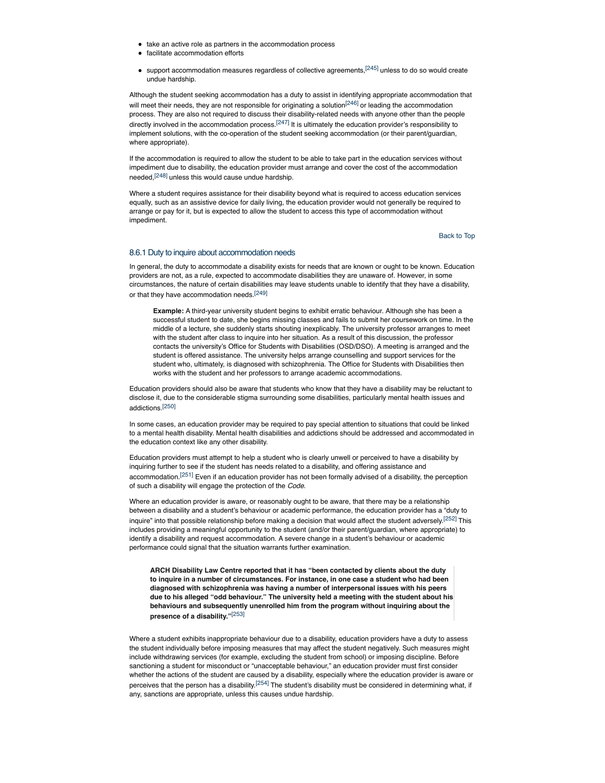- take an active role as partners in the accommodation process
- facilitate accommodation efforts
- $\bullet$  support accommodation measures regardless of collective agreements,  $[245]$  unless to do so would create undue hardship.

Although the student seeking accommodation has a duty to assist in identifying appropriate accommodation that will meet their needs, they are not responsible for originating a solution<sup>[246]</sup> or leading the accommodation process. They are also not required to discuss their disability-related needs with anyone other than the people directly involved in the accommodation process.<sup>[247]</sup> It is ultimately the education provider's responsibility to implement solutions, with the co-operation of the student seeking accommodation (or their parent/guardian, where appropriate).

If the accommodation is required to allow the student to be able to take part in the education services without impediment due to disability, the education provider must arrange and cover the cost of the accommodation needed,[248] unless this would cause undue hardship.

Where a student requires assistance for their disability beyond what is required to access education services equally, such as an assistive device for daily living, the education provider would not generally be required to arrange or pay for it, but is expected to allow the student to access this type of accommodation without impediment.

Back to Top

### 8.6.1 Duty to inquire about accommodation needs

In general, the duty to accommodate a disability exists for needs that are known or ought to be known. Education providers are not, as a rule, expected to accommodate disabilities they are unaware of. However, in some circumstances, the nature of certain disabilities may leave students unable to identify that they have a disability, or that they have accommodation needs.[249]

**Example:** A third-year university student begins to exhibit erratic behaviour. Although she has been a successful student to date, she begins missing classes and fails to submit her coursework on time. In the middle of a lecture, she suddenly starts shouting inexplicably. The university professor arranges to meet with the student after class to inquire into her situation. As a result of this discussion, the professor contacts the university's Office for Students with Disabilities (OSD/DSO). A meeting is arranged and the student is offered assistance. The university helps arrange counselling and support services for the student who, ultimately, is diagnosed with schizophrenia. The Office for Students with Disabilities then works with the student and her professors to arrange academic accommodations.

Education providers should also be aware that students who know that they have a disability may be reluctant to disclose it, due to the considerable stigma surrounding some disabilities, particularly mental health issues and addictions.[250]

In some cases, an education provider may be required to pay special attention to situations that could be linked to a mental health disability. Mental health disabilities and addictions should be addressed and accommodated in the education context like any other disability.

Education providers must attempt to help a student who is clearly unwell or perceived to have a disability by inquiring further to see if the student has needs related to a disability, and offering assistance and accommodation.<sup>[251]</sup> Even if an education provider has not been formally advised of a disability, the perception of such a disability will engage the protection of the *Code*.

Where an education provider is aware, or reasonably ought to be aware, that there may be a relationship between a disability and a student's behaviour or academic performance, the education provider has a "duty to inquire" into that possible relationship before making a decision that would affect the student adversely.<sup>[252]</sup> This includes providing a meaningful opportunity to the student (and/or their parent/guardian, where appropriate) to identify a disability and request accommodation. A severe change in a student's behaviour or academic performance could signal that the situation warrants further examination.

**ARCH Disability Law Centre reported that it has "been contacted by clients about the duty to inquire in a number of circumstances. For instance, in one case a student who had been diagnosed with schizophrenia was having a number of interpersonal issues with his peers due to his alleged "odd behaviour." The university held a meeting with the student about his behaviours and subsequently unenrolled him from the program without inquiring about the presence of a disability."**[253]

Where a student exhibits inappropriate behaviour due to a disability, education providers have a duty to assess the student individually before imposing measures that may affect the student negatively. Such measures might include withdrawing services (for example, excluding the student from school) or imposing discipline. Before sanctioning a student for misconduct or "unacceptable behaviour," an education provider must first consider whether the actions of the student are caused by a disability, especially where the education provider is aware or perceives that the person has a disability.<sup>[254]</sup> The student's disability must be considered in determining what, if any, sanctions are appropriate, unless this causes undue hardship.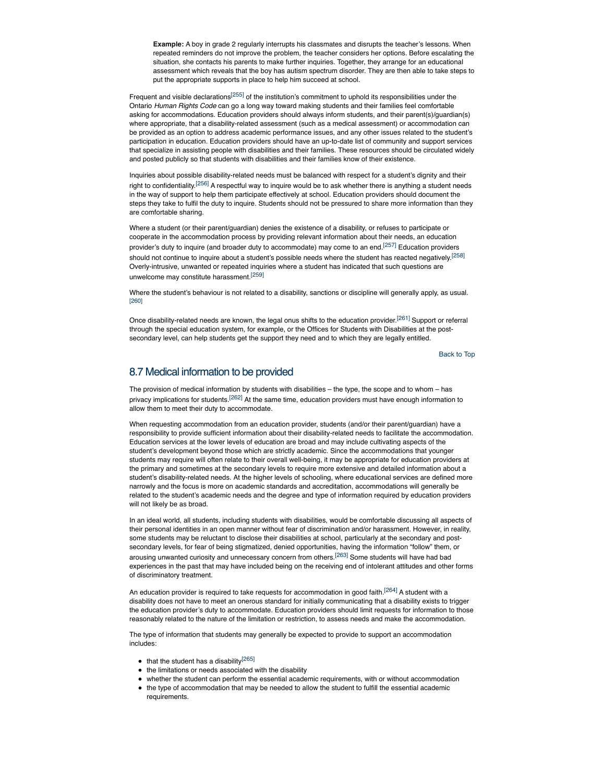**Example:** A boy in grade 2 regularly interrupts his classmates and disrupts the teacher's lessons. When repeated reminders do not improve the problem, the teacher considers her options. Before escalating the situation, she contacts his parents to make further inquiries. Together, they arrange for an educational assessment which reveals that the boy has autism spectrum disorder. They are then able to take steps to put the appropriate supports in place to help him succeed at school.

Frequent and visible declarations<sup>[255]</sup> of the institution's commitment to uphold its responsibilities under the Ontario *Human Rights Code* can go a long way toward making students and their families feel comfortable asking for accommodations. Education providers should always inform students, and their parent(s)/guardian(s) where appropriate, that a disability-related assessment (such as a medical assessment) or accommodation can be provided as an option to address academic performance issues, and any other issues related to the student's participation in education. Education providers should have an up-to-date list of community and support services that specialize in assisting people with disabilities and their families. These resources should be circulated widely and posted publicly so that students with disabilities and their families know of their existence.

Inquiries about possible disability-related needs must be balanced with respect for a student's dignity and their right to confidentiality.<sup>[256]</sup> A respectful way to inquire would be to ask whether there is anything a student needs in the way of support to help them participate effectively at school. Education providers should document the steps they take to fulfil the duty to inquire. Students should not be pressured to share more information than they are comfortable sharing.

Where a student (or their parent/guardian) denies the existence of a disability, or refuses to participate or cooperate in the accommodation process by providing relevant information about their needs, an education provider's duty to inquire (and broader duty to accommodate) may come to an end.<sup>[257]</sup> Education providers should not continue to inquire about a student's possible needs where the student has reacted negatively.<sup>[258]</sup> Overly-intrusive, unwanted or repeated inquiries where a student has indicated that such questions are unwelcome may constitute harassment.[259]

Where the student's behaviour is not related to a disability, sanctions or discipline will generally apply, as usual. [260]

Once disability-related needs are known, the legal onus shifts to the education provider.<sup>[261]</sup> Support or referral through the special education system, for example, or the Offices for Students with Disabilities at the postsecondary level, can help students get the support they need and to which they are legally entitled.

Back to Top

# 8.7 Medical information to be provided

The provision of medical information by students with disabilities – the type, the scope and to whom – has privacy implications for students.<sup>[262]</sup> At the same time, education providers must have enough information to allow them to meet their duty to accommodate.

When requesting accommodation from an education provider, students (and/or their parent/guardian) have a responsibility to provide sufficient information about their disability-related needs to facilitate the accommodation. Education services at the lower levels of education are broad and may include cultivating aspects of the student's development beyond those which are strictly academic. Since the accommodations that younger students may require will often relate to their overall well-being, it may be appropriate for education providers at the primary and sometimes at the secondary levels to require more extensive and detailed information about a student's disability-related needs. At the higher levels of schooling, where educational services are defined more narrowly and the focus is more on academic standards and accreditation, accommodations will generally be related to the student's academic needs and the degree and type of information required by education providers will not likely be as broad.

In an ideal world, all students, including students with disabilities, would be comfortable discussing all aspects of their personal identities in an open manner without fear of discrimination and/or harassment. However, in reality, some students may be reluctant to disclose their disabilities at school, particularly at the secondary and postsecondary levels, for fear of being stigmatized, denied opportunities, having the information "follow" them, or arousing unwanted curiosity and unnecessary concern from others.<sup>[263]</sup> Some students will have had bad experiences in the past that may have included being on the receiving end of intolerant attitudes and other forms of discriminatory treatment.

An education provider is required to take requests for accommodation in good faith.<sup>[264]</sup> A student with a disability does not have to meet an onerous standard for initially communicating that a disability exists to trigger the education provider's duty to accommodate. Education providers should limit requests for information to those reasonably related to the nature of the limitation or restriction, to assess needs and make the accommodation.

The type of information that students may generally be expected to provide to support an accommodation includes:

- $\bullet$  that the student has a disability<sup>[265]</sup>
- the limitations or needs associated with the disability
- whether the student can perform the essential academic requirements, with or without accommodation
- the type of accommodation that may be needed to allow the student to fulfill the essential academic requirements.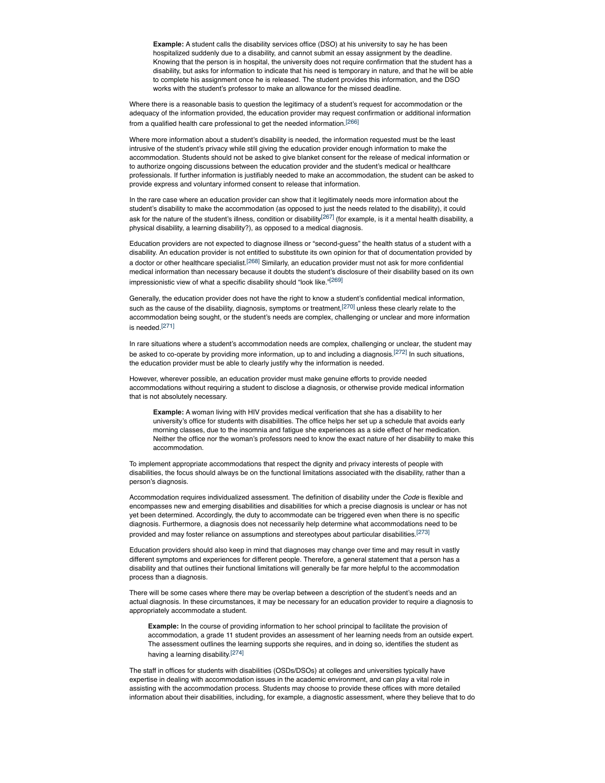**Example:** A student calls the disability services office (DSO) at his university to say he has been hospitalized suddenly due to a disability, and cannot submit an essay assignment by the deadline. Knowing that the person is in hospital, the university does not require confirmation that the student has a disability, but asks for information to indicate that his need is temporary in nature, and that he will be able to complete his assignment once he is released. The student provides this information, and the DSO works with the student's professor to make an allowance for the missed deadline.

Where there is a reasonable basis to question the legitimacy of a student's request for accommodation or the adequacy of the information provided, the education provider may request confirmation or additional information from a qualified health care professional to get the needed information.[266]

Where more information about a student's disability is needed, the information requested must be the least intrusive of the student's privacy while still giving the education provider enough information to make the accommodation. Students should not be asked to give blanket consent for the release of medical information or to authorize ongoing discussions between the education provider and the student's medical or healthcare professionals. If further information is justifiably needed to make an accommodation, the student can be asked to provide express and voluntary informed consent to release that information.

In the rare case where an education provider can show that it legitimately needs more information about the student's disability to make the accommodation (as opposed to just the needs related to the disability), it could ask for the nature of the student's illness, condition or disability<sup>[267]</sup> (for example, is it a mental health disability, a physical disability, a learning disability?), as opposed to a medical diagnosis.

Education providers are not expected to diagnose illness or "second-guess" the health status of a student with a disability. An education provider is not entitled to substitute its own opinion for that of documentation provided by a doctor or other healthcare specialist.<sup>[268]</sup> Similarly, an education provider must not ask for more confidential medical information than necessary because it doubts the student's disclosure of their disability based on its own impressionistic view of what a specific disability should "look like."<sup>[269]</sup>

Generally, the education provider does not have the right to know a student's confidential medical information, such as the cause of the disability, diagnosis, symptoms or treatment,<sup>[270]</sup> unless these clearly relate to the accommodation being sought, or the student's needs are complex, challenging or unclear and more information is needed.[271]

In rare situations where a student's accommodation needs are complex, challenging or unclear, the student may be asked to co-operate by providing more information, up to and including a diagnosis.<sup>[272]</sup> In such situations, the education provider must be able to clearly justify why the information is needed.

However, wherever possible, an education provider must make genuine efforts to provide needed accommodations without requiring a student to disclose a diagnosis, or otherwise provide medical information that is not absolutely necessary.

**Example:** A woman living with HIV provides medical verification that she has a disability to her university's office for students with disabilities. The office helps her set up a schedule that avoids early morning classes, due to the insomnia and fatigue she experiences as a side effect of her medication. Neither the office nor the woman's professors need to know the exact nature of her disability to make this accommodation.

To implement appropriate accommodations that respect the dignity and privacy interests of people with disabilities, the focus should always be on the functional limitations associated with the disability, rather than a person's diagnosis.

Accommodation requires individualized assessment. The definition of disability under the *Code* is flexible and encompasses new and emerging disabilities and disabilities for which a precise diagnosis is unclear or has not yet been determined. Accordingly, the duty to accommodate can be triggered even when there is no specific diagnosis. Furthermore, a diagnosis does not necessarily help determine what accommodations need to be provided and may foster reliance on assumptions and stereotypes about particular disabilities.[273]

Education providers should also keep in mind that diagnoses may change over time and may result in vastly different symptoms and experiences for different people. Therefore, a general statement that a person has a disability and that outlines their functional limitations will generally be far more helpful to the accommodation process than a diagnosis.

There will be some cases where there may be overlap between a description of the student's needs and an actual diagnosis. In these circumstances, it may be necessary for an education provider to require a diagnosis to appropriately accommodate a student.

**Example:** In the course of providing information to her school principal to facilitate the provision of accommodation, a grade 11 student provides an assessment of her learning needs from an outside expert. The assessment outlines the learning supports she requires, and in doing so, identifies the student as having a learning disability.[274]

The staff in offices for students with disabilities (OSDs/DSOs) at colleges and universities typically have expertise in dealing with accommodation issues in the academic environment, and can play a vital role in assisting with the accommodation process. Students may choose to provide these offices with more detailed information about their disabilities, including, for example, a diagnostic assessment, where they believe that to do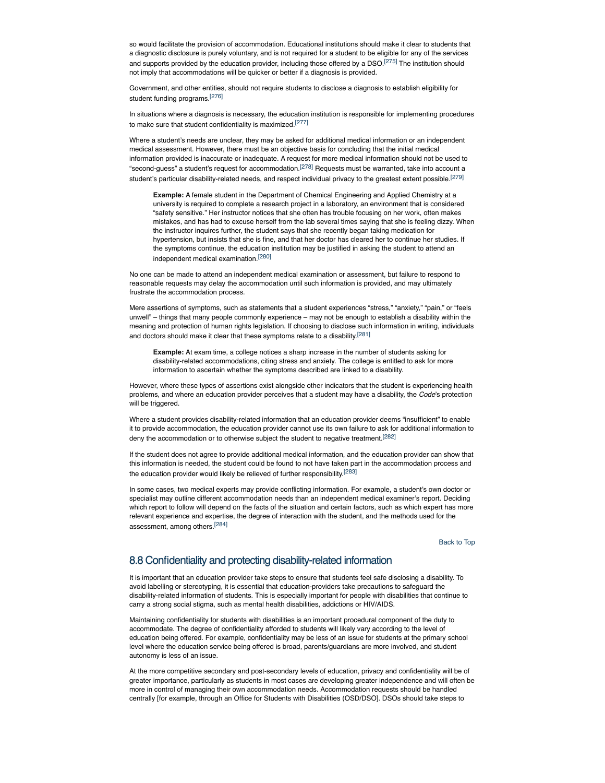so would facilitate the provision of accommodation. Educational institutions should make it clear to students that a diagnostic disclosure is purely voluntary, and is not required for a student to be eligible for any of the services and supports provided by the education provider, including those offered by a DSO.<sup>[275]</sup> The institution should not imply that accommodations will be quicker or better if a diagnosis is provided.

Government, and other entities, should not require students to disclose a diagnosis to establish eligibility for student funding programs.[276]

In situations where a diagnosis is necessary, the education institution is responsible for implementing procedures to make sure that student confidentiality is maximized.[277]

Where a student's needs are unclear, they may be asked for additional medical information or an independent medical assessment. However, there must be an objective basis for concluding that the initial medical information provided is inaccurate or inadequate. A request for more medical information should not be used to "second-guess" a student's request for accommodation.<sup>[278]</sup> Requests must be warranted, take into account a student's particular disability-related needs, and respect individual privacy to the greatest extent possible.[279]

**Example:** A female student in the Department of Chemical Engineering and Applied Chemistry at a university is required to complete a research project in a laboratory, an environment that is considered "safety sensitive." Her instructor notices that she often has trouble focusing on her work, often makes mistakes, and has had to excuse herself from the lab several times saying that she is feeling dizzy. When the instructor inquires further, the student says that she recently began taking medication for hypertension, but insists that she is fine, and that her doctor has cleared her to continue her studies. If the symptoms continue, the education institution may be justified in asking the student to attend an independent medical examination.[280]

No one can be made to attend an independent medical examination or assessment, but failure to respond to reasonable requests may delay the accommodation until such information is provided, and may ultimately frustrate the accommodation process.

Mere assertions of symptoms, such as statements that a student experiences "stress," "anxiety," "pain," or "feels unwell" – things that many people commonly experience – may not be enough to establish a disability within the meaning and protection of human rights legislation. If choosing to disclose such information in writing, individuals and doctors should make it clear that these symptoms relate to a disability.<sup>[281]</sup>

**Example:** At exam time, a college notices a sharp increase in the number of students asking for disability-related accommodations, citing stress and anxiety. The college is entitled to ask for more information to ascertain whether the symptoms described are linked to a disability.

However, where these types of assertions exist alongside other indicators that the student is experiencing health problems, and where an education provider perceives that a student may have a disability, the *Code*'s protection will be triggered.

Where a student provides disability-related information that an education provider deems "insufficient" to enable it to provide accommodation, the education provider cannot use its own failure to ask for additional information to deny the accommodation or to otherwise subject the student to negative treatment.<sup>[282]</sup>

If the student does not agree to provide additional medical information, and the education provider can show that this information is needed, the student could be found to not have taken part in the accommodation process and the education provider would likely be relieved of further responsibility.<sup>[283]</sup>

In some cases, two medical experts may provide conflicting information. For example, a student's own doctor or specialist may outline different accommodation needs than an independent medical examiner's report. Deciding which report to follow will depend on the facts of the situation and certain factors, such as which expert has more relevant experience and expertise, the degree of interaction with the student, and the methods used for the assessment, among others.[284]

Back to Top

# 8.8 Confidentiality and protecting disability-related information

It is important that an education provider take steps to ensure that students feel safe disclosing a disability. To avoid labelling or stereotyping, it is essential that education-providers take precautions to safeguard the disability-related information of students. This is especially important for people with disabilities that continue to carry a strong social stigma, such as mental health disabilities, addictions or HIV/AIDS.

Maintaining confidentiality for students with disabilities is an important procedural component of the duty to accommodate. The degree of confidentiality afforded to students will likely vary according to the level of education being offered. For example, confidentiality may be less of an issue for students at the primary school level where the education service being offered is broad, parents/guardians are more involved, and student autonomy is less of an issue.

At the more competitive secondary and post-secondary levels of education, privacy and confidentiality will be of greater importance, particularly as students in most cases are developing greater independence and will often be more in control of managing their own accommodation needs. Accommodation requests should be handled centrally [for example, through an Office for Students with Disabilities (OSD/DSO]. DSOs should take steps to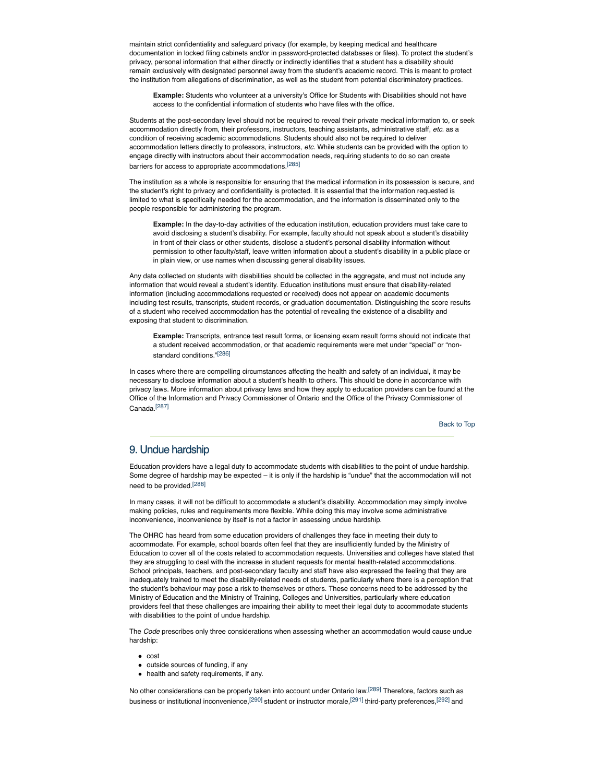maintain strict confidentiality and safeguard privacy (for example, by keeping medical and healthcare documentation in locked filing cabinets and/or in password-protected databases or files). To protect the student's privacy, personal information that either directly or indirectly identifies that a student has a disability should remain exclusively with designated personnel away from the student's academic record. This is meant to protect the institution from allegations of discrimination, as well as the student from potential discriminatory practices.

**Example:** Students who volunteer at a university's Office for Students with Disabilities should not have access to the confidential information of students who have files with the office.

Students at the post-secondary level should not be required to reveal their private medical information to, or seek accommodation directly from, their professors, instructors, teaching assistants, administrative staff, *etc.* as a condition of receiving academic accommodations. Students should also not be required to deliver accommodation letters directly to professors, instructors, *etc.* While students can be provided with the option to engage directly with instructors about their accommodation needs, requiring students to do so can create barriers for access to appropriate accommodations.[285]

The institution as a whole is responsible for ensuring that the medical information in its possession is secure, and the student's right to privacy and confidentiality is protected. It is essential that the information requested is limited to what is specifically needed for the accommodation, and the information is disseminated only to the people responsible for administering the program.

**Example:** In the day-to-day activities of the education institution, education providers must take care to avoid disclosing a student's disability. For example, faculty should not speak about a student's disability in front of their class or other students, disclose a student's personal disability information without permission to other faculty/staff, leave written information about a student's disability in a public place or in plain view, or use names when discussing general disability issues.

Any data collected on students with disabilities should be collected in the aggregate, and must not include any information that would reveal a student's identity. Education institutions must ensure that disability-related information (including accommodations requested or received) does not appear on academic documents including test results, transcripts, student records, or graduation documentation. Distinguishing the score results of a student who received accommodation has the potential of revealing the existence of a disability and exposing that student to discrimination.

**Example:** Transcripts, entrance test result forms, or licensing exam result forms should not indicate that a student received accommodation, or that academic requirements were met under "special" or "nonstandard conditions."[286]

In cases where there are compelling circumstances affecting the health and safety of an individual, it may be necessary to disclose information about a student's health to others. This should be done in accordance with privacy laws. More information about privacy laws and how they apply to education providers can be found at the Office of the Information and Privacy Commissioner of Ontario and the Office of the Privacy Commissioner of Canada.[287]

Back to Top

## 9. Undue hardship

Education providers have a legal duty to accommodate students with disabilities to the point of undue hardship. Some degree of hardship may be expected – it is only if the hardship is "undue" that the accommodation will not need to be provided.<sup>[288]</sup>

In many cases, it will not be difficult to accommodate a student's disability. Accommodation may simply involve making policies, rules and requirements more flexible. While doing this may involve some administrative inconvenience, inconvenience by itself is not a factor in assessing undue hardship.

The OHRC has heard from some education providers of challenges they face in meeting their duty to accommodate. For example, school boards often feel that they are insufficiently funded by the Ministry of Education to cover all of the costs related to accommodation requests. Universities and colleges have stated that they are struggling to deal with the increase in student requests for mental health-related accommodations. School principals, teachers, and post-secondary faculty and staff have also expressed the feeling that they are inadequately trained to meet the disability-related needs of students, particularly where there is a perception that the student's behaviour may pose a risk to themselves or others. These concerns need to be addressed by the Ministry of Education and the Ministry of Training, Colleges and Universities, particularly where education providers feel that these challenges are impairing their ability to meet their legal duty to accommodate students with disabilities to the point of undue hardship.

The *Code* prescribes only three considerations when assessing whether an accommodation would cause undue hardship:

- $\bullet$  cost
- outside sources of funding, if any
- health and safety requirements, if any.

No other considerations can be properly taken into account under Ontario law.<sup>[289]</sup> Therefore, factors such as business or institutional inconvenience,<sup>[290]</sup> student or instructor morale,<sup>[291]</sup> third-party preferences,<sup>[292]</sup> and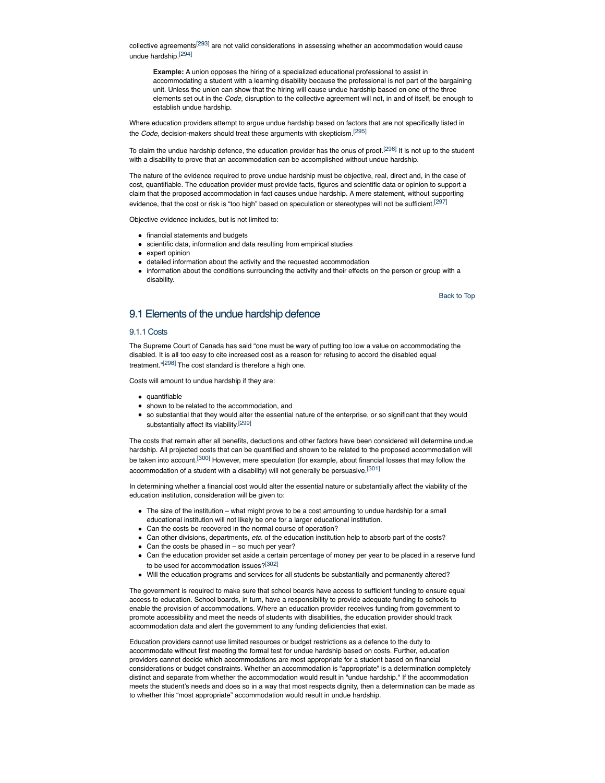collective agreements<sup>[293]</sup> are not valid considerations in assessing whether an accommodation would cause undue hardship.[294]

**Example:** A union opposes the hiring of a specialized educational professional to assist in accommodating a student with a learning disability because the professional is not part of the bargaining unit. Unless the union can show that the hiring will cause undue hardship based on one of the three elements set out in the *Code*, disruption to the collective agreement will not, in and of itself, be enough to establish undue hardship.

Where education providers attempt to argue undue hardship based on factors that are not specifically listed in the *Code*, decision-makers should treat these arguments with skepticism.[295]

To claim the undue hardship defence, the education provider has the onus of proof.<sup>[296]</sup> It is not up to the student with a disability to prove that an accommodation can be accomplished without undue hardship.

The nature of the evidence required to prove undue hardship must be objective, real, direct and, in the case of cost, quantifiable. The education provider must provide facts, figures and scientific data or opinion to support a claim that the proposed accommodation in fact causes undue hardship. A mere statement, without supporting evidence, that the cost or risk is "too high" based on speculation or stereotypes will not be sufficient.<sup>[297]</sup>

Objective evidence includes, but is not limited to:

- financial statements and budgets
- scientific data, information and data resulting from empirical studies
- expert opinion
- detailed information about the activity and the requested accommodation
- information about the conditions surrounding the activity and their effects on the person or group with a disability.

Back to Top

# 9.1 Elements of the undue hardship defence

## 9.1.1 Costs

The Supreme Court of Canada has said "one must be wary of putting too low a value on accommodating the disabled. It is all too easy to cite increased cost as a reason for refusing to accord the disabled equal treatment."<sup>[298]</sup> The cost standard is therefore a high one.

Costs will amount to undue hardship if they are:

- quantifiable
- shown to be related to the accommodation, and
- so substantial that they would alter the essential nature of the enterprise, or so significant that they would substantially affect its viability.[299]

The costs that remain after all benefits, deductions and other factors have been considered will determine undue hardship. All projected costs that can be quantified and shown to be related to the proposed accommodation will be taken into account.<sup>[300]</sup> However, mere speculation (for example, about financial losses that may follow the accommodation of a student with a disability) will not generally be persuasive.<sup>[301]</sup>

In determining whether a financial cost would alter the essential nature or substantially affect the viability of the education institution, consideration will be given to:

- The size of the institution what might prove to be a cost amounting to undue hardship for a small educational institution will not likely be one for a larger educational institution.
- Can the costs be recovered in the normal course of operation?
- Can other divisions, departments, *etc.* of the education institution help to absorb part of the costs?
- Can the costs be phased in so much per year?
- Can the education provider set aside a certain percentage of money per year to be placed in a reserve fund to be used for accommodation issues?[302]
- Will the education programs and services for all students be substantially and permanently altered?

The government is required to make sure that school boards have access to sufficient funding to ensure equal access to education. School boards, in turn, have a responsibility to provide adequate funding to schools to enable the provision of accommodations. Where an education provider receives funding from government to promote accessibility and meet the needs of students with disabilities, the education provider should track accommodation data and alert the government to any funding deficiencies that exist.

Education providers cannot use limited resources or budget restrictions as a defence to the duty to accommodate without first meeting the formal test for undue hardship based on costs. Further, education providers cannot decide which accommodations are most appropriate for a student based on financial considerations or budget constraints. Whether an accommodation is "appropriate" is a determination completely distinct and separate from whether the accommodation would result in "undue hardship." If the accommodation meets the student's needs and does so in a way that most respects dignity, then a determination can be made as to whether this "most appropriate" accommodation would result in undue hardship.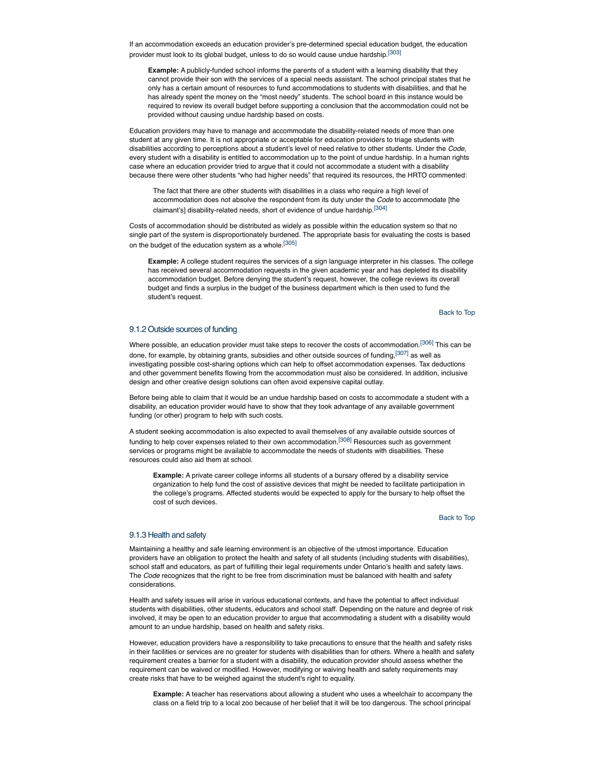If an accommodation exceeds an education provider's pre-determined special education budget, the education provider must look to its global budget, unless to do so would cause undue hardship.<sup>[303]</sup>

**Example:** A publicly-funded school informs the parents of a student with a learning disability that they cannot provide their son with the services of a special needs assistant. The school principal states that he only has a certain amount of resources to fund accommodations to students with disabilities, and that he has already spent the money on the "most needy" students. The school board in this instance would be required to review its overall budget before supporting a conclusion that the accommodation could not be provided without causing undue hardship based on costs.

Education providers may have to manage and accommodate the disability-related needs of more than one student at any given time. It is not appropriate or acceptable for education providers to triage students with disabilities according to perceptions about a student's level of need relative to other students. Under the *Code*, every student with a disability is entitled to accommodation up to the point of undue hardship. In a human rights case where an education provider tried to argue that it could not accommodate a student with a disability because there were other students "who had higher needs" that required its resources, the HRTO commented:

The fact that there are other students with disabilities in a class who require a high level of accommodation does not absolve the respondent from its duty under the *Code* to accommodate [the claimant's] disability-related needs, short of evidence of undue hardship.[304]

Costs of accommodation should be distributed as widely as possible within the education system so that no single part of the system is disproportionately burdened. The appropriate basis for evaluating the costs is based on the budget of the education system as a whole.<sup>[305]</sup>

**Example:** A college student requires the services of a sign language interpreter in his classes. The college has received several accommodation requests in the given academic year and has depleted its disability accommodation budget. Before denying the student's request, however, the college reviews its overall budget and finds a surplus in the budget of the business department which is then used to fund the student's request.

Back to Top

## 9.1.2 Outside sources of funding

Where possible, an education provider must take steps to recover the costs of accommodation.<sup>[306]</sup> This can be done, for example, by obtaining grants, subsidies and other outside sources of funding, [307] as well as investigating possible cost-sharing options which can help to offset accommodation expenses. Tax deductions and other government benefits flowing from the accommodation must also be considered. In addition, inclusive design and other creative design solutions can often avoid expensive capital outlay.

Before being able to claim that it would be an undue hardship based on costs to accommodate a student with a disability, an education provider would have to show that they took advantage of any available government funding (or other) program to help with such costs.

A student seeking accommodation is also expected to avail themselves of any available outside sources of funding to help cover expenses related to their own accommodation.<sup>[308]</sup> Resources such as government services or programs might be available to accommodate the needs of students with disabilities. These resources could also aid them at school.

**Example:** A private career college informs all students of a bursary offered by a disability service organization to help fund the cost of assistive devices that might be needed to facilitate participation in the college's programs. Affected students would be expected to apply for the bursary to help offset the cost of such devices.

Back to Top

## 9.1.3 Health and safety

Maintaining a healthy and safe learning environment is an objective of the utmost importance. Education providers have an obligation to protect the health and safety of all students (including students with disabilities), school staff and educators, as part of fulfilling their legal requirements under Ontario's health and safety laws. The *Code* recognizes that the right to be free from discrimination must be balanced with health and safety considerations.

Health and safety issues will arise in various educational contexts, and have the potential to affect individual students with disabilities, other students, educators and school staff. Depending on the nature and degree of risk involved, it may be open to an education provider to argue that accommodating a student with a disability would amount to an undue hardship, based on health and safety risks.

However, education providers have a responsibility to take precautions to ensure that the health and safety risks in their facilities or services are no greater for students with disabilities than for others. Where a health and safety requirement creates a barrier for a student with a disability, the education provider should assess whether the requirement can be waived or modified. However, modifying or waiving health and safety requirements may create risks that have to be weighed against the student's right to equality.

**Example:** A teacher has reservations about allowing a student who uses a wheelchair to accompany the class on a field trip to a local zoo because of her belief that it will be too dangerous. The school principal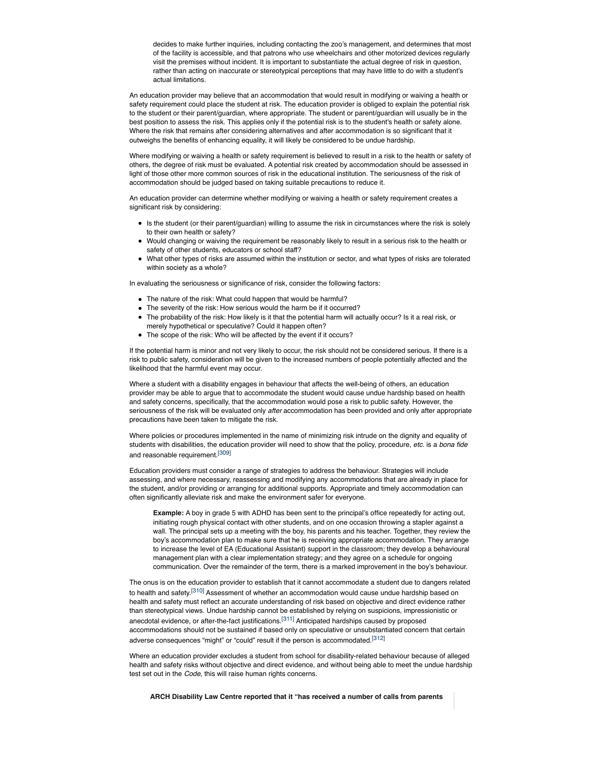decides to make further inquiries, including contacting the zoo's management, and determines that most of the facility is accessible, and that patrons who use wheelchairs and other motorized devices regularly visit the premises without incident. It is important to substantiate the actual degree of risk in question, rather than acting on inaccurate or stereotypical perceptions that may have little to do with a student's actual limitations.

An education provider may believe that an accommodation that would result in modifying or waiving a health or safety requirement could place the student at risk. The education provider is obliged to explain the potential risk to the student or their parent/guardian, where appropriate. The student or parent/guardian will usually be in the best position to assess the risk. This applies only if the potential risk is to the student's health or safety alone. Where the risk that remains after considering alternatives and after accommodation is so significant that it outweighs the benefits of enhancing equality, it will likely be considered to be undue hardship.

Where modifying or waiving a health or safety requirement is believed to result in a risk to the health or safety of others, the degree of risk must be evaluated. A potential risk created by accommodation should be assessed in light of those other more common sources of risk in the educational institution. The seriousness of the risk of accommodation should be judged based on taking suitable precautions to reduce it.

An education provider can determine whether modifying or waiving a health or safety requirement creates a significant risk by considering:

- Is the student (or their parent/guardian) willing to assume the risk in circumstances where the risk is solely to their own health or safety?
- Would changing or waiving the requirement be reasonably likely to result in a serious risk to the health or safety of other students, educators or school staff?
- What other types of risks are assumed within the institution or sector, and what types of risks are tolerated within society as a whole?

In evaluating the seriousness or significance of risk, consider the following factors:

- The nature of the risk: What could happen that would be harmful?
- The severity of the risk: How serious would the harm be if it occurred?
- The probability of the risk: How likely is it that the potential harm will actually occur? Is it a real risk, or merely hypothetical or speculative? Could it happen often?
- The scope of the risk: Who will be affected by the event if it occurs?

If the potential harm is minor and not very likely to occur, the risk should not be considered serious. If there is a risk to public safety, consideration will be given to the increased numbers of people potentially affected and the likelihood that the harmful event may occur.

Where a student with a disability engages in behaviour that affects the well-being of others, an education provider may be able to argue that to accommodate the student would cause undue hardship based on health and safety concerns, specifically, that the accommodation would pose a risk to public safety. However, the seriousness of the risk will be evaluated only *after* accommodation has been provided and only after appropriate precautions have been taken to mitigate the risk.

Where policies or procedures implemented in the name of minimizing risk intrude on the dignity and equality of students with disabilities, the education provider will need to show that the policy, procedure, *etc.* is a *bona fide* and reasonable requirement.[309]

Education providers must consider a range of strategies to address the behaviour. Strategies will include assessing, and where necessary, reassessing and modifying any accommodations that are already in place for the student, and/or providing or arranging for additional supports. Appropriate and timely accommodation can often significantly alleviate risk and make the environment safer for everyone.

**Example:** A boy in grade 5 with ADHD has been sent to the principal's office repeatedly for acting out, initiating rough physical contact with other students, and on one occasion throwing a stapler against a wall. The principal sets up a meeting with the boy, his parents and his teacher. Together, they review the boy's accommodation plan to make sure that he is receiving appropriate accommodation. They arrange to increase the level of EA (Educational Assistant) support in the classroom; they develop a behavioural management plan with a clear implementation strategy; and they agree on a schedule for ongoing communication. Over the remainder of the term, there is a marked improvement in the boy's behaviour.

The onus is on the education provider to establish that it cannot accommodate a student due to dangers related to health and safety.<sup>[310]</sup> Assessment of whether an accommodation would cause undue hardship based on health and safety must reflect an accurate understanding of risk based on objective and direct evidence rather than stereotypical views. Undue hardship cannot be established by relying on suspicions, impressionistic or anecdotal evidence, or after-the-fact justifications.<sup>[311]</sup> Anticipated hardships caused by proposed accommodations should not be sustained if based only on speculative or unsubstantiated concern that certain adverse consequences "might" or "could" result if the person is accommodated.<sup>[312]</sup>

Where an education provider excludes a student from school for disability-related behaviour because of alleged health and safety risks without objective and direct evidence, and without being able to meet the undue hardship test set out in the *Code*, this will raise human rights concerns.

**ARCH Disability Law Centre reported that it "has received a number of calls from parents**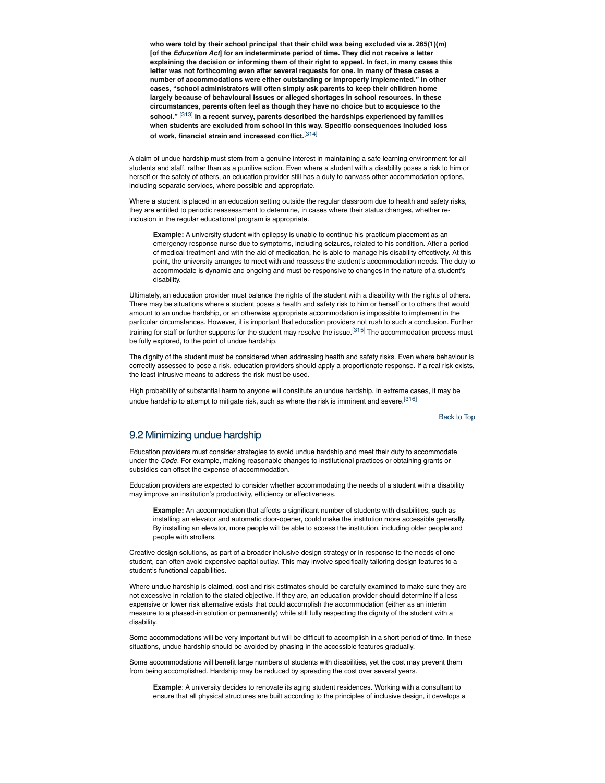**who were told by their school principal that their child was being excluded via s. 265(1)(m) [of the** *Education Act***] for an indeterminate period of time. They did not receive a letter explaining the decision or informing them of their right to appeal. In fact, in many cases this letter was not forthcoming even after several requests for one. In many of these cases a number of accommodations were either outstanding or improperly implemented." In other cases, "school administrators will often simply ask parents to keep their children home largely because of behavioural issues or alleged shortages in school resources. In these circumstances, parents often feel as though they have no choice but to acquiesce to the school."** [313] **In a recent survey, parents described the hardships experienced by families when students are excluded from school in this way. Specific consequences included loss of work, financial strain and increased conflict.**[314]

A claim of undue hardship must stem from a genuine interest in maintaining a safe learning environment for all students and staff, rather than as a punitive action. Even where a student with a disability poses a risk to him or herself or the safety of others, an education provider still has a duty to canvass other accommodation options, including separate services, where possible and appropriate.

Where a student is placed in an education setting outside the regular classroom due to health and safety risks, they are entitled to periodic reassessment to determine, in cases where their status changes, whether reinclusion in the regular educational program is appropriate.

**Example:** A university student with epilepsy is unable to continue his practicum placement as an emergency response nurse due to symptoms, including seizures, related to his condition. After a period of medical treatment and with the aid of medication, he is able to manage his disability effectively. At this point, the university arranges to meet with and reassess the student's accommodation needs. The duty to accommodate is dynamic and ongoing and must be responsive to changes in the nature of a student's disability.

Ultimately, an education provider must balance the rights of the student with a disability with the rights of others. There may be situations where a student poses a health and safety risk to him or herself or to others that would amount to an undue hardship, or an otherwise appropriate accommodation is impossible to implement in the particular circumstances. However, it is important that education providers not rush to such a conclusion. Further training for staff or further supports for the student may resolve the issue.<sup>[315]</sup> The accommodation process must be fully explored, to the point of undue hardship.

The dignity of the student must be considered when addressing health and safety risks. Even where behaviour is correctly assessed to pose a risk, education providers should apply a proportionate response. If a real risk exists, the least intrusive means to address the risk must be used.

High probability of substantial harm to anyone will constitute an undue hardship. In extreme cases, it may be undue hardship to attempt to mitigate risk, such as where the risk is imminent and severe.<sup>[316]</sup>

Back to Top

## 9.2 Minimizing undue hardship

Education providers must consider strategies to avoid undue hardship and meet their duty to accommodate under the *Code.* For example, making reasonable changes to institutional practices or obtaining grants or subsidies can offset the expense of accommodation.

Education providers are expected to consider whether accommodating the needs of a student with a disability may improve an institution's productivity, efficiency or effectiveness.

**Example:** An accommodation that affects a significant number of students with disabilities, such as installing an elevator and automatic door-opener, could make the institution more accessible generally. By installing an elevator, more people will be able to access the institution, including older people and people with strollers.

Creative design solutions, as part of a broader inclusive design strategy or in response to the needs of one student, can often avoid expensive capital outlay. This may involve specifically tailoring design features to a student's functional capabilities.

Where undue hardship is claimed, cost and risk estimates should be carefully examined to make sure they are not excessive in relation to the stated objective. If they are, an education provider should determine if a less expensive or lower risk alternative exists that could accomplish the accommodation (either as an interim measure to a phased-in solution or permanently) while still fully respecting the dignity of the student with a disability.

Some accommodations will be very important but will be difficult to accomplish in a short period of time. In these situations, undue hardship should be avoided by phasing in the accessible features gradually.

Some accommodations will benefit large numbers of students with disabilities, yet the cost may prevent them from being accomplished. Hardship may be reduced by spreading the cost over several years.

**Example**: A university decides to renovate its aging student residences. Working with a consultant to ensure that all physical structures are built according to the principles of inclusive design, it develops a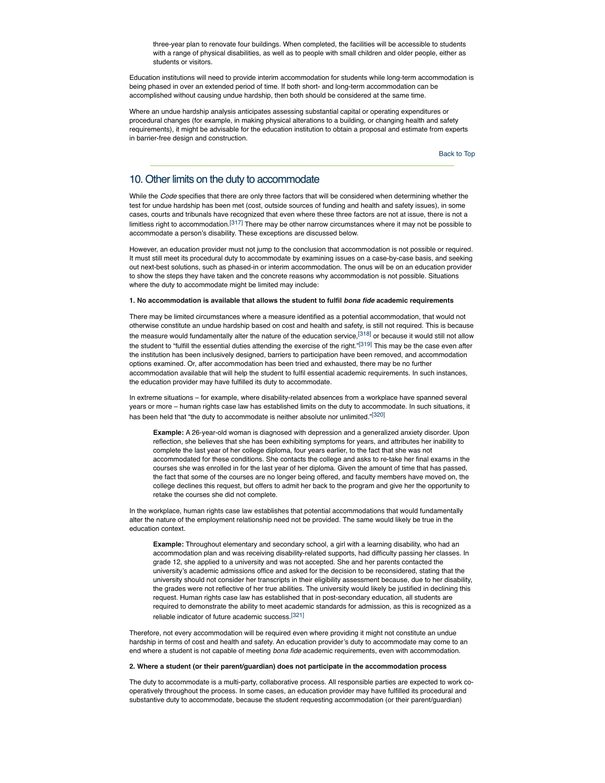three-year plan to renovate four buildings. When completed, the facilities will be accessible to students with a range of physical disabilities, as well as to people with small children and older people, either as students or visitors.

Education institutions will need to provide interim accommodation for students while long-term accommodation is being phased in over an extended period of time. If both short- and long-term accommodation can be accomplished without causing undue hardship, then both should be considered at the same time.

Where an undue hardship analysis anticipates assessing substantial capital or operating expenditures or procedural changes (for example, in making physical alterations to a building, or changing health and safety requirements), it might be advisable for the education institution to obtain a proposal and estimate from experts in barrier-free design and construction.

Back to Top

## 10. Other limits on the duty to accommodate

While the *Code* specifies that there are only three factors that will be considered when determining whether the test for undue hardship has been met (cost, outside sources of funding and health and safety issues), in some cases, courts and tribunals have recognized that even where these three factors are not at issue, there is not a limitless right to accommodation.<sup>[317]</sup> There may be other narrow circumstances where it may not be possible to accommodate a person's disability. These exceptions are discussed below.

However, an education provider must not jump to the conclusion that accommodation is not possible or required. It must still meet its procedural duty to accommodate by examining issues on a case-by-case basis, and seeking out next-best solutions, such as phased-in or interim accommodation. The onus will be on an education provider to show the steps they have taken and the concrete reasons why accommodation is not possible. Situations where the duty to accommodate might be limited may include:

## **1. No accommodation is available that allows the student to fulfil** *bona fide* **academic requirements**

There may be limited circumstances where a measure identified as a potential accommodation, that would not otherwise constitute an undue hardship based on cost and health and safety, is still not required. This is because the measure would fundamentally alter the nature of the education service,<sup>[318]</sup> or because it would still not allow the student to "fulfill the essential duties attending the exercise of the right."<sup>[319]</sup> This may be the case even after the institution has been inclusively designed, barriers to participation have been removed, and accommodation options examined. Or, after accommodation has been tried and exhausted, there may be no further accommodation available that will help the student to fulfil essential academic requirements. In such instances, the education provider may have fulfilled its duty to accommodate.

In extreme situations – for example, where disability-related absences from a workplace have spanned several years or more – human rights case law has established limits on the duty to accommodate. In such situations, it has been held that "the duty to accommodate is neither absolute nor unlimited."[320]

**Example:** A 26-year-old woman is diagnosed with depression and a generalized anxiety disorder. Upon reflection, she believes that she has been exhibiting symptoms for years, and attributes her inability to complete the last year of her college diploma, four years earlier, to the fact that she was not accommodated for these conditions. She contacts the college and asks to re-take her final exams in the courses she was enrolled in for the last year of her diploma. Given the amount of time that has passed, the fact that some of the courses are no longer being offered, and faculty members have moved on, the college declines this request, but offers to admit her back to the program and give her the opportunity to retake the courses she did not complete.

In the workplace, human rights case law establishes that potential accommodations that would fundamentally alter the nature of the employment relationship need not be provided. The same would likely be true in the education context.

**Example:** Throughout elementary and secondary school, a girl with a learning disability, who had an accommodation plan and was receiving disability-related supports, had difficulty passing her classes. In grade 12, she applied to a university and was not accepted. She and her parents contacted the university's academic admissions office and asked for the decision to be reconsidered, stating that the university should not consider her transcripts in their eligibility assessment because, due to her disability, the grades were not reflective of her true abilities. The university would likely be justified in declining this request. Human rights case law has established that in post-secondary education, all students are required to demonstrate the ability to meet academic standards for admission, as this is recognized as a reliable indicator of future academic success.[321]

Therefore, not every accommodation will be required even where providing it might not constitute an undue hardship in terms of cost and health and safety. An education provider's duty to accommodate may come to an end where a student is not capable of meeting *bona fide* academic requirements, even with accommodation.

#### **2. Where a student (or their parent/guardian) does not participate in the accommodation process**

The duty to accommodate is a multi-party, collaborative process. All responsible parties are expected to work cooperatively throughout the process. In some cases, an education provider may have fulfilled its procedural and substantive duty to accommodate, because the student requesting accommodation (or their parent/guardian)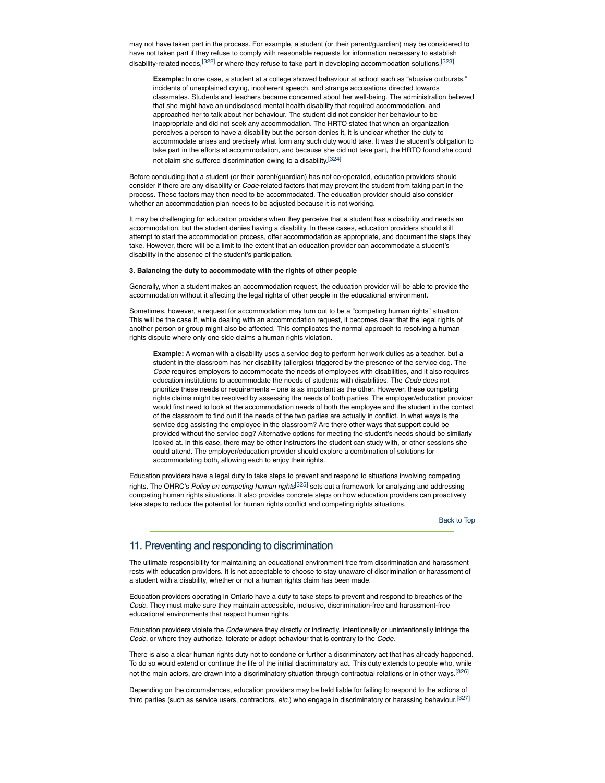may not have taken part in the process. For example, a student (or their parent/guardian) may be considered to have not taken part if they refuse to comply with reasonable requests for information necessary to establish disability-related needs,<sup>[322]</sup> or where they refuse to take part in developing accommodation solutions.<sup>[323]</sup>

**Example:** In one case, a student at a college showed behaviour at school such as "abusive outbursts," incidents of unexplained crying, incoherent speech, and strange accusations directed towards classmates. Students and teachers became concerned about her well-being. The administration believed that she might have an undisclosed mental health disability that required accommodation, and approached her to talk about her behaviour. The student did not consider her behaviour to be inappropriate and did not seek any accommodation. The HRTO stated that when an organization perceives a person to have a disability but the person denies it, it is unclear whether the duty to accommodate arises and precisely what form any such duty would take. It was the student's obligation to take part in the efforts at accommodation, and because she did not take part, the HRTO found she could not claim she suffered discrimination owing to a disability.[324]

Before concluding that a student (or their parent/guardian) has not co-operated, education providers should consider if there are any disability or *Code*-related factors that may prevent the student from taking part in the process. These factors may then need to be accommodated. The education provider should also consider whether an accommodation plan needs to be adjusted because it is not working.

It may be challenging for education providers when they perceive that a student has a disability and needs an accommodation, but the student denies having a disability. In these cases, education providers should still attempt to start the accommodation process, offer accommodation as appropriate, and document the steps they take. However, there will be a limit to the extent that an education provider can accommodate a student's disability in the absence of the student's participation.

## **3. Balancing the duty to accommodate with the rights of other people**

Generally, when a student makes an accommodation request, the education provider will be able to provide the accommodation without it affecting the legal rights of other people in the educational environment.

Sometimes, however, a request for accommodation may turn out to be a "competing human rights" situation. This will be the case if, while dealing with an accommodation request, it becomes clear that the legal rights of another person or group might also be affected. This complicates the normal approach to resolving a human rights dispute where only one side claims a human rights violation.

**Example:** A woman with a disability uses a service dog to perform her work duties as a teacher, but a student in the classroom has her disability (allergies) triggered by the presence of the service dog. The *Code* requires employers to accommodate the needs of employees with disabilities, and it also requires education institutions to accommodate the needs of students with disabilities. The *Code* does not prioritize these needs or requirements – one is as important as the other. However, these competing rights claims might be resolved by assessing the needs of both parties. The employer/education provider would first need to look at the accommodation needs of both the employee and the student in the context of the classroom to find out if the needs of the two parties are actually in conflict. In what ways is the service dog assisting the employee in the classroom? Are there other ways that support could be provided without the service dog? Alternative options for meeting the student's needs should be similarly looked at. In this case, there may be other instructors the student can study with, or other sessions she could attend. The employer/education provider should explore a combination of solutions for accommodating both, allowing each to enjoy their rights.

Education providers have a legal duty to take steps to prevent and respond to situations involving competing rights. The OHRC's *Policy on competing human rights*[325] sets out a framework for analyzing and addressing competing human rights situations. It also provides concrete steps on how education providers can proactively take steps to reduce the potential for human rights conflict and competing rights situations.

Back to Top

## 11. Preventing and responding to discrimination

The ultimate responsibility for maintaining an educational environment free from discrimination and harassment rests with education providers. It is not acceptable to choose to stay unaware of discrimination or harassment of a student with a disability, whether or not a human rights claim has been made.

Education providers operating in Ontario have a duty to take steps to prevent and respond to breaches of the *Code*. They must make sure they maintain accessible, inclusive, discrimination-free and harassment-free educational environments that respect human rights.

Education providers violate the *Code* where they directly or indirectly, intentionally or unintentionally infringe the *Code,* or where they authorize, tolerate or adopt behaviour that is contrary to the *Code*.

There is also a clear human rights duty not to condone or further a discriminatory act that has already happened. To do so would extend or continue the life of the initial discriminatory act. This duty extends to people who, while not the main actors, are drawn into a discriminatory situation through contractual relations or in other ways.[326]

Depending on the circumstances, education providers may be held liable for failing to respond to the actions of third parties (such as service users, contractors, *etc.*) who engage in discriminatory or harassing behaviour.[327]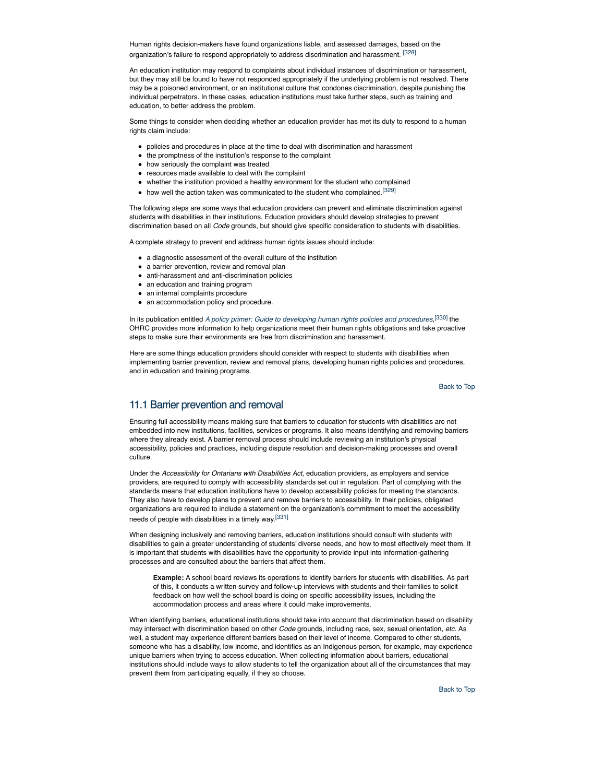Human rights decision-makers have found organizations liable, and assessed damages, based on the organization's failure to respond appropriately to address discrimination and harassment. [328]

An education institution may respond to complaints about individual instances of discrimination or harassment, but they may still be found to have not responded appropriately if the underlying problem is not resolved. There may be a poisoned environment, or an institutional culture that condones discrimination, despite punishing the individual perpetrators. In these cases, education institutions must take further steps, such as training and education, to better address the problem.

Some things to consider when deciding whether an education provider has met its duty to respond to a human rights claim include:

- policies and procedures in place at the time to deal with discrimination and harassment
- the promptness of the institution's response to the complaint
- how seriously the complaint was treated
- resources made available to deal with the complaint
- whether the institution provided a healthy environment for the student who complained
- how well the action taken was communicated to the student who complained.<sup>[329]</sup>

The following steps are some ways that education providers can prevent and eliminate discrimination against students with disabilities in their institutions. Education providers should develop strategies to prevent discrimination based on all *Code* grounds, but should give specific consideration to students with disabilities.

A complete strategy to prevent and address human rights issues should include:

- a diagnostic assessment of the overall culture of the institution
- a barrier prevention, review and removal plan
- anti-harassment and anti-discrimination policies
- an education and training program
- an internal complaints procedure
- an accommodation policy and procedure.

In its publication entitled *A policy primer: Guide to developing human rights policies and procedures*, [330] the OHRC provides more information to help organizations meet their human rights obligations and take proactive steps to make sure their environments are free from discrimination and harassment.

Here are some things education providers should consider with respect to students with disabilities when implementing barrier prevention, review and removal plans, developing human rights policies and procedures, and in education and training programs.

Back to Top

## 11.1 Barrier prevention and removal

Ensuring full accessibility means making sure that barriers to education for students with disabilities are not embedded into new institutions, facilities, services or programs. It also means identifying and removing barriers where they already exist. A barrier removal process should include reviewing an institution's physical accessibility, policies and practices, including dispute resolution and decision-making processes and overall culture.

Under the *Accessibility for Ontarians with Disabilities Act*, education providers, as employers and service providers, are required to comply with accessibility standards set out in regulation. Part of complying with the standards means that education institutions have to develop accessibility policies for meeting the standards. They also have to develop plans to prevent and remove barriers to accessibility. In their policies, obligated organizations are required to include a statement on the organization's commitment to meet the accessibility needs of people with disabilities in a timely way.<sup>[331]</sup>

When designing inclusively and removing barriers, education institutions should consult with students with disabilities to gain a greater understanding of students' diverse needs, and how to most effectively meet them. It is important that students with disabilities have the opportunity to provide input into information-gathering processes and are consulted about the barriers that affect them.

**Example:** A school board reviews its operations to identify barriers for students with disabilities. As part of this, it conducts a written survey and follow-up interviews with students and their families to solicit feedback on how well the school board is doing on specific accessibility issues, including the accommodation process and areas where it could make improvements.

When identifying barriers, educational institutions should take into account that discrimination based on disability may intersect with discrimination based on other *Code* grounds, including race, sex, sexual orientation, *etc.* As well, a student may experience different barriers based on their level of income. Compared to other students, someone who has a disability, low income, and identifies as an Indigenous person, for example, may experience unique barriers when trying to access education. When collecting information about barriers, educational institutions should include ways to allow students to tell the organization about all of the circumstances that may prevent them from participating equally, if they so choose.

Back to Top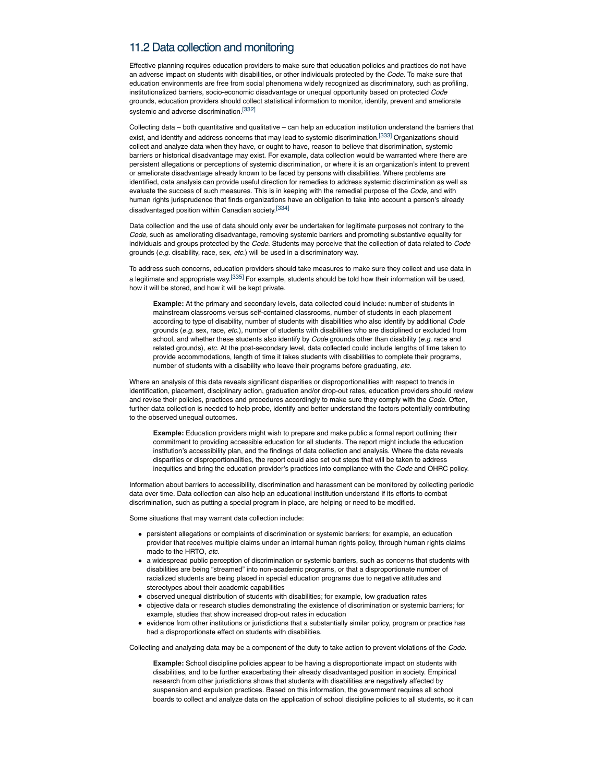# 11.2 Data collection and monitoring

Effective planning requires education providers to make sure that education policies and practices do not have an adverse impact on students with disabilities, or other individuals protected by the *Code*. To make sure that education environments are free from social phenomena widely recognized as discriminatory, such as profiling, institutionalized barriers, socio-economic disadvantage or unequal opportunity based on protected *Code* grounds, education providers should collect statistical information to monitor, identify, prevent and ameliorate systemic and adverse discrimination.[332]

Collecting data – both quantitative and qualitative – can help an education institution understand the barriers that exist, and identify and address concerns that may lead to systemic discrimination.<sup>[333]</sup> Organizations should collect and analyze data when they have, or ought to have, reason to believe that discrimination, systemic barriers or historical disadvantage may exist. For example, data collection would be warranted where there are persistent allegations or perceptions of systemic discrimination, or where it is an organization's intent to prevent or ameliorate disadvantage already known to be faced by persons with disabilities. Where problems are identified, data analysis can provide useful direction for remedies to address systemic discrimination as well as evaluate the success of such measures. This is in keeping with the remedial purpose of the *Code,* and with human rights jurisprudence that finds organizations have an obligation to take into account a person's already disadvantaged position within Canadian society.[334]

Data collection and the use of data should only ever be undertaken for legitimate purposes not contrary to the *Code,* such as ameliorating disadvantage, removing systemic barriers and promoting substantive equality for individuals and groups protected by the *Code*. Students may perceive that the collection of data related to *Code* grounds (*e.g.* disability, race, sex, *etc.*) will be used in a discriminatory way.

To address such concerns, education providers should take measures to make sure they collect and use data in a legitimate and appropriate way.<sup>[335]</sup> For example, students should be told how their information will be used, how it will be stored, and how it will be kept private.

**Example:** At the primary and secondary levels, data collected could include: number of students in mainstream classrooms versus self-contained classrooms, number of students in each placement according to type of disability, number of students with disabilities who also identify by additional *Code* grounds (*e.g.* sex, race, *etc.*), number of students with disabilities who are disciplined or excluded from school, and whether these students also identify by *Code* grounds other than disability (*e.g.* race and related grounds), *etc.* At the post-secondary level, data collected could include lengths of time taken to provide accommodations, length of time it takes students with disabilities to complete their programs, number of students with a disability who leave their programs before graduating, *etc.*

Where an analysis of this data reveals significant disparities or disproportionalities with respect to trends in identification, placement, disciplinary action, graduation and/or drop-out rates, education providers should review and revise their policies, practices and procedures accordingly to make sure they comply with the *Code*. Often, further data collection is needed to help probe, identify and better understand the factors potentially contributing to the observed unequal outcomes.

**Example:** Education providers might wish to prepare and make public a formal report outlining their commitment to providing accessible education for all students. The report might include the education institution's accessibility plan, and the findings of data collection and analysis. Where the data reveals disparities or disproportionalities, the report could also set out steps that will be taken to address inequities and bring the education provider's practices into compliance with the *Code* and OHRC policy.

Information about barriers to accessibility, discrimination and harassment can be monitored by collecting periodic data over time. Data collection can also help an educational institution understand if its efforts to combat discrimination, such as putting a special program in place, are helping or need to be modified.

Some situations that may warrant data collection include:

- persistent allegations or complaints of discrimination or systemic barriers; for example, an education provider that receives multiple claims under an internal human rights policy, through human rights claims made to the HRTO, *etc.*
- a widespread public perception of discrimination or systemic barriers, such as concerns that students with disabilities are being "streamed" into non-academic programs, or that a disproportionate number of racialized students are being placed in special education programs due to negative attitudes and stereotypes about their academic capabilities
- observed unequal distribution of students with disabilities; for example, low graduation rates
- objective data or research studies demonstrating the existence of discrimination or systemic barriers; for example, studies that show increased drop-out rates in education
- evidence from other institutions or jurisdictions that a substantially similar policy, program or practice has had a disproportionate effect on students with disabilities.

Collecting and analyzing data may be a component of the duty to take action to prevent violations of the *Code*.

**Example:** School discipline policies appear to be having a disproportionate impact on students with disabilities, and to be further exacerbating their already disadvantaged position in society. Empirical research from other jurisdictions shows that students with disabilities are negatively affected by suspension and expulsion practices. Based on this information, the government requires all school boards to collect and analyze data on the application of school discipline policies to all students, so it can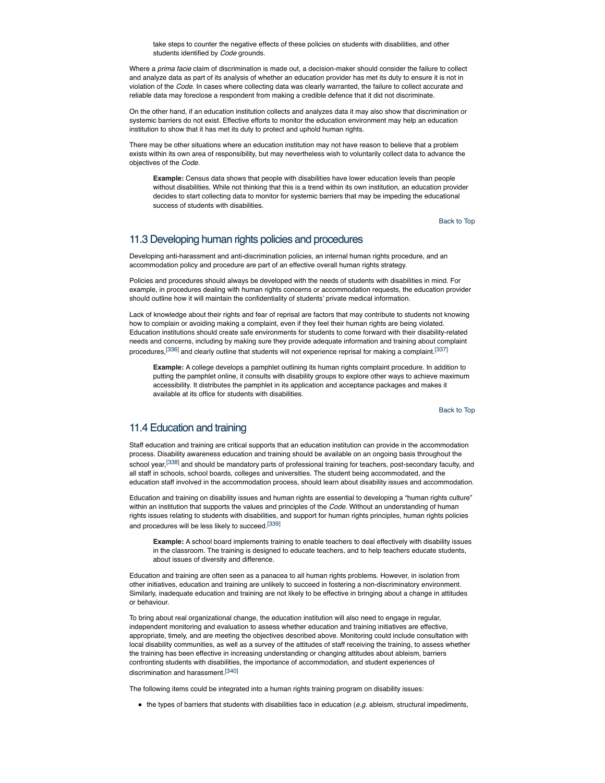take steps to counter the negative effects of these policies on students with disabilities, and other students identified by *Code* arounds.

Where a *prima facie* claim of discrimination is made out, a decision-maker should consider the failure to collect and analyze data as part of its analysis of whether an education provider has met its duty to ensure it is not in violation of the *Code*. In cases where collecting data was clearly warranted, the failure to collect accurate and reliable data may foreclose a respondent from making a credible defence that it did not discriminate.

On the other hand, if an education institution collects and analyzes data it may also show that discrimination or systemic barriers do not exist. Effective efforts to monitor the education environment may help an education institution to show that it has met its duty to protect and uphold human rights.

There may be other situations where an education institution may not have reason to believe that a problem exists within its own area of responsibility, but may nevertheless wish to voluntarily collect data to advance the objectives of the *Code*.

**Example:** Census data shows that people with disabilities have lower education levels than people without disabilities. While not thinking that this is a trend within its own institution, an education provider decides to start collecting data to monitor for systemic barriers that may be impeding the educational success of students with disabilities.

Back to Top

# 11.3 Developing human rights policies and procedures

Developing anti-harassment and anti-discrimination policies, an internal human rights procedure, and an accommodation policy and procedure are part of an effective overall human rights strategy.

Policies and procedures should always be developed with the needs of students with disabilities in mind. For example, in procedures dealing with human rights concerns or accommodation requests, the education provider should outline how it will maintain the confidentiality of students' private medical information.

Lack of knowledge about their rights and fear of reprisal are factors that may contribute to students not knowing how to complain or avoiding making a complaint, even if they feel their human rights are being violated. Education institutions should create safe environments for students to come forward with their disability-related needs and concerns, including by making sure they provide adequate information and training about complaint procedures,<sup>[336]</sup> and clearly outline that students will not experience reprisal for making a complaint.<sup>[337]</sup>

**Example:** A college develops a pamphlet outlining its human rights complaint procedure. In addition to putting the pamphlet online, it consults with disability groups to explore other ways to achieve maximum accessibility. It distributes the pamphlet in its application and acceptance packages and makes it available at its office for students with disabilities.

Back to Top

## 11.4 Education and training

Staff education and training are critical supports that an education institution can provide in the accommodation process. Disability awareness education and training should be available on an ongoing basis throughout the school year,<sup>[338]</sup> and should be mandatory parts of professional training for teachers, post-secondary faculty, and all staff in schools, school boards, colleges and universities. The student being accommodated, and the education staff involved in the accommodation process, should learn about disability issues and accommodation.

Education and training on disability issues and human rights are essential to developing a "human rights culture" within an institution that supports the values and principles of the *Code*. Without an understanding of human rights issues relating to students with disabilities, and support for human rights principles, human rights policies and procedures will be less likely to succeed.[339]

**Example:** A school board implements training to enable teachers to deal effectively with disability issues in the classroom. The training is designed to educate teachers, and to help teachers educate students, about issues of diversity and difference.

Education and training are often seen as a panacea to all human rights problems. However, in isolation from other initiatives, education and training are unlikely to succeed in fostering a non-discriminatory environment. Similarly, inadequate education and training are not likely to be effective in bringing about a change in attitudes or behaviour.

To bring about real organizational change, the education institution will also need to engage in regular, independent monitoring and evaluation to assess whether education and training initiatives are effective, appropriate, timely, and are meeting the objectives described above. Monitoring could include consultation with local disability communities, as well as a survey of the attitudes of staff receiving the training, to assess whether the training has been effective in increasing understanding or changing attitudes about ableism, barriers confronting students with disabilities, the importance of accommodation, and student experiences of discrimination and harassment.[340]

The following items could be integrated into a human rights training program on disability issues:

the types of barriers that students with disabilities face in education (*e.g*. ableism, structural impediments,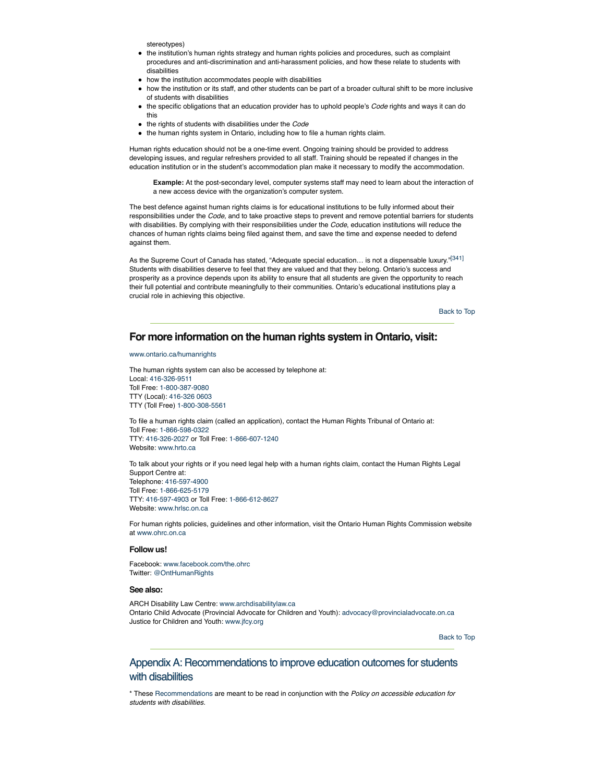stereotypes)

- the institution's human rights strategy and human rights policies and procedures, such as complaint procedures and anti-discrimination and anti-harassment policies, and how these relate to students with disabilities
- how the institution accommodates people with disabilities
- how the institution or its staff, and other students can be part of a broader cultural shift to be more inclusive of students with disabilities
- the specific obligations that an education provider has to uphold people's *Code* rights and ways it can do this
- the rights of students with disabilities under the *Code*
- the human rights system in Ontario, including how to file a human rights claim.

Human rights education should not be a one-time event. Ongoing training should be provided to address developing issues, and regular refreshers provided to all staff. Training should be repeated if changes in the education institution or in the student's accommodation plan make it necessary to modify the accommodation.

**Example:** At the post-secondary level, computer systems staff may need to learn about the interaction of a new access device with the organization's computer system.

The best defence against human rights claims is for educational institutions to be fully informed about their responsibilities under the *Code*, and to take proactive steps to prevent and remove potential barriers for students with disabilities. By complying with their responsibilities under the *Code*, education institutions will reduce the chances of human rights claims being filed against them, and save the time and expense needed to defend against them.

As the Supreme Court of Canada has stated, "Adequate special education... is not a dispensable luxury."[341] Students with disabilities deserve to feel that they are valued and that they belong. Ontario's success and prosperity as a province depends upon its ability to ensure that all students are given the opportunity to reach their full potential and contribute meaningfully to their communities. Ontario's educational institutions play a crucial role in achieving this objective.

Back to Top

# **For more information on the human rights system in Ontario, visit:**

www.ontario.ca/humanrights

The human rights system can also be accessed by telephone at: Local: 416-326-9511 Toll Free: 1-800-387-9080 TTY (Local): 416-326 0603 TTY (Toll Free) 1-800-308-5561

To file a human rights claim (called an application), contact the Human Rights Tribunal of Ontario at: Toll Free: 1-866-598-0322 TTY: 416-326-2027 or Toll Free: 1-866-607-1240 Website: www.hrto.ca

To talk about your rights or if you need legal help with a human rights claim, contact the Human Rights Legal Support Centre at: Telephone: 416-597-4900 Toll Free: 1-866-625-5179 TTY: 416-597-4903 or Toll Free: 1-866-612-8627 Website: www.hrlsc.on.ca

For human rights policies, guidelines and other information, visit the Ontario Human Rights Commission website at www.ohrc.on.ca

## **Follow us!**

Facebook: www.facebook.com/the.ohrc Twitter: @OntHumanRights

## **See also:**

ARCH Disability Law Centre: www.archdisabilitylaw.ca Ontario Child Advocate (Provincial Advocate for Children and Youth): advocacy@provincialadvocate.on.ca Justice for Children and Youth: www.jfcy.org

Back to Top

# Appendix A: Recommendations to improve education outcomes for students with disabilities

\* These Recommendations are meant to be read in conjunction with the *Policy on accessible education for students with disabilities.*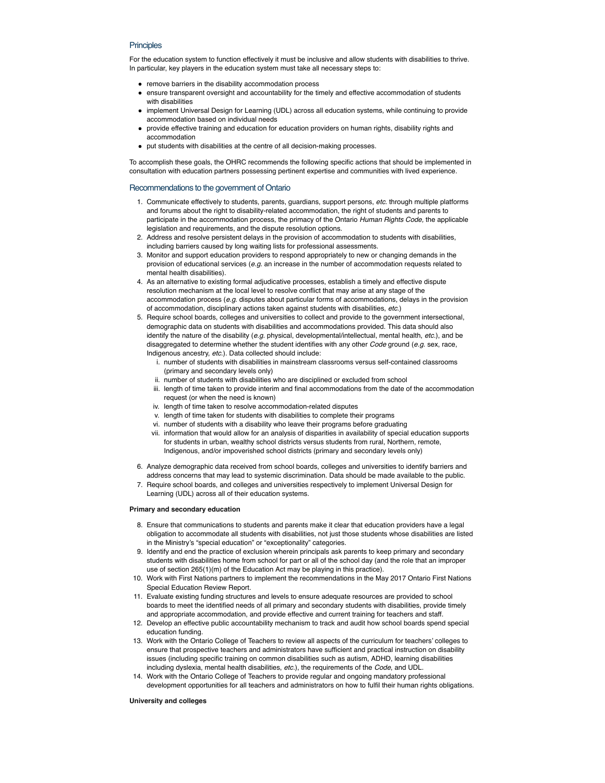## **Principles**

For the education system to function effectively it must be inclusive and allow students with disabilities to thrive. In particular, key players in the education system must take all necessary steps to:

- remove barriers in the disability accommodation process
- ensure transparent oversight and accountability for the timely and effective accommodation of students with disabilities
- implement Universal Design for Learning (UDL) across all education systems, while continuing to provide accommodation based on individual needs
- provide effective training and education for education providers on human rights, disability rights and accommodation
- put students with disabilities at the centre of all decision-making processes.

To accomplish these goals, the OHRC recommends the following specific actions that should be implemented in consultation with education partners possessing pertinent expertise and communities with lived experience.

## Recommendations to the government of Ontario

- 1. Communicate effectively to students, parents, guardians, support persons, *etc.* through multiple platforms and forums about the right to disability-related accommodation, the right of students and parents to participate in the accommodation process, the primacy of the Ontario *Human Rights Code,* the applicable legislation and requirements, and the dispute resolution options.
- 2. Address and resolve persistent delays in the provision of accommodation to students with disabilities, including barriers caused by long waiting lists for professional assessments.
- 3. Monitor and support education providers to respond appropriately to new or changing demands in the provision of educational services (*e.g.* an increase in the number of accommodation requests related to mental health disabilities).
- 4. As an alternative to existing formal adjudicative processes, establish a timely and effective dispute resolution mechanism at the local level to resolve conflict that may arise at any stage of the accommodation process (*e.g*. disputes about particular forms of accommodations, delays in the provision of accommodation, disciplinary actions taken against students with disabilities, *etc.*)
- 5. Require school boards, colleges and universities to collect and provide to the government intersectional, demographic data on students with disabilities and accommodations provided. This data should also identify the nature of the disability (*e.g*. physical, developmental/intellectual, mental health, *etc.*), and be disaggregated to determine whether the student identifies with any other *Code* ground (*e.g*. sex, race, Indigenous ancestry, *etc.*). Data collected should include:
	- i. number of students with disabilities in mainstream classrooms versus self-contained classrooms (primary and secondary levels only)
	- ii. number of students with disabilities who are disciplined or excluded from school
	- iii. length of time taken to provide interim and final accommodations from the date of the accommodation request (or when the need is known)
	- iv. length of time taken to resolve accommodation-related disputes
	- v. length of time taken for students with disabilities to complete their programs
	- vi. number of students with a disability who leave their programs before graduating
	- vii. information that would allow for an analysis of disparities in availability of special education supports for students in urban, wealthy school districts versus students from rural, Northern, remote, Indigenous, and/or impoverished school districts (primary and secondary levels only)
- 6. Analyze demographic data received from school boards, colleges and universities to identify barriers and address concerns that may lead to systemic discrimination. Data should be made available to the public.
- 7. Require school boards, and colleges and universities respectively to implement Universal Design for Learning (UDL) across all of their education systems.

## **Primary and secondary education**

- 8. Ensure that communications to students and parents make it clear that education providers have a legal obligation to accommodate all students with disabilities, not just those students whose disabilities are listed in the Ministry's "special education" or "exceptionality" categories.
- 9. Identify and end the practice of exclusion wherein principals ask parents to keep primary and secondary students with disabilities home from school for part or all of the school day (and the role that an improper use of section 265(1)(m) of the Education Act may be playing in this practice).
- 10. Work with First Nations partners to implement the recommendations in the May 2017 Ontario First Nations Special Education Review Report.
- 11. Evaluate existing funding structures and levels to ensure adequate resources are provided to school boards to meet the identified needs of all primary and secondary students with disabilities, provide timely and appropriate accommodation, and provide effective and current training for teachers and staff.
- 12. Develop an effective public accountability mechanism to track and audit how school boards spend special education funding.
- 13. Work with the Ontario College of Teachers to review all aspects of the curriculum for teachers' colleges to ensure that prospective teachers and administrators have sufficient and practical instruction on disability issues (including specific training on common disabilities such as autism, ADHD, learning disabilities including dyslexia, mental health disabilities, *etc.*), the requirements of the *Code*, and UDL.
- 14. Work with the Ontario College of Teachers to provide regular and ongoing mandatory professional development opportunities for all teachers and administrators on how to fulfil their human rights obligations.

## **University and colleges**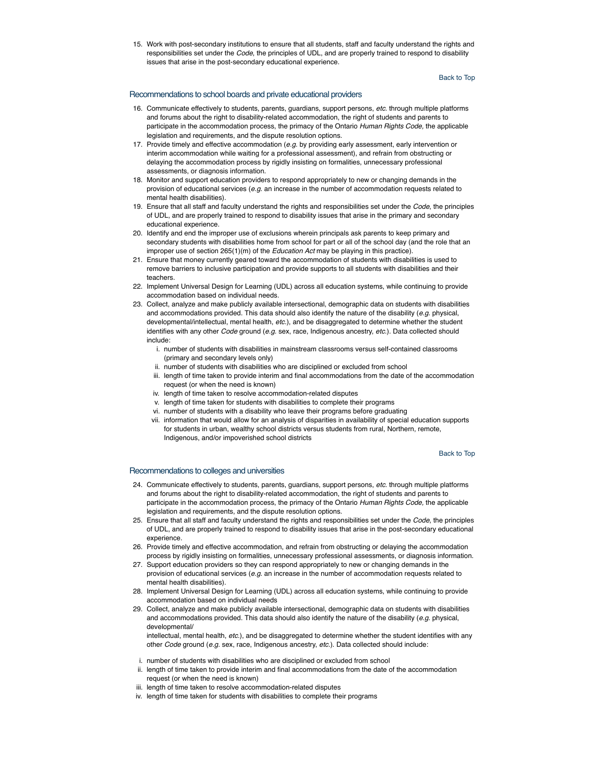15. Work with post-secondary institutions to ensure that all students, staff and faculty understand the rights and responsibilities set under the *Code*, the principles of UDL, and are properly trained to respond to disability issues that arise in the post-secondary educational experience.

## Back to Top

## Recommendations to school boards and private educational providers

- 16. Communicate effectively to students, parents, guardians, support persons, *etc.* through multiple platforms and forums about the right to disability-related accommodation, the right of students and parents to participate in the accommodation process, the primacy of the Ontario *Human Rights Code,* the applicable legislation and requirements, and the dispute resolution options.
- 17. Provide timely and effective accommodation (*e.g.* by providing early assessment, early intervention or interim accommodation while waiting for a professional assessment), and refrain from obstructing or delaying the accommodation process by rigidly insisting on formalities, unnecessary professional assessments, or diagnosis information.
- 18. Monitor and support education providers to respond appropriately to new or changing demands in the provision of educational services (*e.g.* an increase in the number of accommodation requests related to mental health disabilities).
- 19. Ensure that all staff and faculty understand the rights and responsibilities set under the *Code*, the principles of UDL, and are properly trained to respond to disability issues that arise in the primary and secondary educational experience.
- 20. Identify and end the improper use of exclusions wherein principals ask parents to keep primary and secondary students with disabilities home from school for part or all of the school day (and the role that an improper use of section 265(1)(m) of the *Education Act* may be playing in this practice).
- 21. Ensure that money currently geared toward the accommodation of students with disabilities is used to remove barriers to inclusive participation and provide supports to all students with disabilities and their teachers.
- 22. Implement Universal Design for Learning (UDL) across all education systems, while continuing to provide accommodation based on individual needs.
- 23. Collect, analyze and make publicly available intersectional, demographic data on students with disabilities and accommodations provided. This data should also identify the nature of the disability (*e.g.* physical, developmental/intellectual, mental health, *etc.*), and be disaggregated to determine whether the student identifies with any other *Code* ground (*e.g.* sex, race, Indigenous ancestry, *etc.*). Data collected should include:
	- i. number of students with disabilities in mainstream classrooms versus self-contained classrooms (primary and secondary levels only)
	- ii. number of students with disabilities who are disciplined or excluded from school
	- iii. length of time taken to provide interim and final accommodations from the date of the accommodation request (or when the need is known)
	- iv. length of time taken to resolve accommodation-related disputes
	- v. length of time taken for students with disabilities to complete their programs
	- vi. number of students with a disability who leave their programs before graduating
	- vii. information that would allow for an analysis of disparities in availability of special education supports for students in urban, wealthy school districts versus students from rural, Northern, remote, Indigenous, and/or impoverished school districts

Back to Top

## Recommendations to colleges and universities

- 24. Communicate effectively to students, parents, guardians, support persons, *etc.* through multiple platforms and forums about the right to disability-related accommodation, the right of students and parents to participate in the accommodation process, the primacy of the Ontario *Human Rights Code,* the applicable legislation and requirements, and the dispute resolution options.
- 25. Ensure that all staff and faculty understand the rights and responsibilities set under the *Code*, the principles of UDL, and are properly trained to respond to disability issues that arise in the post-secondary educational experience.
- 26. Provide timely and effective accommodation, and refrain from obstructing or delaying the accommodation process by rigidly insisting on formalities, unnecessary professional assessments, or diagnosis information.
- 27. Support education providers so they can respond appropriately to new or changing demands in the provision of educational services (*e.g.* an increase in the number of accommodation requests related to mental health disabilities).
- 28. Implement Universal Design for Learning (UDL) across all education systems, while continuing to provide accommodation based on individual needs
- 29. Collect, analyze and make publicly available intersectional, demographic data on students with disabilities and accommodations provided. This data should also identify the nature of the disability (*e.g.* physical, developmental/

intellectual, mental health, *etc.*), and be disaggregated to determine whether the student identifies with any other *Code* ground (*e.g.* sex, race, Indigenous ancestry, *etc.*). Data collected should include:

- i. number of students with disabilities who are disciplined or excluded from school
- ii. length of time taken to provide interim and final accommodations from the date of the accommodation request (or when the need is known)
- iii. length of time taken to resolve accommodation-related disputes
- iv. length of time taken for students with disabilities to complete their programs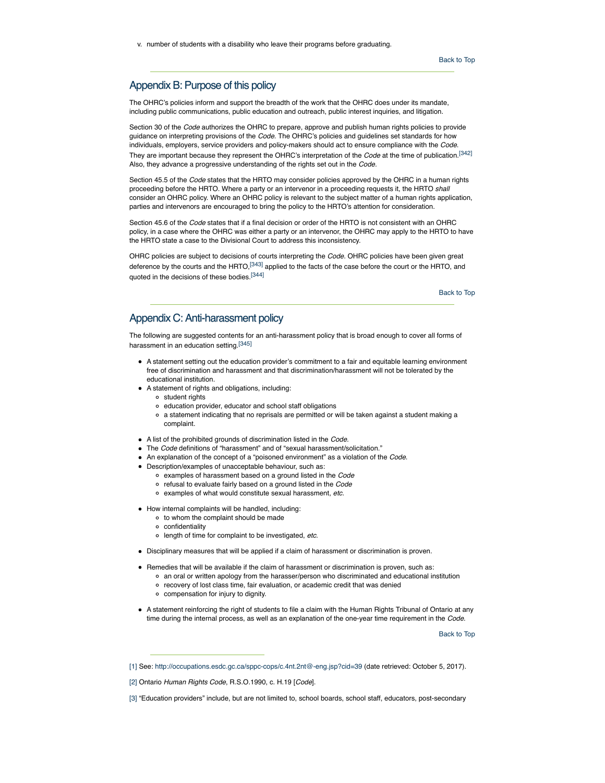v. number of students with a disability who leave their programs before graduating.

## Appendix B: Purpose of this policy

The OHRC's policies inform and support the breadth of the work that the OHRC does under its mandate, including public communications, public education and outreach, public interest inquiries, and litigation.

Section 30 of the *Code* authorizes the OHRC to prepare, approve and publish human rights policies to provide guidance on interpreting provisions of the *Code*. The OHRC's policies and guidelines set standards for how individuals, employers, service providers and policy-makers should act to ensure compliance with the *Code*. They are important because they represent the OHRC's interpretation of the *Code* at the time of publication.[342] Also, they advance a progressive understanding of the rights set out in the *Code.*

Section 45.5 of the *Code* states that the HRTO may consider policies approved by the OHRC in a human rights proceeding before the HRTO. Where a party or an intervenor in a proceeding requests it, the HRTO *shall* consider an OHRC policy. Where an OHRC policy is relevant to the subject matter of a human rights application, parties and intervenors are encouraged to bring the policy to the HRTO's attention for consideration.

Section 45.6 of the *Code* states that if a final decision or order of the HRTO is not consistent with an OHRC policy, in a case where the OHRC was either a party or an intervenor, the OHRC may apply to the HRTO to have the HRTO state a case to the Divisional Court to address this inconsistency.

OHRC policies are subject to decisions of courts interpreting the *Code*. OHRC policies have been given great deference by the courts and the HRTO,<sup>[343]</sup> applied to the facts of the case before the court or the HRTO, and quoted in the decisions of these bodies.[344]

Back to Top

## Appendix C: Anti-harassment policy

The following are suggested contents for an anti-harassment policy that is broad enough to cover all forms of harassment in an education setting.[345]

- A statement setting out the education provider's commitment to a fair and equitable learning environment free of discrimination and harassment and that discrimination/harassment will not be tolerated by the educational institution.
- A statement of rights and obligations, including:
	- o student rights
	- education provider, educator and school staff obligations
	- a statement indicating that no reprisals are permitted or will be taken against a student making a complaint.
- A list of the prohibited grounds of discrimination listed in the *Code.*
- The *Code* definitions of "harassment" and of "sexual harassment/solicitation."
- An explanation of the concept of a "poisoned environment" as a violation of the *Code*.
- Description/examples of unacceptable behaviour, such as:
	- examples of harassment based on a ground listed in the *Code*
	- refusal to evaluate fairly based on a ground listed in the *Code*
	- examples of what would constitute sexual harassment, *etc.*
- How internal complaints will be handled, including:
	- to whom the complaint should be made
	- confidentiality
	- length of time for complaint to be investigated, *etc.*
- Disciplinary measures that will be applied if a claim of harassment or discrimination is proven.
- Remedies that will be available if the claim of harassment or discrimination is proven, such as:
	- an oral or written apology from the harasser/person who discriminated and educational institution
	- recovery of lost class time, fair evaluation, or academic credit that was denied
	- compensation for injury to dignity.
- A statement reinforcing the right of students to file a claim with the Human Rights Tribunal of Ontario at any time during the internal process, as well as an explanation of the one-year time requirement in the *Code*.

Back to Top

<sup>[1]</sup> See: http://occupations.esdc.gc.ca/sppc-cops/c.4nt.2nt@-eng.jsp?cid=39 (date retrieved: October 5, 2017).

<sup>[2]</sup> Ontario *Human Rights Code*, R.S.O.1990, c. H.19 [*Code*].

<sup>[3] &</sup>quot;Education providers" include, but are not limited to, school boards, school staff, educators, post-secondary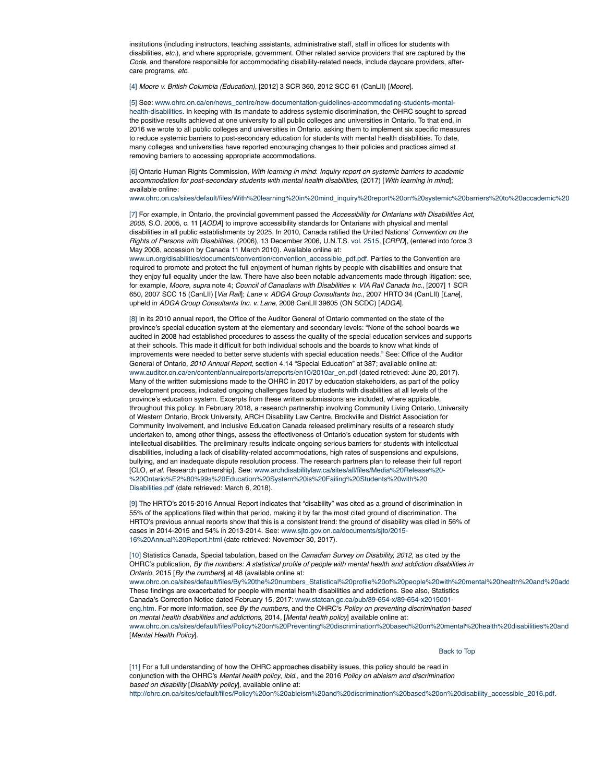institutions (including instructors, teaching assistants, administrative staff, staff in offices for students with disabilities, *etc.*), and where appropriate, government. Other related service providers that are captured by the *Code*, and therefore responsible for accommodating disability-related needs, include daycare providers, aftercare programs, *etc.*

[4] *Moore v. British Columbia (Education)*, [2012] 3 SCR 360, 2012 SCC 61 (CanLII) [*Moore*].

[5] See: www.ohrc.on.ca/en/news\_centre/new-documentation-guidelines-accommodating-students-mentalhealth-disabilities. In keeping with its mandate to address systemic discrimination, the OHRC sought to spread the positive results achieved at one university to all public colleges and universities in Ontario. To that end, in 2016 we wrote to all public colleges and universities in Ontario, asking them to implement six specific measures to reduce systemic barriers to post-secondary education for students with mental health disabilities. To date, many colleges and universities have reported encouraging changes to their policies and practices aimed at removing barriers to accessing appropriate accommodations.

[6] Ontario Human Rights Commission, *With learning in mind*: *Inquiry report on systemic barriers to academic accommodation for post-secondary students with mental health disabilities*, (2017) [*With learning in mind*]; available online:

www.ohrc.on.ca/sites/default/files/With%20learning%20in%20mind\_inquiry%20report%20on%20systemic%20barriers%20to%20accademic%20

[7] For example, in Ontario, the provincial government passed the *Accessibility for Ontarians with Disabilities Act, 2005*, S.O. 2005, c. 11 [*AODA*] to improve accessibility standards for Ontarians with physical and mental disabilities in all public establishments by 2025. In 2010, Canada ratified the United Nations' *Convention on the Rights of Persons with Disabilities*, (2006), 13 December 2006, U.N.T.S. vol. 2515, [*CRPD*], (entered into force 3 May 2008, accession by Canada 11 March 2010). Available online at:

www.un.org/disabilities/documents/convention/convention\_accessible\_pdf.pdf. Parties to the Convention are required to promote and protect the full enjoyment of human rights by people with disabilities and ensure that they enjoy full equality under the law. There have also been notable advancements made through litigation: see, for example, *Moore*, *supra* note 4; *Council of Canadians with Disabilities v. VIA Rail Canada Inc.*, [2007] 1 SCR 650, 2007 SCC 15 (CanLII) [*Via Rail*]; *Lane v. ADGA Group Consultants Inc.*, 2007 HRTO 34 (CanLII) [*Lane*], upheld in *ADGA Group Consultants Inc. v. Lane*, 2008 CanLII 39605 (ON SCDC) [*ADGA*].

[8] In its 2010 annual report, the Office of the Auditor General of Ontario commented on the state of the province's special education system at the elementary and secondary levels: "None of the school boards we audited in 2008 had established procedures to assess the quality of the special education services and supports at their schools. This made it difficult for both individual schools and the boards to know what kinds of improvements were needed to better serve students with special education needs." See: Office of the Auditor General of Ontario, *2010 Annual Report*, section 4.14 "Special Education" at 387; available online at: www.auditor.on.ca/en/content/annualreports/arreports/en10/2010ar\_en.pdf (dated retrieved: June 20, 2017). Many of the written submissions made to the OHRC in 2017 by education stakeholders, as part of the policy development process, indicated ongoing challenges faced by students with disabilities at all levels of the province's education system. Excerpts from these written submissions are included, where applicable, throughout this policy. In February 2018, a research partnership involving Community Living Ontario, University of Western Ontario, Brock University, ARCH Disability Law Centre, Brockville and District Association for Community Involvement, and Inclusive Education Canada released preliminary results of a research study undertaken to, among other things, assess the effectiveness of Ontario's education system for students with intellectual disabilities. The preliminary results indicate ongoing serious barriers for students with intellectual disabilities, including a lack of disability-related accommodations, high rates of suspensions and expulsions, bullying, and an inadequate dispute resolution process. The research partners plan to release their full report [CLO, *et al.* Research partnership]. See: www.archdisabilitylaw.ca/sites/all/files/Media%20Release%20- %20Ontario%E2%80%99s%20Education%20System%20is%20Failing%20Students%20with%20 Disabilities.pdf (date retrieved: March 6, 2018).

[9] The HRTO's 2015-2016 Annual Report indicates that "disability" was cited as a ground of discrimination in 55% of the applications filed within that period, making it by far the most cited ground of discrimination. The HRTO's previous annual reports show that this is a consistent trend: the ground of disability was cited in 56% of cases in 2014-2015 and 54% in 2013-2014. See: www.sjto.gov.on.ca/documents/sjto/2015- 16%20Annual%20Report.html (date retrieved: November 30, 2017).

[10] Statistics Canada, Special tabulation, based on the *Canadian Survey on Disability, 2012*, as cited by the OHRC's publication, *By the numbers: A statistical profile of people with mental health and addiction disabilities in Ontario*, 2015 [*By the numbers*] at 48 (available online at: www.ohrc.on.ca/sites/default/files/By%20the%20numbers\_Statistical%20profile%20of%20people%20with%20mental%20health%20and%20add

These findings are exacerbated for people with mental health disabilities and addictions. See also, Statistics Canada's Correction Notice dated February 15, 2017: www.statcan.gc.ca/pub/89-654-x/89-654-x2015001 eng.htm. For more information, see *By the numbers*, and the OHRC's *Policy on preventing discrimination based on mental health disabilities and addictions*, 2014, [*Mental health policy*] available online at: www.ohrc.on.ca/sites/default/files/Policy%20on%20Preventing%20discrimination%20based%20on%20mental%20health%20disabilities%20and [*Mental Health Policy*].

Back to Top

[11] For a full understanding of how the OHRC approaches disability issues, this policy should be read in conjunction with the OHRC's *Mental health policy*, *ibid.*, and the 2016 *Policy on ableism and discrimination based on disability* [*Disability policy*], available online at: http://ohrc.on.ca/sites/default/files/Policy%20on%20ableism%20and%20discrimination%20based%20on%20disability\_accessible\_2016.pdf.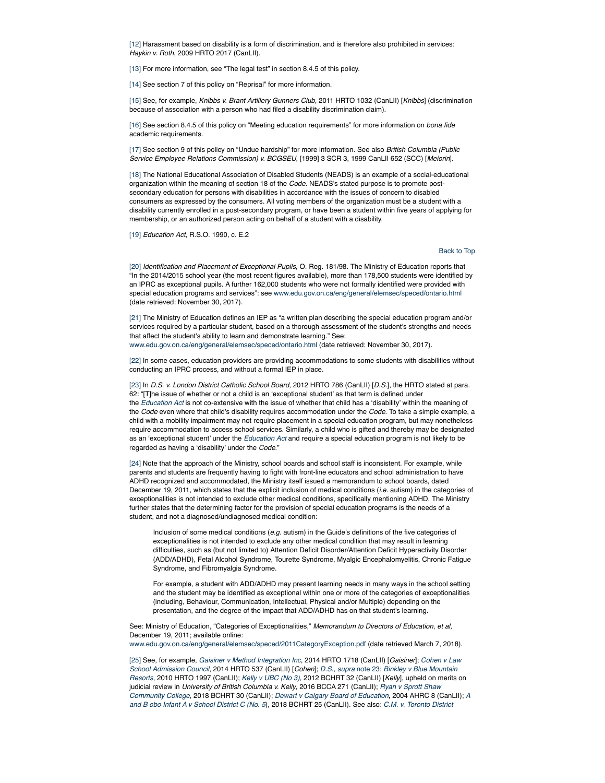[12] Harassment based on disability is a form of discrimination, and is therefore also prohibited in services: *Haykin v. Roth*, 2009 HRTO 2017 (CanLII).

[13] For more information, see "The legal test" in section 8.4.5 of this policy.

[14] See section 7 of this policy on "Reprisal" for more information.

[15] See, for example, *Knibbs v. Brant Artillery Gunners Club*, 2011 HRTO 1032 (CanLII) [*Knibbs*] (discrimination because of association with a person who had filed a disability discrimination claim).

[16] See section 8.4.5 of this policy on "Meeting education requirements" for more information on *bona fide* academic requirements.

[17] See section 9 of this policy on "Undue hardship" for more information. See also *British Columbia (Public Service Employee Relations Commission) v. BCGSEU*, [1999] 3 SCR 3, 1999 CanLII 652 (SCC) [*Meiorin*].

[18] The National Educational Association of Disabled Students (NEADS) is an example of a social-educational organization within the meaning of section 18 of the *Code*. NEADS's stated purpose is to promote postsecondary education for persons with disabilities in accordance with the issues of concern to disabled consumers as expressed by the consumers. All voting members of the organization must be a student with a disability currently enrolled in a post-secondary program, or have been a student within five years of applying for membership, or an authorized person acting on behalf of a student with a disability.

[19] *Education Act*, R.S.O. 1990, c. E.2

## Back to Top

[20] *Identification and Placement of Exceptional Pupils*, O. Reg. 181/98. The Ministry of Education reports that "In the 2014/2015 school year (the most recent figures available), more than 178,500 students were identified by an IPRC as exceptional pupils. A further 162,000 students who were not formally identified were provided with special education programs and services": see www.edu.gov.on.ca/eng/general/elemsec/speced/ontario.html (date retrieved: November 30, 2017).

[21] The Ministry of Education defines an IEP as "a written plan describing the special education program and/or services required by a particular student, based on a thorough assessment of the student's strengths and needs that affect the student's ability to learn and demonstrate learning." See: www.edu.gov.on.ca/eng/general/elemsec/speced/ontario.html (date retrieved: November 30, 2017).

[22] In some cases, education providers are providing accommodations to some students with disabilities without conducting an IPRC process, and without a formal IEP in place.

[23] In *D.S. v. London District Catholic School Board*, 2012 HRTO 786 (CanLII) [*D.S.*], the HRTO stated at para. 62: "[T]he issue of whether or not a child is an 'exceptional student' as that term is defined under the *Education Act* is not co-extensive with the issue of whether that child has a 'disability' within the meaning of the *Code* even where that child's disability requires accommodation under the *Code*. To take a simple example, a child with a mobility impairment may not require placement in a special education program, but may nonetheless require accommodation to access school services. Similarly, a child who is gifted and thereby may be designated as an 'exceptional student' under the *Education Act* and require a special education program is not likely to be regarded as having a 'disability' under the *Code*."

[24] Note that the approach of the Ministry, school boards and school staff is inconsistent. For example, while parents and students are frequently having to fight with front-line educators and school administration to have ADHD recognized and accommodated, the Ministry itself issued a memorandum to school boards, dated December 19, 2011, which states that the explicit inclusion of medical conditions (*i.e.* autism) in the categories of exceptionalities is not intended to exclude other medical conditions, specifically mentioning ADHD. The Ministry further states that the determining factor for the provision of special education programs is the needs of a student, and not a diagnosed/undiagnosed medical condition:

Inclusion of some medical conditions (*e.g.* autism) in the Guide's definitions of the five categories of exceptionalities is not intended to exclude any other medical condition that may result in learning difficulties, such as (but not limited to) Attention Deficit Disorder/Attention Deficit Hyperactivity Disorder (ADD/ADHD), Fetal Alcohol Syndrome, Tourette Syndrome, Myalgic Encephalomyelitis, Chronic Fatigue Syndrome, and Fibromyalgia Syndrome.

For example, a student with ADD/ADHD may present learning needs in many ways in the school setting and the student may be identified as exceptional within one or more of the categories of exceptionalities (including, Behaviour, Communication, Intellectual, Physical and/or Multiple) depending on the presentation, and the degree of the impact that ADD/ADHD has on that student's learning.

See: Ministry of Education, "Categories of Exceptionalities," *Memorandum to Directors of Education*, *et al*, December 19, 2011; available online:

www.edu.gov.on.ca/eng/general/elemsec/speced/2011CategoryException.pdf (date retrieved March 7, 2018).

[25] See, for example, *Gaisiner v Method Integration Inc*, 2014 HRTO 1718 (CanLII) [*Gaisiner*]; *Cohen v Law School Admission Council*, 2014 HRTO 537 (CanLII) [*Cohen*]; *D.S.*, *supra* note 23; *Binkley v Blue Mountain Resorts*, 2010 HRTO 1997 (CanLII); *Kelly v UBC (No 3),* 2012 BCHRT 32 (CanLII) [*Kelly*], upheld on merits on judicial review in *University of British Columbia v. Kelly*, 2016 BCCA 271 (CanLII); *Ryan v Sprott Shaw Community College*, 2018 BCHRT 30 (CanLII); *Dewart v Calgary Board of Education***,** 2004 AHRC 8 (CanLII); *A and B obo Infant A v School District C (No. 5*), 2018 BCHRT 25 (CanLII). See also: *C.M. v. Toronto District*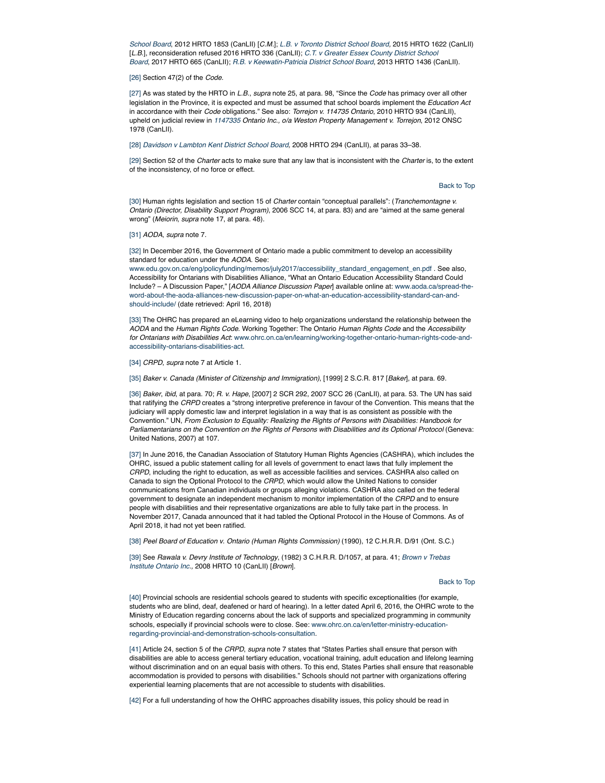*School Board*, 2012 HRTO 1853 (CanLII) [*C.M.*]; *L.B. v Toronto District School Board,* 2015 HRTO 1622 (CanLII) [*L.B.*], reconsideration refused 2016 HRTO 336 (CanLII); *C.T. v Greater Essex County District School Board*, 2017 HRTO 665 (CanLII); *R.B. v Keewatin-Patricia District School Board*, 2013 HRTO 1436 (CanLII).

## [26] Section 47(2) of the *Code.*

[27] As was stated by the HRTO in *L.B.*, *supra* note 25, at para. 98, "Since the *Code* has primacy over all other legislation in the Province, it is expected and must be assumed that school boards implement the *Education Act* in accordance with their *Code* obligations." See also: *Torrejon v. 114735 Ontario*, 2010 HRTO 934 (CanLII), upheld on judicial review in *1147335 Ontario Inc., o/a Weston Property Management v. Torrejon*, 2012 ONSC 1978 (CanLII).

[28] *Davidson v Lambton Kent District School Board,* 2008 HRTO 294 (CanLII), at paras 33–38.

[29] Section 52 of the *Charter* acts to make sure that any law that is inconsistent with the *Charter* is, to the extent of the inconsistency, of no force or effect.

Back to Top

[30] Human rights legislation and section 15 of *Charter* contain "conceptual parallels": (*Tranchemontagne v. Ontario (Director, Disability Support Program)*, 2006 SCC 14, at para. 83) and are "aimed at the same general wrong" (*Meiorin*, *supra* note 17, at para. 48).

## [31] *AODA*, *supra* note 7.

[32] In December 2016, the Government of Ontario made a public commitment to develop an accessibility standard for education under the *AODA.* See:

www.edu.gov.on.ca/eng/policyfunding/memos/july2017/accessibility\_standard\_engagement\_en.pdf . See also, Accessibility for Ontarians with Disabilities Alliance, "What an Ontario Education Accessibility Standard Could Include? – A Discussion Paper," [*AODA Alliance Discussion Paper*] available online at: www.aoda.ca/spread-theword-about-the-aoda-alliances-new-discussion-paper-on-what-an-education-accessibility-standard-can-andshould-include/ (date retrieved: April 16, 2018)

[33] The OHRC has prepared an eLearning video to help organizations understand the relationship between the *AODA* and the *Human Rights Code*. Working Together: The Ontario *Human Rights Code* and the *Accessibility for Ontarians with Disabilities Act*: www.ohrc.on.ca/en/learning/working-together-ontario-human-rights-code-andaccessibility-ontarians-disabilities-act.

[34] *CRPD*, *supra* note 7 at Article 1.

[35] *Baker v. Canada (Minister of Citizenship and Immigration)*, [1999] 2 S.C.R. 817 [*Baker*], at para. 69.

[36] *Baker*, *ibid*, at para. 70; *R. v. Hape*, [2007] 2 SCR 292, 2007 SCC 26 (CanLII), at para. 53. The UN has said that ratifying the *CRPD* creates a "strong interpretive preference in favour of the Convention. This means that the judiciary will apply domestic law and interpret legislation in a way that is as consistent as possible with the Convention." UN, *From Exclusion to Equality: Realizing the Rights of Persons with Disabilities: Handbook for Parliamentarians on the Convention on the Rights of Persons with Disabilities and its Optional Protocol* (Geneva: United Nations, 2007) at 107.

[37] In June 2016, the Canadian Association of Statutory Human Rights Agencies (CASHRA), which includes the OHRC, issued a public statement calling for all levels of government to enact laws that fully implement the *CRPD*, including the right to education, as well as accessible facilities and services. CASHRA also called on Canada to sign the Optional Protocol to the *CRPD*, which would allow the United Nations to consider communications from Canadian individuals or groups alleging violations. CASHRA also called on the federal government to designate an independent mechanism to monitor implementation of the *CRPD* and to ensure people with disabilities and their representative organizations are able to fully take part in the process. In November 2017, Canada announced that it had tabled the Optional Protocol in the House of Commons. As of April 2018, it had not yet been ratified.

[38] *Peel Board of Education v*. *Ontario (Human Rights Commission)* (1990), 12 C.H.R.R. D/91 (Ont. S.C.)

[39] See *Rawala v. Devry Institute of Technology*, (1982) 3 C.H.R.R. D/1057, at para. 41; *Brown v Trebas Institute Ontario Inc.,* 2008 HRTO 10 (CanLII) [*Brown*].

#### Back to Top

[40] Provincial schools are residential schools geared to students with specific exceptionalities (for example, students who are blind, deaf, deafened or hard of hearing). In a letter dated April 6, 2016, the OHRC wrote to the Ministry of Education regarding concerns about the lack of supports and specialized programming in community schools, especially if provincial schools were to close. See: www.ohrc.on.ca/en/letter-ministry-educationregarding-provincial-and-demonstration-schools-consultation.

[41] Article 24, section 5 of the *CRPD*, *supra* note 7 states that "States Parties shall ensure that person with disabilities are able to access general tertiary education, vocational training, adult education and lifelong learning without discrimination and on an equal basis with others. To this end, States Parties shall ensure that reasonable accommodation is provided to persons with disabilities." Schools should not partner with organizations offering experiential learning placements that are not accessible to students with disabilities.

[42] For a full understanding of how the OHRC approaches disability issues, this policy should be read in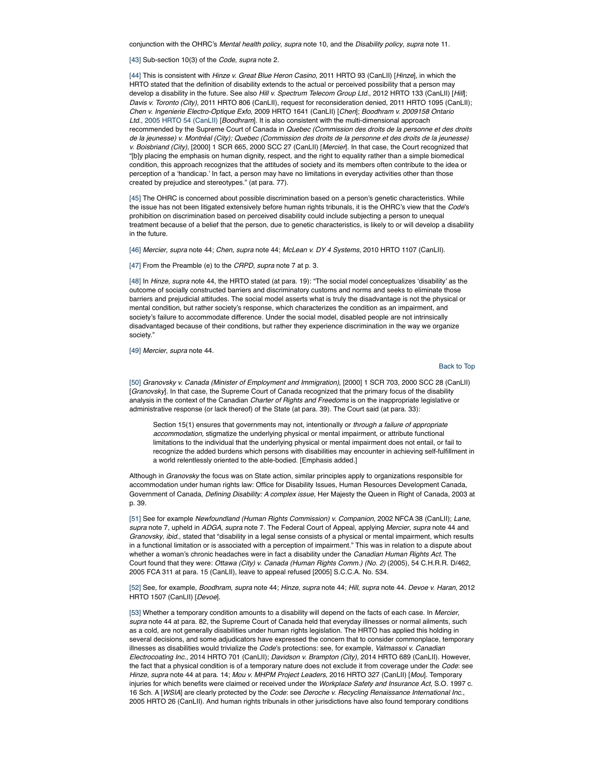conjunction with the OHRC's *Mental health policy*, *supra* note 10, and the *Disability policy*, *supra* note 11.

[43] Sub-section 10(3) of the *Code*, *supra* note 2.

[44] This is consistent with *Hinze v. Great Blue Heron Casino*, 2011 HRTO 93 (CanLII) [*Hinze*], in which the HRTO stated that the definition of disability extends to the actual or perceived possibility that a person may develop a disability in the future. See also *Hill v. Spectrum Telecom Group Ltd.*, 2012 HRTO 133 (CanLII) [*Hill*]; *Davis v. Toronto (City)*, 2011 HRTO 806 (CanLII), request for reconsideration denied, 2011 HRTO 1095 (CanLII); *Chen v. Ingenierie Electro-Optique Exfo*, 2009 HRTO 1641 (CanLII) [*Chen*]; *Boodhram v. 2009158 Ontario Ltd*., 2005 HRTO 54 (CanLII) [*Boodhram*]. It is also consistent with the multi-dimensional approach recommended by the Supreme Court of Canada in *Quebec (Commission des droits de la personne et des droits de la jeunesse) v. Montréal (City); Quebec (Commission des droits de la personne et des droits de la jeunesse) v. Boisbriand (City)*, [2000] 1 SCR 665, 2000 SCC 27 (CanLII) [*Mercier*]. In that case, the Court recognized that "[b]y placing the emphasis on human dignity, respect, and the right to equality rather than a simple biomedical condition, this approach recognizes that the attitudes of society and its members often contribute to the idea or perception of a 'handicap.' In fact, a person may have no limitations in everyday activities other than those created by prejudice and stereotypes." (at para. 77).

[45] The OHRC is concerned about possible discrimination based on a person's genetic characteristics. While the issue has not been litigated extensively before human rights tribunals, it is the OHRC's view that the *Code*'s prohibition on discrimination based on perceived disability could include subjecting a person to unequal treatment because of a belief that the person, due to genetic characteristics, is likely to or will develop a disability in the future.

[46] *Mercier*, *supra* note 44; *Chen*, *supra* note 44; *McLean v. DY 4 Systems*, 2010 HRTO 1107 (CanLII).

[47] From the Preamble (e) to the *CRPD*, *supra* note 7 at p. 3.

[48] In *Hinze*, *supra* note 44, the HRTO stated (at para. 19): "The social model conceptualizes 'disability' as the outcome of socially constructed barriers and discriminatory customs and norms and seeks to eliminate those barriers and prejudicial attitudes. The social model asserts what is truly the disadvantage is not the physical or mental condition, but rather society's response, which characterizes the condition as an impairment, and society's failure to accommodate difference. Under the social model, disabled people are not intrinsically disadvantaged because of their conditions, but rather they experience discrimination in the way we organize society."

[49] *Mercier*, *supra* note 44.

#### Back to Top

[50] *Granovsky v. Canada (Minister of Employment and Immigration)*, [2000] 1 SCR 703, 2000 SCC 28 (CanLII) [*Granovsky*]. In that case, the Supreme Court of Canada recognized that the primary focus of the disability analysis in the context of the Canadian *Charter of Rights and Freedoms* is on the inappropriate legislative or administrative response (or lack thereof) of the State (at para. 39). The Court said (at para. 33):

Section 15(1) ensures that governments may not, intentionally or *through a failure of appropriate accommodation*, stigmatize the underlying physical or mental impairment, or attribute functional limitations to the individual that the underlying physical or mental impairment does not entail, or fail to recognize the added burdens which persons with disabilities may encounter in achieving self-fulfillment in a world relentlessly oriented to the able-bodied. [Emphasis added.]

Although in *Granovsky* the focus was on State action, similar principles apply to organizations responsible for accommodation under human rights law: Office for Disability Issues, Human Resources Development Canada, Government of Canada, *Defining Disability: A complex issue,* Her Majesty the Queen in Right of Canada, 2003 at p. 39.

[51] See for example *Newfoundland (Human Rights Commission) v. Companion*, 2002 NFCA 38 (CanLII); *Lane*, *supra* note 7, upheld in *ADGA*, *supra* note 7. The Federal Court of Appeal, applying *Mercier*, *supra* note 44 and *Granovsky*, *ibid.*, stated that "disability in a legal sense consists of a physical or mental impairment, which results in a functional limitation or is associated with a perception of impairment." This was in relation to a dispute about whether a woman's chronic headaches were in fact a disability under the *Canadian Human Rights Act*. The Court found that they were: *Ottawa (City) v. Canada (Human Rights Comm.) (No. 2)* (2005), 54 C.H.R.R. D/462, 2005 FCA 311 at para. 15 (CanLII), leave to appeal refused [2005] S.C.C.A. No. 534.

[52] See, for example, *Boodhram*, *supra* note 44; *Hinze*, *supra* note 44; *Hill*, *supra* note 44. *Devoe v. Haran*, 2012 HRTO 1507 (CanLII) [*Devoe*].

[53] Whether a temporary condition amounts to a disability will depend on the facts of each case. In *Mercier*, *supra* note 44 at para. 82, the Supreme Court of Canada held that everyday illnesses or normal ailments, such as a cold, are not generally disabilities under human rights legislation. The HRTO has applied this holding in several decisions, and some adjudicators have expressed the concern that to consider commonplace, temporary illnesses as disabilities would trivialize the *Code*'s protections: see, for example, *Valmassoi v. Canadian Electrocoating Inc*., 2014 HRTO 701 (CanLII); *Davidson v. Brampton (City)*, 2014 HRTO 689 (CanLII). However, the fact that a physical condition is of a temporary nature does not exclude it from coverage under the *Code*: see *Hinze*, *supra* note 44 at para. 14; *Mou v. MHPM Project Leaders*, 2016 HRTO 327 (CanLII) [*Mou*]. Temporary injuries for which benefits were claimed or received under the *Workplace Safety and Insurance Act*, S.O. 1997 c. 16 Sch. A [*WSIA*] are clearly protected by the *Code*: see *Deroche v. Recycling Renaissance International Inc*., 2005 HRTO 26 (CanLII). And human rights tribunals in other jurisdictions have also found temporary conditions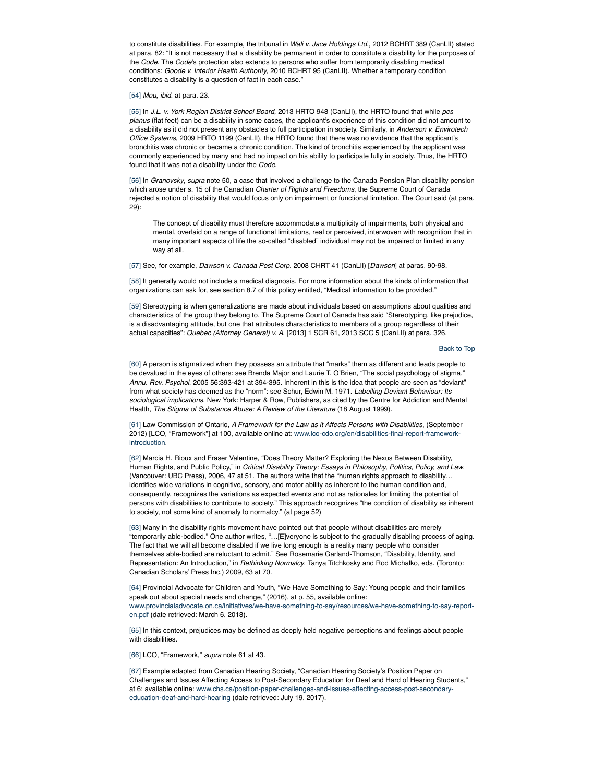to constitute disabilities. For example, the tribunal in *Wali v. Jace Holdings Ltd.*, 2012 BCHRT 389 (CanLII) stated at para. 82: "It is not necessary that a disability be permanent in order to constitute a disability for the purposes of the *Code*. The *Code*'s protection also extends to persons who suffer from temporarily disabling medical conditions: *Goode v. Interior Health Authority*, 2010 BCHRT 95 (CanLII). Whether a temporary condition constitutes a disability is a question of fact in each case."

#### [54] *Mou*, *ibid.* at para. 23.

[55] In *J.L. v. York Region District School Board*, 2013 HRTO 948 (CanLII), the HRTO found that while *pes planus* (flat feet) can be a disability in some cases, the applicant's experience of this condition did not amount to a disability as it did not present any obstacles to full participation in society. Similarly, in *Anderson v. Envirotech Office Systems*, 2009 HRTO 1199 (CanLII), the HRTO found that there was no evidence that the applicant's bronchitis was chronic or became a chronic condition. The kind of bronchitis experienced by the applicant was commonly experienced by many and had no impact on his ability to participate fully in society. Thus, the HRTO found that it was not a disability under the *Code*.

[56] In *Granovsky*, *supra* note 50, a case that involved a challenge to the Canada Pension Plan disability pension which arose under s. 15 of the Canadian *Charter of Rights and Freedoms*, the Supreme Court of Canada rejected a notion of disability that would focus only on impairment or functional limitation. The Court said (at para. 29):

The concept of disability must therefore accommodate a multiplicity of impairments, both physical and mental, overlaid on a range of functional limitations, real or perceived, interwoven with recognition that in many important aspects of life the so-called "disabled" individual may not be impaired or limited in any way at all.

[57] See, for example, *Dawson v. Canada Post Corp.* 2008 CHRT 41 (CanLII) [*Dawson*] at paras. 90-98.

[58] It generally would not include a medical diagnosis. For more information about the kinds of information that organizations can ask for, see section 8.7 of this policy entitled, "Medical information to be provided."

[59] Stereotyping is when generalizations are made about individuals based on assumptions about qualities and characteristics of the group they belong to. The Supreme Court of Canada has said "Stereotyping, like prejudice, is a disadvantaging attitude, but one that attributes characteristics to members of a group regardless of their actual capacities": *Quebec (Attorney General) v. A*, [2013] 1 SCR 61, 2013 SCC 5 (CanLII) at para. 326.

## Back to Top

[60] A person is stigmatized when they possess an attribute that "marks" them as different and leads people to be devalued in the eyes of others: see Brenda Major and Laurie T. O'Brien, "The social psychology of stigma," *Annu. Rev. Psychol*. 2005 56:393-421 at 394-395. Inherent in this is the idea that people are seen as "deviant" from what society has deemed as the "norm": see Schur, Edwin M. 1971. *Labelling Deviant Behaviour: Its sociological implications*. New York: Harper & Row, Publishers, as cited by the Centre for Addiction and Mental Health, *The Stigma of Substance Abuse: A Review of the Literature* (18 August 1999).

[61] Law Commission of Ontario, *A Framework for the Law as it Affects Persons with Disabilities*, (September 2012) [LCO, "Framework"] at 100, available online at: www.lco-cdo.org/en/disabilities-final-report-frameworkintroduction.

[62] Marcia H. Rioux and Fraser Valentine, "Does Theory Matter? Exploring the Nexus Between Disability, Human Rights, and Public Policy," in *Critical Disability Theory: Essays in Philosophy, Politics, Policy, and Law*, (Vancouver: UBC Press), 2006, 47 at 51. The authors write that the "human rights approach to disability… identifies wide variations in cognitive, sensory, and motor ability as inherent to the human condition and, consequently, recognizes the variations as expected events and not as rationales for limiting the potential of persons with disabilities to contribute to society." This approach recognizes "the condition of disability as inherent to society, not some kind of anomaly to normalcy." (at page 52)

[63] Many in the disability rights movement have pointed out that people without disabilities are merely "temporarily able-bodied." One author writes, "…[E]veryone is subject to the gradually disabling process of aging. The fact that we will all become disabled if we live long enough is a reality many people who consider themselves able-bodied are reluctant to admit." See Rosemarie Garland-Thomson, "Disability, Identity, and Representation: An Introduction," in *Rethinking Normalcy*, Tanya Titchkosky and Rod Michalko, eds. (Toronto: Canadian Scholars' Press Inc.) 2009, 63 at 70.

[64] Provincial Advocate for Children and Youth, "We Have Something to Say: Young people and their families speak out about special needs and change," (2016), at p. 55, available online: www.provincialadvocate.on.ca/initiatives/we-have-something-to-say/resources/we-have-something-to-say-reporten.pdf (date retrieved: March 6, 2018).

[65] In this context, prejudices may be defined as deeply held negative perceptions and feelings about people with disabilities.

[66] LCO, "Framework," *supra* note 61 at 43.

[67] Example adapted from Canadian Hearing Society, "Canadian Hearing Society's Position Paper on Challenges and Issues Affecting Access to Post-Secondary Education for Deaf and Hard of Hearing Students," at 6; available online: www.chs.ca/position-paper-challenges-and-issues-affecting-access-post-secondaryeducation-deaf-and-hard-hearing (date retrieved: July 19, 2017).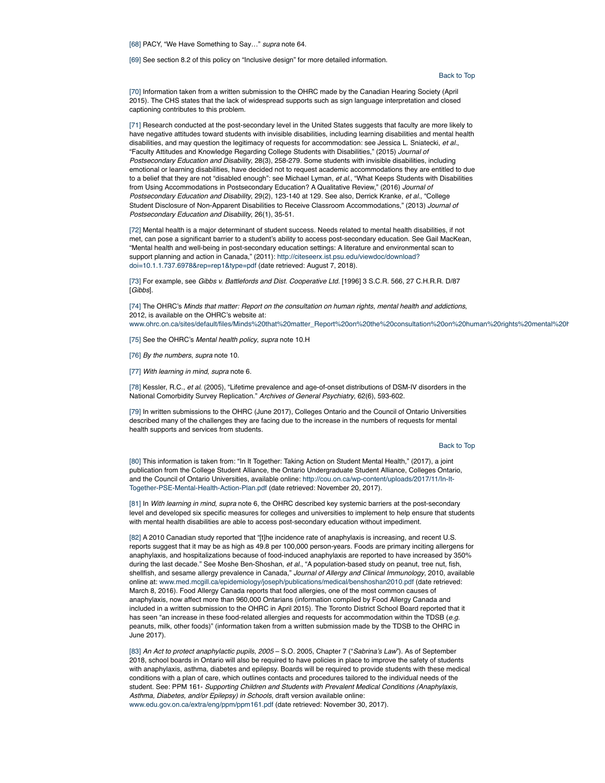[68] PACY, "We Have Something to Say…" *supra* note 64.

[69] See section 8.2 of this policy on "Inclusive design" for more detailed information.

Back to Top

[70] Information taken from a written submission to the OHRC made by the Canadian Hearing Society (April 2015). The CHS states that the lack of widespread supports such as sign language interpretation and closed captioning contributes to this problem.

[71] Research conducted at the post-secondary level in the United States suggests that faculty are more likely to have negative attitudes toward students with invisible disabilities, including learning disabilities and mental health disabilities, and may question the legitimacy of requests for accommodation: see Jessica L. Sniatecki, *et al.*, "Faculty Attitudes and Knowledge Regarding College Students with Disabilities," (2015) *Journal of Postsecondary Education and Disability*, 28(3), 258-279. Some students with invisible disabilities, including emotional or learning disabilities, have decided not to request academic accommodations they are entitled to due to a belief that they are not "disabled enough": see Michael Lyman, *et al.*, "What Keeps Students with Disabilities from Using Accommodations in Postsecondary Education? A Qualitative Review," (2016) *Journal of Postsecondary Education and Disability*, 29(2), 123-140 at 129. See also, Derrick Kranke, *et al.*, "College Student Disclosure of Non-Apparent Disabilities to Receive Classroom Accommodations," (2013) *Journal of Postsecondary Education and Disability*, 26(1), 35-51.

[72] Mental health is a major determinant of student success. Needs related to mental health disabilities, if not met, can pose a significant barrier to a student's ability to access post-secondary education. See Gail MacKean, "Mental health and well-being in post-secondary education settings: A literature and environmental scan to support planning and action in Canada," (2011): http://citeseerx.ist.psu.edu/viewdoc/download? doi=10.1.1.737.6978&rep=rep1&type=pdf (date retrieved: August 7, 2018).

[73] For example, see *Gibbs v. Battlefords and Dist. Cooperative Ltd.* [1996] 3 S.C.R. 566, 27 C.H.R.R. D/87 [*Gibbs*].

[74] The OHRC's *Minds that matter: Report on the consultation on human rights, mental health and addictions*, 2012, is available on the OHRC's website at:

www.ohrc.on.ca/sites/default/files/Minds%20that%20matter\_Report%20on%20the%20consultation%20on%20human%20rights%20mental%20h

[75] See the OHRC's *Mental health policy*, *supra* note 10.H

[76] *By the numbers*, *supra* note 10.

[77] *With learning in mind*, *supra* note 6.

[78] Kessler, R.C., *et al*. (2005), "Lifetime prevalence and age-of-onset distributions of DSM-IV disorders in the National Comorbidity Survey Replication." *Archives of General Psychiatry*, 62(6), 593-602.

[79] In written submissions to the OHRC (June 2017), Colleges Ontario and the Council of Ontario Universities described many of the challenges they are facing due to the increase in the numbers of requests for mental health supports and services from students.

#### Back to Top

[80] This information is taken from: "In It Together: Taking Action on Student Mental Health," (2017), a joint publication from the College Student Alliance, the Ontario Undergraduate Student Alliance, Colleges Ontario, and the Council of Ontario Universities, available online: http://cou.on.ca/wp-content/uploads/2017/11/In-It-Together-PSE-Mental-Health-Action-Plan.pdf (date retrieved: November 20, 2017).

[81] In *With learning in mind*, *supra* note 6, the OHRC described key systemic barriers at the post-secondary level and developed six specific measures for colleges and universities to implement to help ensure that students with mental health disabilities are able to access post-secondary education without impediment.

[82] A 2010 Canadian study reported that "[t]he incidence rate of anaphylaxis is increasing, and recent U.S. reports suggest that it may be as high as 49.8 per 100,000 person-years. Foods are primary inciting allergens for anaphylaxis, and hospitalizations because of food-induced anaphylaxis are reported to have increased by 350% during the last decade." See Moshe Ben-Shoshan, *et al*., "A population-based study on peanut, tree nut, fish, shellfish, and sesame allergy prevalence in Canada," *Journal of Allergy and Clinical Immunology*, 2010, available online at: www.med.mcgill.ca/epidemiology/joseph/publications/medical/benshoshan2010.pdf (date retrieved: March 8, 2016). Food Allergy Canada reports that food allergies, one of the most common causes of anaphylaxis, now affect more than 960,000 Ontarians (information compiled by Food Allergy Canada and included in a written submission to the OHRC in April 2015). The Toronto District School Board reported that it has seen "an increase in these food-related allergies and requests for accommodation within the TDSB (*e.g.* peanuts, milk, other foods)" (information taken from a written submission made by the TDSB to the OHRC in June 2017).

[83] *An Act to protect anaphylactic pupils*, *2005* – S.O. 2005, Chapter 7 ("*Sabrina's Law*"). As of September 2018, school boards in Ontario will also be required to have policies in place to improve the safety of students with anaphylaxis, asthma, diabetes and epilepsy. Boards will be required to provide students with these medical conditions with a plan of care, which outlines contacts and procedures tailored to the individual needs of the student. See: PPM 161- *Supporting Children and Students with Prevalent Medical Conditions (Anaphylaxis, Asthma, Diabetes, and/or Epilepsy) in Schools*, draft version available online: www.edu.gov.on.ca/extra/eng/ppm/ppm161.pdf (date retrieved: November 30, 2017).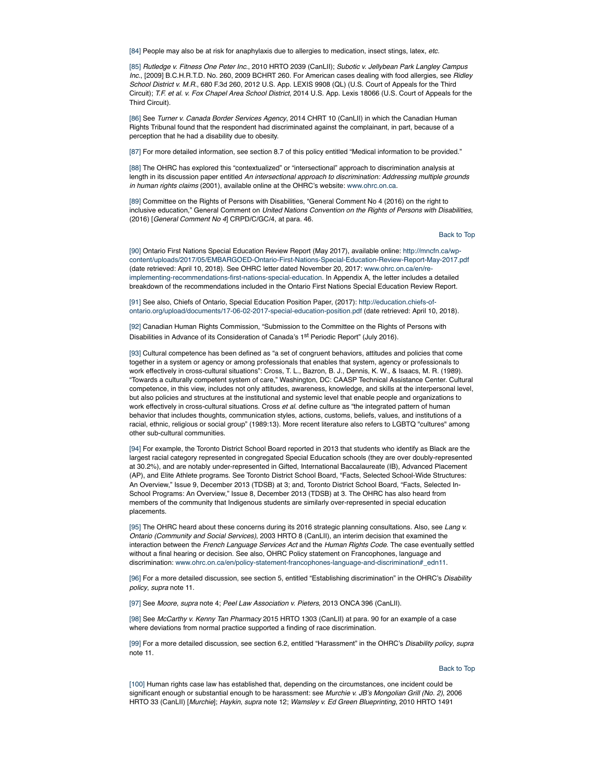[84] People may also be at risk for anaphylaxis due to allergies to medication, insect stings, latex, *etc.*

[85] *Rutledge v. Fitness One Peter Inc*., 2010 HRTO 2039 (CanLII); *Subotic v. Jellybean Park Langley Campus Inc*., [2009] B.C.H.R.T.D. No. 260, 2009 BCHRT 260. For American cases dealing with food allergies, see *Ridley School District v. M.R.*, 680 F.3d 260, 2012 U.S. App. LEXIS 9908 (QL) (U.S. Court of Appeals for the Third Circuit); *T.F. et al. v. Fox Chapel Area School District*, 2014 U.S. App. Lexis 18066 (U.S. Court of Appeals for the Third Circuit).

[86] See *Turner v. Canada Border Services Agency*, 2014 CHRT 10 (CanLII) in which the Canadian Human Rights Tribunal found that the respondent had discriminated against the complainant, in part, because of a perception that he had a disability due to obesity.

[87] For more detailed information, see section 8.7 of this policy entitled "Medical information to be provided."

[88] The OHRC has explored this "contextualized" or "intersectional" approach to discrimination analysis at length in its discussion paper entitled *An intersectional approach to discrimination: Addressing multiple grounds in human rights claims* (2001), available online at the OHRC's website: www.ohrc.on.ca.

[89] Committee on the Rights of Persons with Disabilities, "General Comment No 4 (2016) on the right to inclusive education," General Comment on *United Nations Convention on the Rights of Persons with Disabilities*, (2016) [*General Comment No 4*] CRPD/C/GC/4, at para. 46.

Back to Top

[90] Ontario First Nations Special Education Review Report (May 2017), available online: http://mncfn.ca/wpcontent/uploads/2017/05/EMBARGOED-Ontario-First-Nations-Special-Education-Review-Report-May-2017.pdf (date retrieved: April 10, 2018). See OHRC letter dated November 20, 2017: www.ohrc.on.ca/en/reimplementing-recommendations-first-nations-special-education. In Appendix A, the letter includes a detailed breakdown of the recommendations included in the Ontario First Nations Special Education Review Report.

[91] See also, Chiefs of Ontario, Special Education Position Paper, (2017): http://education.chiefs-ofontario.org/upload/documents/17-06-02-2017-special-education-position.pdf (date retrieved: April 10, 2018).

[92] Canadian Human Rights Commission, "Submission to the Committee on the Rights of Persons with Disabilities in Advance of its Consideration of Canada's 1<sup>st</sup> Periodic Report" (July 2016).

[93] Cultural competence has been defined as "a set of congruent behaviors, attitudes and policies that come together in a system or agency or among professionals that enables that system, agency or professionals to work effectively in cross-cultural situations": Cross, T. L., Bazron, B. J., Dennis, K. W., & Isaacs, M. R. (1989). "Towards a culturally competent system of care," Washington, DC: CAASP Technical Assistance Center. Cultural competence, in this view, includes not only attitudes, awareness, knowledge, and skills at the interpersonal level, but also policies and structures at the institutional and systemic level that enable people and organizations to work effectively in cross-cultural situations. Cross *et al*. define culture as "the integrated pattern of human behavior that includes thoughts, communication styles, actions, customs, beliefs, values, and institutions of a racial, ethnic, religious or social group" (1989:13). More recent literature also refers to LGBTQ "cultures" among other sub-cultural communities.

[94] For example, the Toronto District School Board reported in 2013 that students who identify as Black are the largest racial category represented in congregated Special Education schools (they are over doubly-represented at 30.2%), and are notably under-represented in Gifted, International Baccalaureate (IB), Advanced Placement (AP), and Elite Athlete programs. See Toronto District School Board, "Facts, Selected School-Wide Structures: An Overview," Issue 9, December 2013 (TDSB) at 3; and, Toronto District School Board, "Facts, Selected In-School Programs: An Overview," Issue 8, December 2013 (TDSB) at 3. The OHRC has also heard from members of the community that Indigenous students are similarly over-represented in special education placements.

[95] The OHRC heard about these concerns during its 2016 strategic planning consultations. Also, see *Lang v. Ontario (Community and Social Services)*, 2003 HRTO 8 (CanLII), an interim decision that examined the interaction between the *French Language Services Act* and the *Human Rights Code*. The case eventually settled without a final hearing or decision. See also, OHRC Policy statement on Francophones, language and discrimination: www.ohrc.on.ca/en/policy-statement-francophones-language-and-discrimination#\_edn11.

[96] For a more detailed discussion, see section 5, entitled "Establishing discrimination" in the OHRC's *Disability policy*, *supra* note 11.

[97] See *Moore*, *supra* note 4; *Peel Law Association v. Pieters*, 2013 ONCA 396 (CanLII).

[98] See *McCarthy v. Kenny Tan Pharmacy* 2015 HRTO 1303 (CanLII) at para. 90 for an example of a case where deviations from normal practice supported a finding of race discrimination.

[99] For a more detailed discussion, see section 6.2, entitled "Harassment" in the OHRC's *Disability policy*, *supra* note 11.

#### Back to Top

[100] Human rights case law has established that, depending on the circumstances, one incident could be significant enough or substantial enough to be harassment: see *Murchie v. JB's Mongolian Grill (No. 2)*, 2006 HRTO 33 (CanLII) [*Murchie*]; *Haykin*, *supra* note 12; *Wamsley v. Ed Green Blueprinting*, 2010 HRTO 1491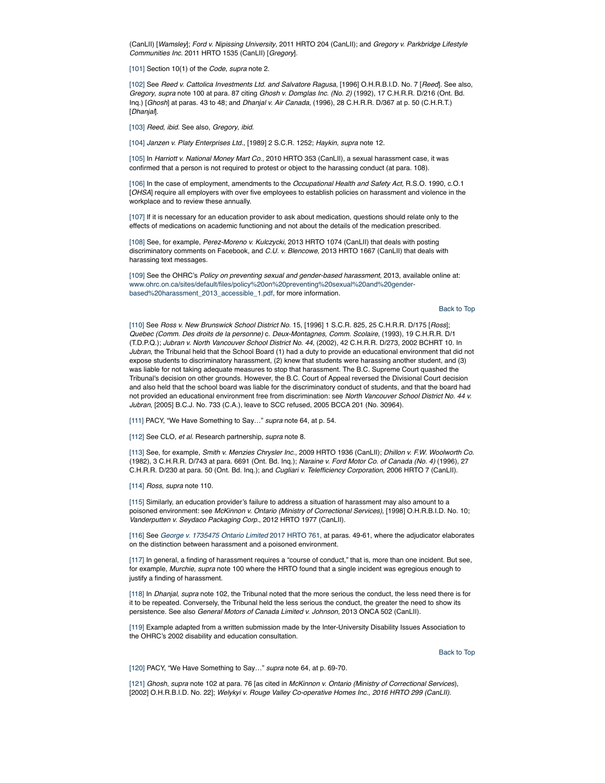(CanLII) [*Wamsley*]; *Ford v. Nipissing University*, 2011 HRTO 204 (CanLII); and *Gregory v. Parkbridge Lifestyle Communities Inc*. 2011 HRTO 1535 (CanLII) [*Gregory*].

[101] Section 10(1) of the *Code*, *supra* note 2.

[102] See *Reed v. Cattolica Investments Ltd*. *and Salvatore Ragusa*, [1996] O.H.R.B.I.D. No. 7 [*Reed*]. See also, *Gregory*, *supra* note 100 at para. 87 citing *Ghosh v. Domglas Inc. (No. 2)* (1992), 17 C.H.R.R. D/216 (Ont. Bd. Inq.) [*Ghosh*] at paras. 43 to 48; and *Dhanjal v. Air Canada*, (1996), 28 C.H.R.R. D/367 at p. 50 (C.H.R.T.) [*Dhanjal*].

[103] *Reed*, *ibid.* See also, *Gregory*, *ibid.*

[104] *Janzen v. Platy Enterprises Ltd.,* [1989] 2 S.C.R. 1252; *Haykin*, *supra* note 12.

[105] In *Harriott v. National Money Mart Co*., 2010 HRTO 353 (CanLII), a sexual harassment case, it was confirmed that a person is not required to protest or object to the harassing conduct (at para. 108).

[106] In the case of employment, amendments to the *Occupational Health and Safety Act*, R.S.O. 1990, c.O.1 [*OHSA*] require all employers with over five employees to establish policies on harassment and violence in the workplace and to review these annually.

[107] If it is necessary for an education provider to ask about medication, questions should relate only to the effects of medications on academic functioning and not about the details of the medication prescribed.

[108] See, for example, *Perez-Moreno v. Kulczycki*, 2013 HRTO 1074 (CanLII) that deals with posting discriminatory comments on Facebook, and *C.U. v. Blencowe*, 2013 HRTO 1667 (CanLII) that deals with harassing text messages.

[109] See the OHRC's *Policy on preventing sexual and gender-based harassment*, 2013, available online at: www.ohrc.on.ca/sites/default/files/policy%20on%20preventing%20sexual%20and%20genderbased%20harassment\_2013\_accessible\_1.pdf, for more information.

Back to Top

[110] See *Ross v. New Brunswick School District No.* 15, [1996] 1 S.C.R. 825, 25 C.H.R.R. D/175 [*Ross*]; *Quebec (Comm. Des droits de la personne)* c. *Deux-Montagnes, Comm. Scolaire*, (1993), 19 C.H.R.R. D/1 (T.D.P.Q.); *Jubran v. North Vancouver School District No. 44*, (2002), 42 C.H.R.R. D/273, 2002 BCHRT 10. In *Jubran*, the Tribunal held that the School Board (1) had a duty to provide an educational environment that did not expose students to discriminatory harassment, (2) knew that students were harassing another student, and (3) was liable for not taking adequate measures to stop that harassment. The B.C. Supreme Court quashed the Tribunal's decision on other grounds. However, the B.C. Court of Appeal reversed the Divisional Court decision and also held that the school board was liable for the discriminatory conduct of students, and that the board had not provided an educational environment free from discrimination: see *North Vancouver School District No. 44 v. Jubran*, [2005] B.C.J. No. 733 (C.A.), leave to SCC refused, 2005 BCCA 201 (No. 30964).

[111] PACY, "We Have Something to Say…" *supra* note 64, at p. 54.

[112] See CLO, *et al.* Research partnership, *supra* note 8.

[113] See, for example, *Smith v. Menzies Chrysler Inc*., 2009 HRTO 1936 (CanLII); *Dhillon v. F.W. Woolworth Co.* (1982), 3 C.H.R.R. D/743 at para. 6691 (Ont. Bd. Inq.); *Naraine v. Ford Motor Co. of Canada (No. 4)* (1996), 27 C.H.R.R. D/230 at para. 50 (Ont. Bd. Inq.); and *Cugliari v. Telefficiency Corporation*, 2006 HRTO 7 (CanLII).

[114] *Ross*, *supra* note 110.

[115] Similarly, an education provider's failure to address a situation of harassment may also amount to a poisoned environment: see *McKinnon v. Ontario (Ministry of Correctional Services)*, [1998] O.H.R.B.I.D. No. 10; *Vanderputten v. Seydaco Packaging Corp.*, 2012 HRTO 1977 (CanLII).

[116] See *George v. 1735475 Ontario Limited* 2017 HRTO 761, at paras. 49-61, where the adjudicator elaborates on the distinction between harassment and a poisoned environment.

[117] In general, a finding of harassment requires a "course of conduct," that is, more than one incident. But see, for example, *Murchie*, *supra* note 100 where the HRTO found that a single incident was egregious enough to justify a finding of harassment.

[118] In *Dhanjal*, *supra* note 102, the Tribunal noted that the more serious the conduct, the less need there is for it to be repeated. Conversely, the Tribunal held the less serious the conduct, the greater the need to show its persistence. See also *General Motors of Canada Limited v. Johnson*, 2013 ONCA 502 (CanLII).

[119] Example adapted from a written submission made by the Inter-University Disability Issues Association to the OHRC's 2002 disability and education consultation.

Back to Top

[120] PACY, "We Have Something to Say…" *supra* note 64, at p. 69-70.

[121] *Ghosh*, *supra* note 102 at para. 76 [as cited in *McKinnon v. Ontario (Ministry of Correctional Services*), [2002] O.H.R.B.I.D. No. 22]; *Welykyi v. Rouge Valley Co-operative Homes Inc., 2016 HRTO 299 (CanLII).*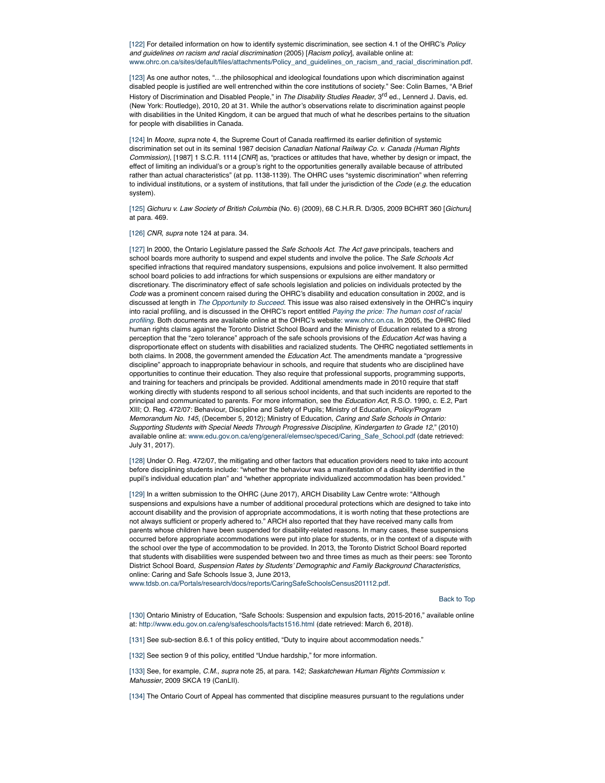[122] For detailed information on how to identify systemic discrimination, see section 4.1 of the OHRC's *Policy and guidelines on racism and racial discrimination* (2005) [*Racism policy*], available online at: www.ohrc.on.ca/sites/default/files/attachments/Policy\_and\_guidelines\_on\_racism\_and\_racial\_discrimination.pdf.

[123] As one author notes, "…the philosophical and ideological foundations upon which discrimination against disabled people is justified are well entrenched within the core institutions of society." See: Colin Barnes, "A Brief History of Discrimination and Disabled People," in *The Disability Studies Reader*, 3rd ed., Lennerd J. Davis, ed. (New York: Routledge), 2010, 20 at 31. While the author's observations relate to discrimination against people with disabilities in the United Kingdom, it can be argued that much of what he describes pertains to the situation for people with disabilities in Canada.

[124] In *Moore*, *supra* note 4, the Supreme Court of Canada reaffirmed its earlier definition of systemic discrimination set out in its seminal 1987 decision *Canadian National Railway Co. v. Canada (Human Rights Commission)*, [1987] 1 S.C.R. 1114 [*CNR*] as, "practices or attitudes that have, whether by design or impact, the effect of limiting an individual's or a group's right to the opportunities generally available because of attributed rather than actual characteristics" (at pp. 1138-1139). The OHRC uses "systemic discrimination" when referring to individual institutions, or a system of institutions, that fall under the jurisdiction of the *Code* (*e.g.* the education system).

[125] *Gichuru v. Law Society of British Columbia* (No. 6) (2009), 68 C.H.R.R. D/305, 2009 BCHRT 360 [*Gichuru*] at para. 469.

[126] *CNR*, *supra* note 124 at para. 34.

[127] In 2000, the Ontario Legislature passed the *Safe Schools Act. The Act gave* principals, teachers and school boards more authority to suspend and expel students and involve the police. The *Safe Schools Act* specified infractions that required mandatory suspensions, expulsions and police involvement. It also permitted school board policies to add infractions for which suspensions or expulsions are either mandatory or discretionary. The discriminatory effect of safe schools legislation and policies on individuals protected by the *Code* was a prominent concern raised during the OHRC's disability and education consultation in 2002, and is discussed at length in *The Opportunity to Succeed*. This issue was also raised extensively in the OHRC's inquiry into racial profiling, and is discussed in the OHRC's report entitled *Paying the price: The human cost of racial profiling*. Both documents are available online at the OHRC's website: www.ohrc.on.ca. In 2005, the OHRC filed human rights claims against the Toronto District School Board and the Ministry of Education related to a strong perception that the "zero tolerance" approach of the safe schools provisions of the *Education Act* was having a disproportionate effect on students with disabilities and racialized students. The OHRC negotiated settlements in both claims. In 2008, the government amended the *Education Act.* The amendments mandate a "progressive discipline" approach to inappropriate behaviour in schools, and require that students who are disciplined have opportunities to continue their education. They also require that professional supports, programming supports, and training for teachers and principals be provided. Additional amendments made in 2010 require that staff working directly with students respond to all serious school incidents, and that such incidents are reported to the principal and communicated to parents. For more information, see the *Education Act*, R.S.O. 1990, c. E.2, Part XIII; O. Reg. 472/07: Behaviour, Discipline and Safety of Pupils; Ministry of Education, *Policy/Program Memorandum No. 145*, (December 5, 2012); Ministry of Education, *Caring and Safe Schools in Ontario: Supporting Students with Special Needs Through Progressive Discipline, Kindergarten to Grade 12*," (2010) available online at: www.edu.gov.on.ca/eng/general/elemsec/speced/Caring\_Safe\_School.pdf (date retrieved: July 31, 2017).

[128] Under O. Reg. 472/07, the mitigating and other factors that education providers need to take into account before disciplining students include: "whether the behaviour was a manifestation of a disability identified in the pupil's individual education plan" and "whether appropriate individualized accommodation has been provided."

[129] In a written submission to the OHRC (June 2017), ARCH Disability Law Centre wrote: "Although suspensions and expulsions have a number of additional procedural protections which are designed to take into account disability and the provision of appropriate accommodations, it is worth noting that these protections are not always sufficient or properly adhered to." ARCH also reported that they have received many calls from parents whose children have been suspended for disability-related reasons. In many cases, these suspensions occurred before appropriate accommodations were put into place for students, or in the context of a dispute with the school over the type of accommodation to be provided. In 2013, the Toronto District School Board reported that students with disabilities were suspended between two and three times as much as their peers: see Toronto District School Board, *Suspension Rates by Students' Demographic and Family Background Characteristics*, online: Caring and Safe Schools Issue 3, June 2013,

www.tdsb.on.ca/Portals/research/docs/reports/CaringSafeSchoolsCensus201112.pdf.

Back to Top

[130] Ontario Ministry of Education, "Safe Schools: Suspension and expulsion facts, 2015-2016," available online at: http://www.edu.gov.on.ca/eng/safeschools/facts1516.html (date retrieved: March 6, 2018).

[131] See sub-section 8.6.1 of this policy entitled, "Duty to inquire about accommodation needs."

[132] See section 9 of this policy, entitled "Undue hardship," for more information.

[133] See, for example, *C.M.*, *supra* note 25, at para. 142; *Saskatchewan Human Rights Commission v. Mahussier*, 2009 SKCA 19 (CanLII).

[134] The Ontario Court of Appeal has commented that discipline measures pursuant to the regulations under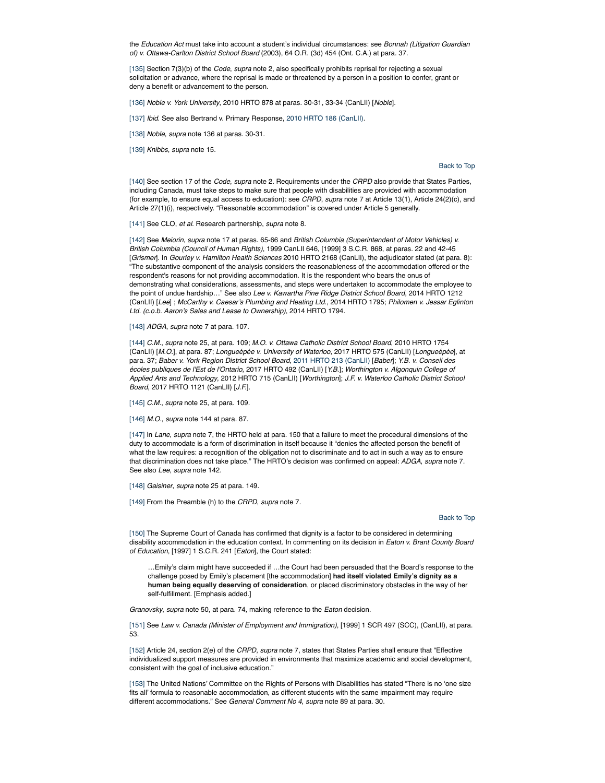the *Education Act* must take into account a student's individual circumstances: see *Bonnah (Litigation Guardian of) v. Ottawa-Carlton District School Board* (2003), 64 O.R. (3d) 454 (Ont. C.A.) at para. 37.

[135] Section 7(3)(b) of the *Code*, *supra* note 2, also specifically prohibits reprisal for rejecting a sexual solicitation or advance, where the reprisal is made or threatened by a person in a position to confer, grant or deny a benefit or advancement to the person.

[136] *Noble v. York University*, 2010 HRTO 878 at paras. 30-31, 33-34 (CanLII) [*Noble*].

[137] *Ibid*. See also Bertrand v. Primary Response, 2010 HRTO 186 (CanLII).

[138] *Noble*, *supra* note 136 at paras. 30-31.

[139] *Knibbs*, *supra* note 15.

Back to Top

[140] See section 17 of the *Code*, *supra* note 2*.* Requirements under the *CRPD* also provide that States Parties, including Canada, must take steps to make sure that people with disabilities are provided with accommodation (for example, to ensure equal access to education): see *CRPD*, *supra* note 7 at Article 13(1), Article 24(2)(c), and Article 27(1)(i), respectively. "Reasonable accommodation" is covered under Article 5 generally.

[141] See CLO, *et al.* Research partnership, *supra* note 8.

[142] See *Meiorin*, *supra* note 17 at paras. 65-66 and *British Columbia (Superintendent of Motor Vehicles) v. British Columbia (Council of Human Rights)*, 1999 CanLII 646, [1999] 3 S.C.R. 868, at paras. 22 and 42-45 [*Grismer*]. In *Gourley v. Hamilton Health Sciences* 2010 HRTO 2168 (CanLII), the adjudicator stated (at para. 8): "The substantive component of the analysis considers the reasonableness of the accommodation offered or the respondent's reasons for not providing accommodation. It is the respondent who bears the onus of demonstrating what considerations, assessments, and steps were undertaken to accommodate the employee to the point of undue hardship…" See also *Lee v. Kawartha Pine Ridge District School Board*, 2014 HRTO 1212 (CanLII) [*Lee*] ; *McCarthy v. Caesar's Plumbing and Heating Ltd.*, 2014 HRTO 1795; *Philomen v. Jessar Eglinton Ltd. (c.o.b. Aaron's Sales and Lease to Ownership)*, 2014 HRTO 1794.

[143] *ADGA*, *supra* note 7 at para. 107.

[144] *C.M.*, *supra* note 25, at para. 109; *M.O. v. Ottawa Catholic District School Board*, 2010 HRTO 1754 (CanLII) [*M.O.*], at para. 87; *Longueépée v. University of Waterloo*, 2017 HRTO 575 (CanLII) [*Longueépée*], at para. 37; *Baber v. York Region District School Board,* 2011 HRTO 213 (CanLII) [*Baber*]; *Y.B. v. Conseil des écoles publiques de l'Est de l'Ontario*, 2017 HRTO 492 (CanLII) [*Y.B.*]; *Worthington v. Algonquin College of Applied Arts and Technology*, 2012 HRTO 715 (CanLII) [*Worthington*]; *J.F. v. Waterloo Catholic District School Board*, 2017 HRTO 1121 (CanLII) [*J.F.*].

[145] *C.M.*, *supra* note 25, at para. 109.

[146] *M.O.*, *supra* note 144 at para. 87.

[147] In *Lane*, *supra* note 7, the HRTO held at para. 150 that a failure to meet the procedural dimensions of the duty to accommodate is a form of discrimination in itself because it "denies the affected person the benefit of what the law requires: a recognition of the obligation not to discriminate and to act in such a way as to ensure that discrimination does not take place." The HRTO's decision was confirmed on appeal: *ADGA*, *supra* note 7. See also *Lee*, *supra* note 142.

[148] *Gaisiner*, *supra* note 25 at para. 149.

[149] From the Preamble (h) to the *CRPD*, *supra* note 7.

### Back to Top

[150] The Supreme Court of Canada has confirmed that dignity is a factor to be considered in determining disability accommodation in the education context. In commenting on its decision in *Eaton v. Brant County Board of Education*, [1997] 1 S.C.R. 241 [*Eaton*], the Court stated:

…Emily's claim might have succeeded if …the Court had been persuaded that the Board's response to the challenge posed by Emily's placement [the accommodation] **had itself violated Emily's dignity as a human being equally deserving of consideration**, or placed discriminatory obstacles in the way of her self-fulfillment. [Emphasis added.]

*Granovsky*, *supra* note 50, at para. 74, making reference to the *Eaton* decision*.*

[151] See *Law v. Canada (Minister of Employment and Immigration)*, [1999] 1 SCR 497 (SCC), (CanLII), at para. 53.

[152] Article 24, section 2(e) of the *CRPD*, *supra* note 7, states that States Parties shall ensure that "Effective individualized support measures are provided in environments that maximize academic and social development, consistent with the goal of inclusive education."

[153] The United Nations' Committee on the Rights of Persons with Disabilities has stated "There is no 'one size fits all' formula to reasonable accommodation, as different students with the same impairment may require different accommodations." See *General Comment No 4*, *supra* note 89 at para. 30.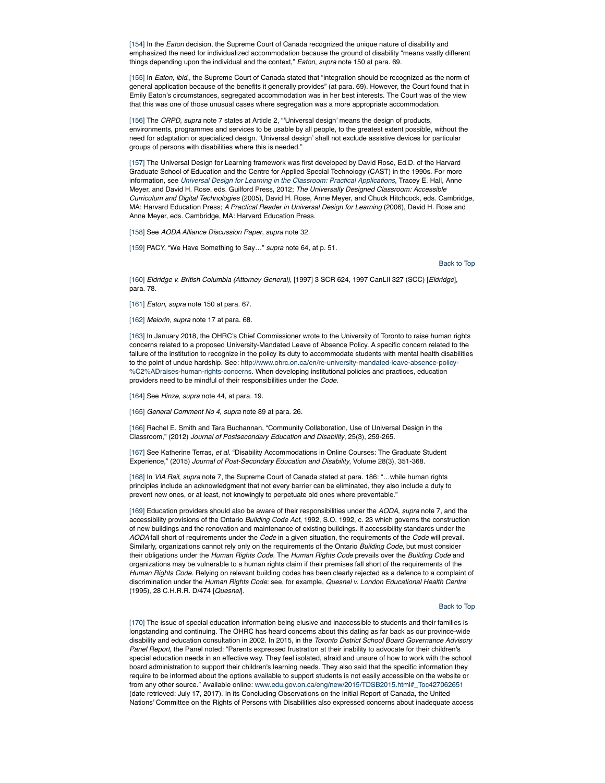[154] In the *Eaton* decision, the Supreme Court of Canada recognized the unique nature of disability and emphasized the need for individualized accommodation because the ground of disability "means vastly different things depending upon the individual and the context," *Eaton*, *supra* note 150 at para. 69.

[155] In *Eaton*, *ibid.*, the Supreme Court of Canada stated that "integration should be recognized as the norm of general application because of the benefits it generally provides" (at para. 69). However, the Court found that in Emily Eaton's circumstances, segregated accommodation was in her best interests. The Court was of the view that this was one of those unusual cases where segregation was a more appropriate accommodation.

[156] The *CRPD*, *supra* note 7 states at Article 2, "'Universal design' means the design of products, environments, programmes and services to be usable by all people, to the greatest extent possible, without the need for adaptation or specialized design. 'Universal design' shall not exclude assistive devices for particular groups of persons with disabilities where this is needed."

[157] The Universal Design for Learning framework was first developed by David Rose, Ed.D. of the Harvard Graduate School of Education and the Centre for Applied Special Technology (CAST) in the 1990s. For more information, see *Universal Design for Learning in the Classroom: Practical Applications*, Tracey E. Hall, Anne Meyer, and David H. Rose, eds. Guilford Press, 2012; *The Universally Designed Classroom: Accessible Curriculum and Digital Technologies* (2005), David H. Rose, Anne Meyer, and Chuck Hitchcock, eds. Cambridge, MA: Harvard Education Press; *A Practical Reader in Universal Design for Learning* (2006), David H. Rose and Anne Meyer, eds. Cambridge, MA: Harvard Education Press.

[158] See *AODA Alliance Discussion Paper*, *supra* note 32.

[159] PACY, "We Have Something to Say…" *supra* note 64, at p. 51.

Back to Top

[160] *Eldridge v. British Columbia (Attorney General)*, [1997] 3 SCR 624, 1997 CanLII 327 (SCC) [*Eldridge*], para. 78.

[161] *Eaton*, *supra* note 150 at para. 67.

[162] *Meiorin, supra* note 17 at para. 68.

[163] In January 2018, the OHRC's Chief Commissioner wrote to the University of Toronto to raise human rights concerns related to a proposed University-Mandated Leave of Absence Policy. A specific concern related to the failure of the institution to recognize in the policy its duty to accommodate students with mental health disabilities to the point of undue hardship. See: http://www.ohrc.on.ca/en/re-university-mandated-leave-absence-policy- %C2%ADraises-human-rights-concerns. When developing institutional policies and practices, education providers need to be mindful of their responsibilities under the *Code.*

[164] See *Hinze*, *supra* note 44, at para. 19.

[165] *General Comment No 4*, *supra* note 89 at para. 26.

[166] Rachel E. Smith and Tara Buchannan, "Community Collaboration, Use of Universal Design in the Classroom," (2012) *Journal of Postsecondary Education and Disability*, 25(3), 259-265.

[167] See Katherine Terras, *et al.* "Disability Accommodations in Online Courses: The Graduate Student Experience," (2015) *Journal of Post-Secondary Education and Disability*, Volume 28(3), 351-368.

[168] In *VIA Rail*, *supra* note 7, the Supreme Court of Canada stated at para. 186: "…while human rights principles include an acknowledgment that not every barrier can be eliminated, they also include a duty to prevent new ones, or at least, not knowingly to perpetuate old ones where preventable."

[169] Education providers should also be aware of their responsibilities under the *AODA*, *supra* note 7, and the accessibility provisions of the Ontario *Building Code Act*, 1992, S.O. 1992, c. 23 which governs the construction of new buildings and the renovation and maintenance of existing buildings. If accessibility standards under the *AODA* fall short of requirements under the *Code* in a given situation, the requirements of the *Code* will prevail. Similarly, organizations cannot rely only on the requirements of the Ontario *Building Code*, but must consider their obligations under the *Human Rights Code*. The *Human Rights Code* prevails over the *Building Code* and organizations may be vulnerable to a human rights claim if their premises fall short of the requirements of the *Human Rights Code*. Relying on relevant building codes has been clearly rejected as a defence to a complaint of discrimination under the *Human Rights Code*: see, for example, *Quesnel v. London Educational Health Centre* (1995), 28 C.H.R.R. D/474 [*Quesnel*].

## Back to Top

[170] The issue of special education information being elusive and inaccessible to students and their families is longstanding and continuing. The OHRC has heard concerns about this dating as far back as our province-wide disability and education consultation in 2002. In 2015, in the *Toronto District School Board Governance Advisory Panel Report*, the Panel noted: "Parents expressed frustration at their inability to advocate for their children's special education needs in an effective way. They feel isolated, afraid and unsure of how to work with the school board administration to support their children's learning needs. They also said that the specific information they require to be informed about the options available to support students is not easily accessible on the website or from any other source." Available online: www.edu.gov.on.ca/eng/new/2015/TDSB2015.html#\_Toc427062651 (date retrieved: July 17, 2017). In its Concluding Observations on the Initial Report of Canada, the United Nations' Committee on the Rights of Persons with Disabilities also expressed concerns about inadequate access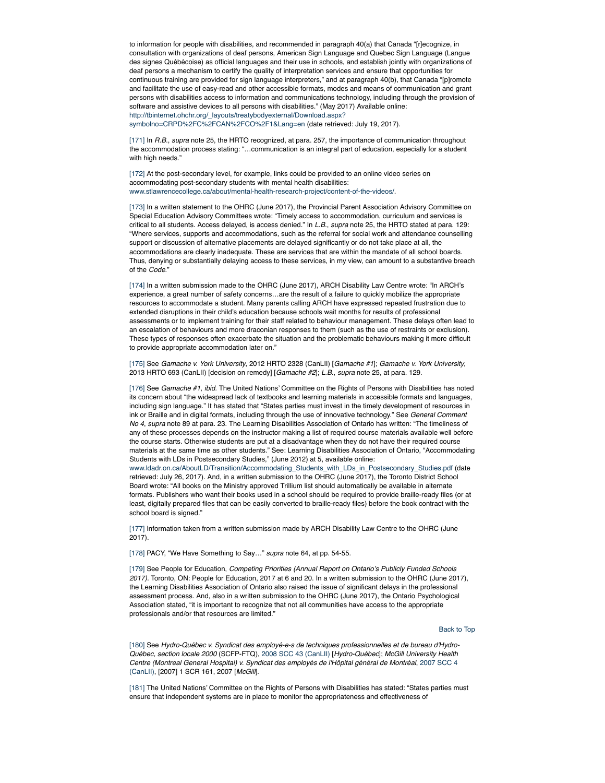to information for people with disabilities, and recommended in paragraph 40(a) that Canada "[r]ecognize, in consultation with organizations of deaf persons, American Sign Language and Quebec Sign Language (Langue des signes Québécoise) as official languages and their use in schools, and establish jointly with organizations of deaf persons a mechanism to certify the quality of interpretation services and ensure that opportunities for continuous training are provided for sign language interpreters," and at paragraph 40(b), that Canada "[p]romote and facilitate the use of easy-read and other accessible formats, modes and means of communication and grant persons with disabilities access to information and communications technology, including through the provision of software and assistive devices to all persons with disabilities." (May 2017) Available online: http://tbinternet.ohchr.org/\_layouts/treatybodyexternal/Download.aspx?

symbolno=CRPD%2FC%2FCAN%2FCO%2F1&Lang=en (date retrieved: July 19, 2017).

[171] In *R.B.*, *supra* note 25, the HRTO recognized, at para. 257, the importance of communication throughout the accommodation process stating: "…communication is an integral part of education, especially for a student with high needs."

[172] At the post-secondary level, for example, links could be provided to an online video series on accommodating post-secondary students with mental health disabilities: www.stlawrencecollege.ca/about/mental-health-research-project/content-of-the-videos/.

[173] In a written statement to the OHRC (June 2017), the Provincial Parent Association Advisory Committee on Special Education Advisory Committees wrote: "Timely access to accommodation, curriculum and services is critical to all students. Access delayed, is access denied." In *L.B.*, *supra* note 25, the HRTO stated at para. 129: "Where services, supports and accommodations, such as the referral for social work and attendance counselling support or discussion of alternative placements are delayed significantly or do not take place at all, the accommodations are clearly inadequate. These are services that are within the mandate of all school boards. Thus, denying or substantially delaying access to these services, in my view, can amount to a substantive breach of the *Code*."

[174] In a written submission made to the OHRC (June 2017), ARCH Disability Law Centre wrote: "In ARCH's experience, a great number of safety concerns…are the result of a failure to quickly mobilize the appropriate resources to accommodate a student. Many parents calling ARCH have expressed repeated frustration due to extended disruptions in their child's education because schools wait months for results of professional assessments or to implement training for their staff related to behaviour management. These delays often lead to an escalation of behaviours and more draconian responses to them (such as the use of restraints or exclusion). These types of responses often exacerbate the situation and the problematic behaviours making it more difficult to provide appropriate accommodation later on."

[175] See *Gamache v. York University*, 2012 HRTO 2328 (CanLII) [*Gamache #1*]; *Gamache v. York University*, 2013 HRTO 693 (CanLII) [decision on remedy] [*Gamache #2*]; *L.B.*, *supra* note 25, at para. 129.

[176] See *Gamache #1*, *ibid.* The United Nations' Committee on the Rights of Persons with Disabilities has noted its concern about "the widespread lack of textbooks and learning materials in accessible formats and languages, including sign language." It has stated that "States parties must invest in the timely development of resources in ink or Braille and in digital formats, including through the use of innovative technology." See *General Comment No 4*, *supra* note 89 at para. 23. The Learning Disabilities Association of Ontario has written: "The timeliness of any of these processes depends on the instructor making a list of required course materials available well before the course starts. Otherwise students are put at a disadvantage when they do not have their required course materials at the same time as other students." See: Learning Disabilities Association of Ontario, "Accommodating Students with LDs in Postsecondary Studies," (June 2012) at 5, available online:

www.ldadr.on.ca/AboutLD/Transition/Accommodating\_Students\_with\_LDs\_in\_Postsecondary\_Studies.pdf (date retrieved: July 26, 2017). And, in a written submission to the OHRC (June 2017), the Toronto District School Board wrote: "All books on the Ministry approved Trillium list should automatically be available in alternate formats. Publishers who want their books used in a school should be required to provide braille-ready files (or at least, digitally prepared files that can be easily converted to braille-ready files) before the book contract with the school board is signed."

[177] Information taken from a written submission made by ARCH Disability Law Centre to the OHRC (June 2017).

[178] PACY, "We Have Something to Say…" *supra* note 64, at pp. 54-55.

[179] See People for Education, *Competing Priorities (Annual Report on Ontario's Publicly Funded Schools 2017).* Toronto, ON: People for Education, 2017 at 6 and 20. In a written submission to the OHRC (June 2017), the Learning Disabilities Association of Ontario also raised the issue of significant delays in the professional assessment process. And, also in a written submission to the OHRC (June 2017), the Ontario Psychological Association stated, "it is important to recognize that not all communities have access to the appropriate professionals and/or that resources are limited."

## Back to Top

[180] See *Hydro-Québec v. Syndicat des employé-e-s de techniques professionnelles et de bureau d'Hydro-Québec, section locale 2000* (SCFP-FTQ), 2008 SCC 43 (CanLII) [*Hydro-Québec*]; *McGill University Health Centre (Montreal General Hospital) v. Syndicat des employés de l'Hôpital général de Montréal*, 2007 SCC 4 (CanLII), [2007] 1 SCR 161, 2007 [*McGill*].

[181] The United Nations' Committee on the Rights of Persons with Disabilities has stated: "States parties must ensure that independent systems are in place to monitor the appropriateness and effectiveness of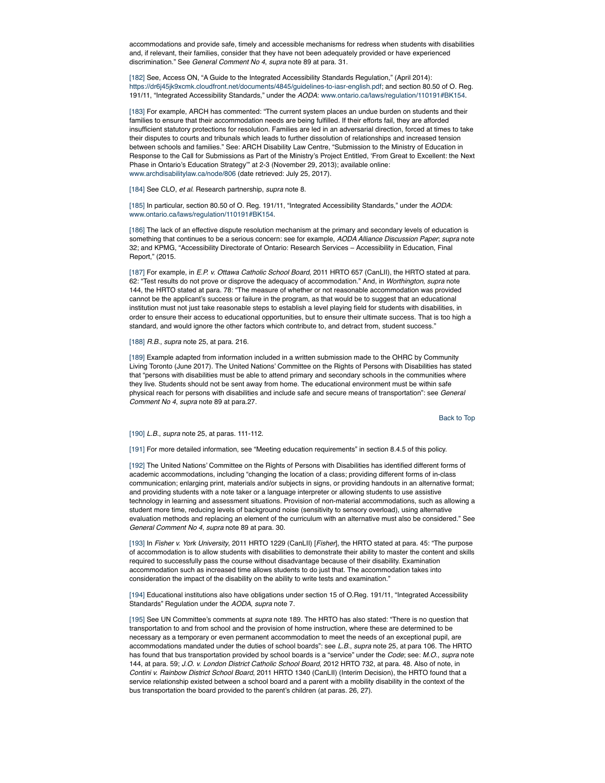accommodations and provide safe, timely and accessible mechanisms for redress when students with disabilities and, if relevant, their families, consider that they have not been adequately provided or have experienced discrimination." See *General Comment No 4*, *supra* note 89 at para. 31.

[182] See, Access ON, "A Guide to the Integrated Accessibility Standards Regulation," (April 2014): https://dr6j45jk9xcmk.cloudfront.net/documents/4845/guidelines-to-iasr-english.pdf; and section 80.50 of O. Reg. 191/11, "Integrated Accessibility Standards," under the *AODA*: www.ontario.ca/laws/regulation/110191#BK154.

[183] For example, ARCH has commented: "The current system places an undue burden on students and their families to ensure that their accommodation needs are being fulfilled. If their efforts fail, they are afforded insufficient statutory protections for resolution. Families are led in an adversarial direction, forced at times to take their disputes to courts and tribunals which leads to further dissolution of relationships and increased tension between schools and families." See: ARCH Disability Law Centre, "Submission to the Ministry of Education in Response to the Call for Submissions as Part of the Ministry's Project Entitled, 'From Great to Excellent: the Next Phase in Ontario's Education Strategy'" at 2-3 (November 29, 2013); available online: www.archdisabilitylaw.ca/node/806 (date retrieved: July 25, 2017).

[184] See CLO, *et al.* Research partnership, *supra* note 8.

[185] In particular, section 80.50 of O. Reg. 191/11, "Integrated Accessibility Standards," under the *AODA*: www.ontario.ca/laws/regulation/110191#BK154.

[186] The lack of an effective dispute resolution mechanism at the primary and secondary levels of education is something that continues to be a serious concern: see for example, *AODA Alliance Discussion Paper*; *supra* note 32; and KPMG, "Accessibility Directorate of Ontario: Research Services – Accessibility in Education, Final Report," (2015.

[187] For example, in *E.P. v. Ottawa Catholic School Board*, 2011 HRTO 657 (CanLII), the HRTO stated at para. 62: "Test results do not prove or disprove the adequacy of accommodation." And, in *Worthington*, *supra* note 144, the HRTO stated at para. 78: "The measure of whether or not reasonable accommodation was provided cannot be the applicant's success or failure in the program, as that would be to suggest that an educational institution must not just take reasonable steps to establish a level playing field for students with disabilities, in order to ensure their access to educational opportunities, but to ensure their ultimate success. That is too high a standard, and would ignore the other factors which contribute to, and detract from, student success."

[188] *R.B.*, *supra* note 25, at para. 216.

[189] Example adapted from information included in a written submission made to the OHRC by Community Living Toronto (June 2017). The United Nations' Committee on the Rights of Persons with Disabilities has stated that "persons with disabilities must be able to attend primary and secondary schools in the communities where they live. Students should not be sent away from home. The educational environment must be within safe physical reach for persons with disabilities and include safe and secure means of transportation": see *General Comment No 4*, *supra* note 89 at para.27.

Back to Top

## [190] *L.B.*, *supra* note 25, at paras. 111-112.

[191] For more detailed information, see "Meeting education requirements" in section 8.4.5 of this policy.

[192] The United Nations' Committee on the Rights of Persons with Disabilities has identified different forms of academic accommodations, including "changing the location of a class; providing different forms of in-class communication; enlarging print, materials and/or subjects in signs, or providing handouts in an alternative format; and providing students with a note taker or a language interpreter or allowing students to use assistive technology in learning and assessment situations. Provision of non-material accommodations, such as allowing a student more time, reducing levels of background noise (sensitivity to sensory overload), using alternative evaluation methods and replacing an element of the curriculum with an alternative must also be considered." See *General Comment No 4*, *supra* note 89 at para. 30.

[193] In *Fisher v. York University*, 2011 HRTO 1229 (CanLII) [*Fisher*], the HRTO stated at para. 45: "The purpose of accommodation is to allow students with disabilities to demonstrate their ability to master the content and skills required to successfully pass the course without disadvantage because of their disability. Examination accommodation such as increased time allows students to do just that. The accommodation takes into consideration the impact of the disability on the ability to write tests and examination."

[194] Educational institutions also have obligations under section 15 of O.Reg. 191/11, "Integrated Accessibility Standards" Regulation under the *AODA*, *supra* note 7.

[195] See UN Committee's comments at *supra* note 189. The HRTO has also stated: "There is no question that transportation to and from school and the provision of home instruction, where these are determined to be necessary as a temporary or even permanent accommodation to meet the needs of an exceptional pupil, are accommodations mandated under the duties of school boards": see *L.B.*, *supra* note 25, at para 106. The HRTO has found that bus transportation provided by school boards is a "service" under the *Code*; see: *M.O.*, *supra* note 144, at para. 59; *J.O. v. London District Catholic School Board*, 2012 HRTO 732, at para. 48. Also of note, in *Contini v. Rainbow District School Board*, 2011 HRTO 1340 (CanLII) (Interim Decision), the HRTO found that a service relationship existed between a school board and a parent with a mobility disability in the context of the bus transportation the board provided to the parent's children (at paras. 26, 27).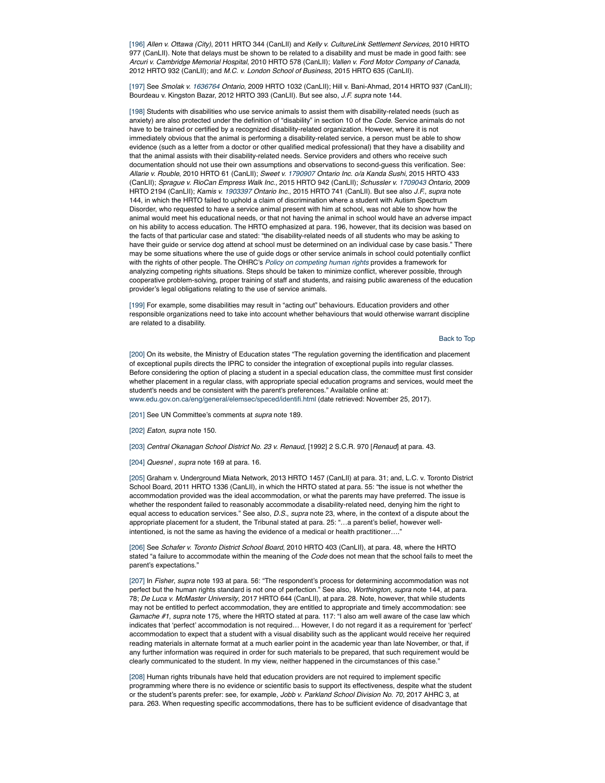[196] *Allen v. Ottawa (City)*, 2011 HRTO 344 (CanLII) and *Kelly v. CultureLink Settlement Services*, 2010 HRTO 977 (CanLII). Note that delays must be shown to be related to a disability and must be made in good faith: see *Arcuri v. Cambridge Memorial Hospital*, 2010 HRTO 578 (CanLII); *Vallen v. Ford Motor Company of Canada*, 2012 HRTO 932 (CanLII); and *M.C. v. London School of Business*, 2015 HRTO 635 (CanLII).

[197] See *Smolak v. 1636764 Ontario*, 2009 HRTO 1032 (CanLII); Hill v. Bani-Ahmad, 2014 HRTO 937 (CanLII); Bourdeau v. Kingston Bazar, 2012 HRTO 393 (CanLII). But see also, *J.F. supra* note 144.

[198] Students with disabilities who use service animals to assist them with disability-related needs (such as anxiety) are also protected under the definition of "disability" in section 10 of the *Code*. Service animals do not have to be trained or certified by a recognized disability-related organization. However, where it is not immediately obvious that the animal is performing a disability-related service, a person must be able to show evidence (such as a letter from a doctor or other qualified medical professional) that they have a disability and that the animal assists with their disability-related needs. Service providers and others who receive such documentation should not use their own assumptions and observations to second-guess this verification. See: *Allarie v. Rouble*, 2010 HRTO 61 (CanLII); *Sweet v. 1790907 Ontario Inc. o/a Kanda Sushi*, 2015 HRTO 433 (CanLII); *Sprague v. RioCan Empress Walk Inc*., 2015 HRTO 942 (CanLII); *Schussler v. 1709043 Ontario*, 2009 HRTO 2194 (CanLII); *Kamis v. 1903397 Ontario Inc*., 2015 HRTO 741 (CanLII). But see also *J.F.*, *supra* note 144, in which the HRTO failed to uphold a claim of discrimination where a student with Autism Spectrum Disorder, who requested to have a service animal present with him at school, was not able to show how the animal would meet his educational needs, or that not having the animal in school would have an adverse impact on his ability to access education. The HRTO emphasized at para. 196, however, that its decision was based on the facts of that particular case and stated: "the disability-related needs of all students who may be asking to have their guide or service dog attend at school must be determined on an individual case by case basis." There may be some situations where the use of guide dogs or other service animals in school could potentially conflict with the rights of other people. The OHRC's *Policy on competing human rights* provides a framework for analyzing competing rights situations. Steps should be taken to minimize conflict, wherever possible, through cooperative problem-solving, proper training of staff and students, and raising public awareness of the education provider's legal obligations relating to the use of service animals.

[199] For example, some disabilities may result in "acting out" behaviours. Education providers and other responsible organizations need to take into account whether behaviours that would otherwise warrant discipline are related to a disability.

## Back to Top

[200] On its website, the Ministry of Education states "The regulation governing the identification and placement of exceptional pupils directs the IPRC to consider the integration of exceptional pupils into regular classes. Before considering the option of placing a student in a special education class, the committee must first consider whether placement in a regular class, with appropriate special education programs and services, would meet the student's needs and be consistent with the parent's preferences." Available online at: www.edu.gov.on.ca/eng/general/elemsec/speced/identifi.html (date retrieved: November 25, 2017).

[201] See UN Committee's comments at *supra* note 189.

[202] *Eaton*, *supra* note 150.

[203] *Central Okanagan School District No. 23 v. Renaud,* [1992] 2 S.C.R. 970 [*Renaud*] at para. 43.

[204] *Quesnel , supra* note 169 at para. 16.

[205] Graham v. Underground Miata Network, 2013 HRTO 1457 (CanLII) at para. 31; and, L.C. v. Toronto District School Board, 2011 HRTO 1336 (CanLII), in which the HRTO stated at para. 55: "the issue is not whether the accommodation provided was the ideal accommodation, or what the parents may have preferred. The issue is whether the respondent failed to reasonably accommodate a disability-related need, denying him the right to equal access to education services." See also, *D.S.*, *supra* note 23, where, in the context of a dispute about the appropriate placement for a student, the Tribunal stated at para. 25: "…a parent's belief, however wellintentioned, is not the same as having the evidence of a medical or health practitioner...

[206] See *Schafer v. Toronto District School Board*, 2010 HRTO 403 (CanLII), at para. 48, where the HRTO stated "a failure to accommodate within the meaning of the *Code* does not mean that the school fails to meet the parent's expectations."

[207] In *Fisher*, *supra* note 193 at para. 56: "The respondent's process for determining accommodation was not perfect but the human rights standard is not one of perfection." See also, *Worthington*, *supra* note 144, at para. 78; *De Luca v. McMaster University*, 2017 HRTO 644 (CanLII), at para. 28. Note, however, that while students may not be entitled to perfect accommodation, they are entitled to appropriate and timely accommodation: see *Gamache #1*, *supra* note 175, where the HRTO stated at para. 117: "I also am well aware of the case law which indicates that 'perfect' accommodation is not required… However, I do not regard it as a requirement for 'perfect' accommodation to expect that a student with a visual disability such as the applicant would receive her required reading materials in alternate format at a much earlier point in the academic year than late November, or that, if any further information was required in order for such materials to be prepared, that such requirement would be clearly communicated to the student. In my view, neither happened in the circumstances of this case."

[208] Human rights tribunals have held that education providers are not required to implement specific programming where there is no evidence or scientific basis to support its effectiveness, despite what the student or the student's parents prefer: see, for example, *Jobb v. Parkland School Division No. 70*, 2017 AHRC 3, at para. 263. When requesting specific accommodations, there has to be sufficient evidence of disadvantage that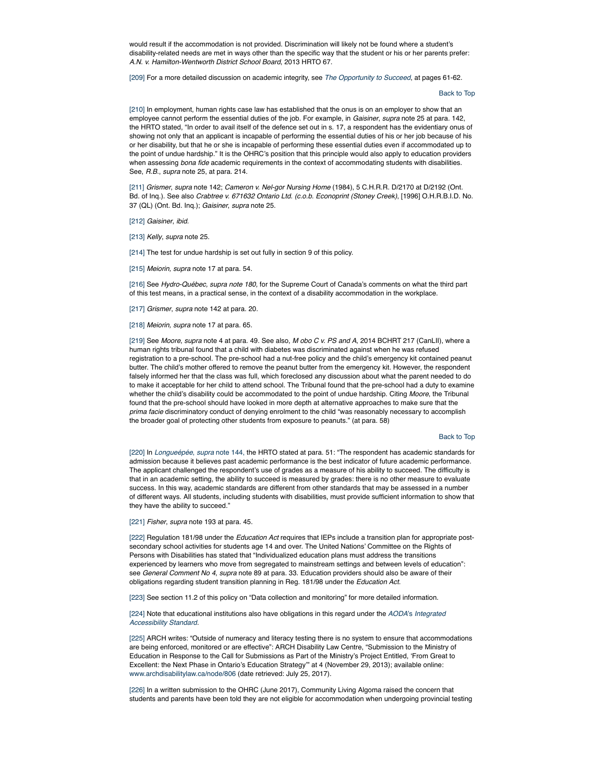would result if the accommodation is not provided. Discrimination will likely not be found where a student's disability-related needs are met in ways other than the specific way that the student or his or her parents prefer: *A.N. v. Hamilton-Wentworth District School Board*, 2013 HRTO 67.

[209] For a more detailed discussion on academic integrity, see *The Opportunity to Succeed*, at pages 61-62.

### Back to Top

[210] In employment, human rights case law has established that the onus is on an employer to show that an employee cannot perform the essential duties of the job. For example, in *Gaisiner*, *supra* note 25 at para. 142, the HRTO stated, "In order to avail itself of the defence set out in s. 17, a respondent has the evidentiary onus of showing not only that an applicant is incapable of performing the essential duties of his or her job because of his or her disability, but that he or she is incapable of performing these essential duties even if accommodated up to the point of undue hardship." It is the OHRC's position that this principle would also apply to education providers when assessing *bona fide* academic requirements in the context of accommodating students with disabilities. See, *R.B.*, *supra* note 25, at para. 214.

[211] *Grismer*, *supra* note 142; *Cameron v. Nel-gor Nursing Home* (1984), 5 C.H.R.R. D/2170 at D/2192 (Ont. Bd. of Inq.). See also *Crabtree v. 671632 Ontario Ltd. (c.o.b. Econoprint (Stoney Creek)*, [1996] O.H.R.B.I.D. No. 37 (QL) (Ont. Bd. Inq.); *Gaisiner*, *supra* note 25.

[212] *Gaisiner*, *ibid.*

[213] *Kelly*, *supra* note 25.

[214] The test for undue hardship is set out fully in section 9 of this policy.

[215] *Meiorin, supra* note 17 at para. 54.

[216] See *Hydro-Québec, supra note 180,* for the Supreme Court of Canada's comments on what the third part of this test means, in a practical sense, in the context of a disability accommodation in the workplace.

[217] *Grismer*, *supra* note 142 at para. 20.

[218] *Meiorin, supra* note 17 at para. 65.

[219] See *Moore*, *supra* note 4 at para. 49. See also, *M obo C v. PS and A*, 2014 BCHRT 217 (CanLII), where a human rights tribunal found that a child with diabetes was discriminated against when he was refused registration to a pre-school. The pre-school had a nut-free policy and the child's emergency kit contained peanut butter. The child's mother offered to remove the peanut butter from the emergency kit. However, the respondent falsely informed her that the class was full, which foreclosed any discussion about what the parent needed to do to make it acceptable for her child to attend school. The Tribunal found that the pre-school had a duty to examine whether the child's disability could be accommodated to the point of undue hardship. Citing *Moore*, the Tribunal found that the pre-school should have looked in more depth at alternative approaches to make sure that the *prima facie* discriminatory conduct of denying enrolment to the child "was reasonably necessary to accomplish the broader goal of protecting other students from exposure to peanuts." (at para. 58)

## Back to Top

[220] In *Longueépée*, *supra* note 144, the HRTO stated at para. 51: "The respondent has academic standards for admission because it believes past academic performance is the best indicator of future academic performance. The applicant challenged the respondent's use of grades as a measure of his ability to succeed. The difficulty is that in an academic setting, the ability to succeed is measured by grades: there is no other measure to evaluate success. In this way, academic standards are different from other standards that may be assessed in a number of different ways. All students, including students with disabilities, must provide sufficient information to show that they have the ability to succeed."

[221] *Fisher*, *supra* note 193 at para. 45.

[222] Regulation 181/98 under the *Education Act* requires that IEPs include a transition plan for appropriate postsecondary school activities for students age 14 and over. The United Nations' Committee on the Rights of Persons with Disabilities has stated that "Individualized education plans must address the transitions experienced by learners who move from segregated to mainstream settings and between levels of education": see *General Comment No 4*, *supra* note 89 at para. 33. Education providers should also be aware of their obligations regarding student transition planning in Reg. 181/98 under the *Education Act*.

[223] See section 11.2 of this policy on "Data collection and monitoring" for more detailed information.

[224] Note that educational institutions also have obligations in this regard under the *AODA*'s *Integrated Accessibility Standard.*

[225] ARCH writes: "Outside of numeracy and literacy testing there is no system to ensure that accommodations are being enforced, monitored or are effective": ARCH Disability Law Centre, "Submission to the Ministry of Education in Response to the Call for Submissions as Part of the Ministry's Project Entitled, 'From Great to Excellent: the Next Phase in Ontario's Education Strategy'" at 4 (November 29, 2013); available online: www.archdisabilitylaw.ca/node/806 (date retrieved: July 25, 2017).

[226] In a written submission to the OHRC (June 2017), Community Living Algoma raised the concern that students and parents have been told they are not eligible for accommodation when undergoing provincial testing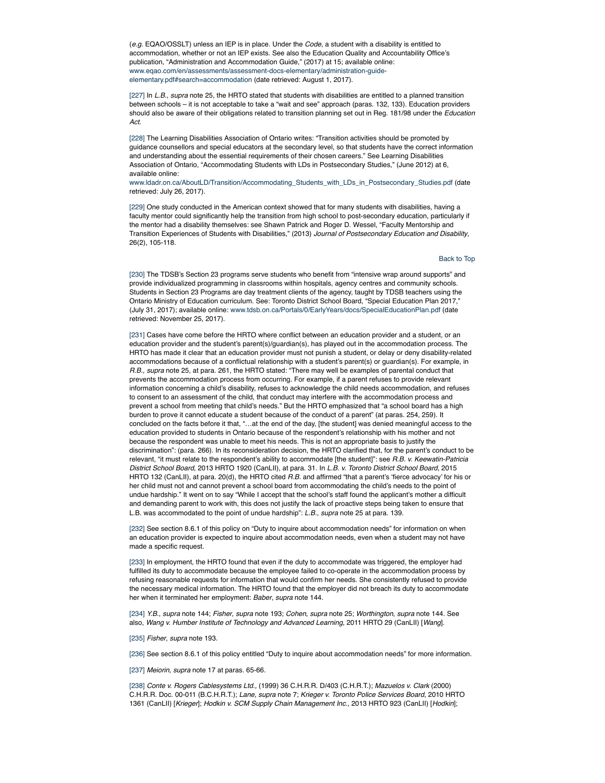(*e.g.* EQAO/OSSLT) unless an IEP is in place. Under the *Code*, a student with a disability is entitled to accommodation, whether or not an IEP exists. See also the Education Quality and Accountability Office's publication, "Administration and Accommodation Guide," (2017) at 15; available online: www.eqao.com/en/assessments/assessment-docs-elementary/administration-guideelementary.pdf#search=accommodation (date retrieved: August 1, 2017).

[227] In *L.B.*, *supra* note 25, the HRTO stated that students with disabilities are entitled to a planned transition between schools – it is not acceptable to take a "wait and see" approach (paras. 132, 133). Education providers should also be aware of their obligations related to transition planning set out in Reg. 181/98 under the *Education Act.*

[228] The Learning Disabilities Association of Ontario writes: "Transition activities should be promoted by guidance counsellors and special educators at the secondary level, so that students have the correct information and understanding about the essential requirements of their chosen careers." See Learning Disabilities Association of Ontario, "Accommodating Students with LDs in Postsecondary Studies," (June 2012) at 6, available online:

www.ldadr.on.ca/AboutLD/Transition/Accommodating\_Students\_with\_LDs\_in\_Postsecondary\_Studies.pdf (date retrieved: July 26, 2017).

[229] One study conducted in the American context showed that for many students with disabilities, having a faculty mentor could significantly help the transition from high school to post-secondary education, particularly if the mentor had a disability themselves: see Shawn Patrick and Roger D. Wessel, "Faculty Mentorship and Transition Experiences of Students with Disabilities," (2013) *Journal of Postsecondary Education and Disability*, 26(2), 105-118.

Back to Top

[230] The TDSB's Section 23 programs serve students who benefit from "intensive wrap around supports" and provide individualized programming in classrooms within hospitals, agency centres and community schools. Students in Section 23 Programs are day treatment clients of the agency, taught by TDSB teachers using the Ontario Ministry of Education curriculum. See: Toronto District School Board, "Special Education Plan 2017," (July 31, 2017); available online: www.tdsb.on.ca/Portals/0/EarlyYears/docs/SpecialEducationPlan.pdf (date retrieved: November 25, 2017).

[231] Cases have come before the HRTO where conflict between an education provider and a student, or an education provider and the student's parent(s)/guardian(s), has played out in the accommodation process. The HRTO has made it clear that an education provider must not punish a student, or delay or deny disability-related accommodations because of a conflictual relationship with a student's parent(s) or guardian(s). For example, in *R.B.*, *supra* note 25, at para. 261, the HRTO stated: "There may well be examples of parental conduct that prevents the accommodation process from occurring. For example, if a parent refuses to provide relevant information concerning a child's disability, refuses to acknowledge the child needs accommodation, and refuses to consent to an assessment of the child, that conduct may interfere with the accommodation process and prevent a school from meeting that child's needs." But the HRTO emphasized that "a school board has a high burden to prove it cannot educate a student because of the conduct of a parent" (at paras. 254, 259). It concluded on the facts before it that, "…at the end of the day, [the student] was denied meaningful access to the education provided to students in Ontario because of the respondent's relationship with his mother and not because the respondent was unable to meet his needs. This is not an appropriate basis to justify the discrimination": (para. 266). In its reconsideration decision, the HRTO clarified that, for the parent's conduct to be relevant, "it must relate to the respondent's ability to accommodate [the student]": see *R.B. v. Keewatin-Patricia District School Board*, 2013 HRTO 1920 (CanLII), at para. 31. In *L.B. v. Toronto District School Board*, 2015 HRTO 132 (CanLII), at para. 20(d), the HRTO cited *R.B.* and affirmed "that a parent's 'fierce advocacy' for his or her child must not and cannot prevent a school board from accommodating the child's needs to the point of undue hardship." It went on to say "While I accept that the school's staff found the applicant's mother a difficult and demanding parent to work with, this does not justify the lack of proactive steps being taken to ensure that L.B. was accommodated to the point of undue hardship": *L.B.*, *supra* note 25 at para. 139.

[232] See section 8.6.1 of this policy on "Duty to inquire about accommodation needs" for information on when an education provider is expected to inquire about accommodation needs, even when a student may not have made a specific request.

[233] In employment, the HRTO found that even if the duty to accommodate was triggered, the employer had fulfilled its duty to accommodate because the employee failed to co-operate in the accommodation process by refusing reasonable requests for information that would confirm her needs. She consistently refused to provide the necessary medical information. The HRTO found that the employer did not breach its duty to accommodate her when it terminated her employment: *Baber*, *supra* note 144.

[234] *Y.B.*, *supra* note 144; *Fisher*, *supra* note 193; *Cohen*, *supra* note 25; *Worthington*, *supra* note 144. See also, *Wang v. Humber Institute of Technology and Advanced Learning,* 2011 HRTO 29 (CanLII) [*Wang*].

[235] *Fisher*, *supra* note 193.

[236] See section 8.6.1 of this policy entitled "Duty to inquire about accommodation needs" for more information.

[237] *Meiorin, supra* note 17 at paras. 65-66.

[238] *Conte v. Rogers Cablesystems Ltd.,* (1999) 36 C.H.R.R. D/403 (C.H.R.T.); *Mazuelos v. Clark* (2000) C.H.R.R. Doc. 00-011 (B.C.H.R.T.); *Lane*, *supra* note 7; *Krieger v. Toronto Police Services Board*, 2010 HRTO 1361 (CanLII) [*Krieger*]; *Hodkin v. SCM Supply Chain Management Inc.,* 2013 HRTO 923 (CanLII) [*Hodkin*];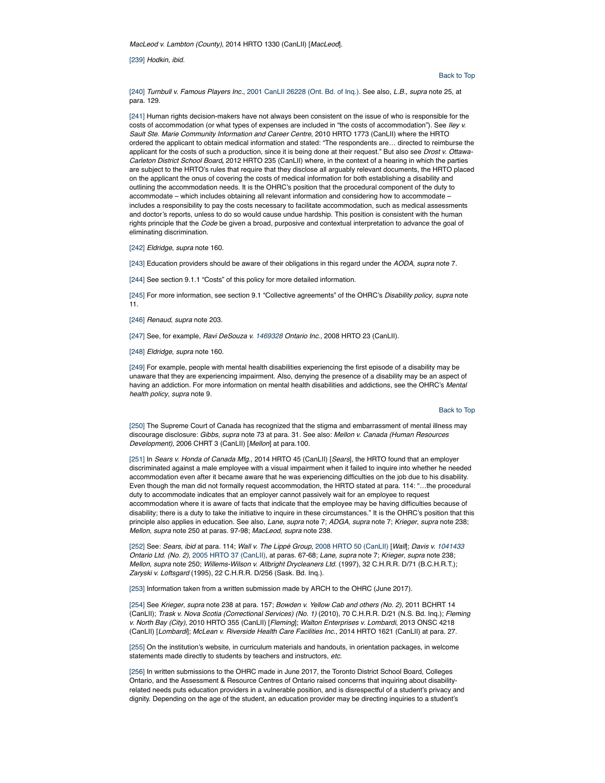*MacLeod v. Lambton (County)*, 2014 HRTO 1330 (CanLII) [*MacLeod*].

[239] *Hodkin*, *ibid.*

## Back to Top

[240] *Turnbull v. Famous Players Inc.*, 2001 CanLII 26228 (Ont. Bd. of Inq.). See also, *L.B.*, *supra* note 25, at para. 129.

[241] Human rights decision-makers have not always been consistent on the issue of who is responsible for the costs of accommodation (or what types of expenses are included in "the costs of accommodation"). See *Iley v. Sault Ste. Marie Community Information and Career Centre*, 2010 HRTO 1773 (CanLII) where the HRTO ordered the applicant to obtain medical information and stated: "The respondents are… directed to reimburse the applicant for the costs of such a production, since it is being done at their request." But also see *Drost v. Ottawa-Carleton District School Board***,** 2012 HRTO 235 (CanLII) where, in the context of a hearing in which the parties are subject to the HRTO's rules that require that they disclose all arguably relevant documents, the HRTO placed on the applicant the onus of covering the costs of medical information for both establishing a disability and outlining the accommodation needs. It is the OHRC's position that the procedural component of the duty to accommodate – which includes obtaining all relevant information and considering how to accommodate – includes a responsibility to pay the costs necessary to facilitate accommodation, such as medical assessments and doctor's reports, unless to do so would cause undue hardship. This position is consistent with the human rights principle that the *Code* be given a broad, purposive and contextual interpretation to advance the goal of eliminating discrimination.

[242] *Eldridge*, *supra* note 160.

[243] Education providers should be aware of their obligations in this regard under the *AODA*, *supra* note 7.

[244] See section 9.1.1 "Costs" of this policy for more detailed information.

[245] For more information, see section 9.1 "Collective agreements" of the OHRC's *Disability policy*, *supra* note 11.

[246] *Renaud*, *supra* note 203.

[247] See, for example, *Ravi DeSouza v. 1469328 Ontario Inc*., 2008 HRTO 23 (CanLII).

[248] *Eldridge*, *supra* note 160.

[249] For example, people with mental health disabilities experiencing the first episode of a disability may be unaware that they are experiencing impairment. Also, denying the presence of a disability may be an aspect of having an addiction. For more information on mental health disabilities and addictions, see the OHRC's *Mental health policy*, *supra* note 9.

## Back to Top

[250] The Supreme Court of Canada has recognized that the stigma and embarrassment of mental illness may discourage disclosure: *Gibbs*, *supra* note 73 at para. 31. See also: *Mellon v. Canada (Human Resources Development)*, 2006 CHRT 3 (CanLII) [*Mellon*] at para.100.

[251] In *Sears v. Honda of Canada Mfg*., 2014 HRTO 45 (CanLII) [*Sears*], the HRTO found that an employer discriminated against a male employee with a visual impairment when it failed to inquire into whether he needed accommodation even after it became aware that he was experiencing difficulties on the job due to his disability. Even though the man did not formally request accommodation, the HRTO stated at para. 114: "…the procedural duty to accommodate indicates that an employer cannot passively wait for an employee to request accommodation where it is aware of facts that indicate that the employee may be having difficulties because of disability; there is a duty to take the initiative to inquire in these circumstances." It is the OHRC's position that this principle also applies in education. See also, *Lane*, *supra* note 7; *ADGA*, *supra* note 7; *Krieger*, *supra* note 238; *Mellon*, *supra* note 250 at paras. 97-98; *MacLeod*, *supra* note 238.

[252] See: *Sears*, *ibid* at para. 114; *Wall v. The Lippé Group*, 2008 HRTO 50 (CanLII) [*Wall*]; *Davis v. 1041433 Ontario Ltd. (No. 2)*, 2005 HRTO 37 (CanLII), at paras. 67-68; *Lane*, *supra* note 7; *Krieger*, *supra* note 238; *Mellon*, *supra* note 250; *Willems-Wilson v. Allbright Drycleaners Ltd.* (1997), 32 C.H.R.R. D/71 (B.C.H.R.T.); *Zaryski v. Loftsgard* (1995), 22 C.H.R.R. D/256 (Sask. Bd. Inq.).

[253] Information taken from a written submission made by ARCH to the OHRC (June 2017).

[254] See *Krieger*, *supra* note 238 at para. 157; *Bowden v. Yellow Cab and others (No. 2),* 2011 BCHRT 14 (CanLII); *Trask v. Nova Scotia (Correctional Services) (No. 1)* (2010), 70 C.H.R.R. D/21 (N.S. Bd. Inq.); *Fleming v. North Bay (City)*, 2010 HRTO 355 (CanLII) [*Fleming*]; *Walton Enterprises v. Lombardi*, 2013 ONSC 4218 (CanLII) [*Lombardi*]; *McLean v. Riverside Health Care Facilities Inc.*, 2014 HRTO 1621 (CanLII) at para. 27.

[255] On the institution's website, in curriculum materials and handouts, in orientation packages, in welcome statements made directly to students by teachers and instructors, *etc.*

[256] In written submissions to the OHRC made in June 2017, the Toronto District School Board, Colleges Ontario, and the Assessment & Resource Centres of Ontario raised concerns that inquiring about disabilityrelated needs puts education providers in a vulnerable position, and is disrespectful of a student's privacy and dignity. Depending on the age of the student, an education provider may be directing inquiries to a student's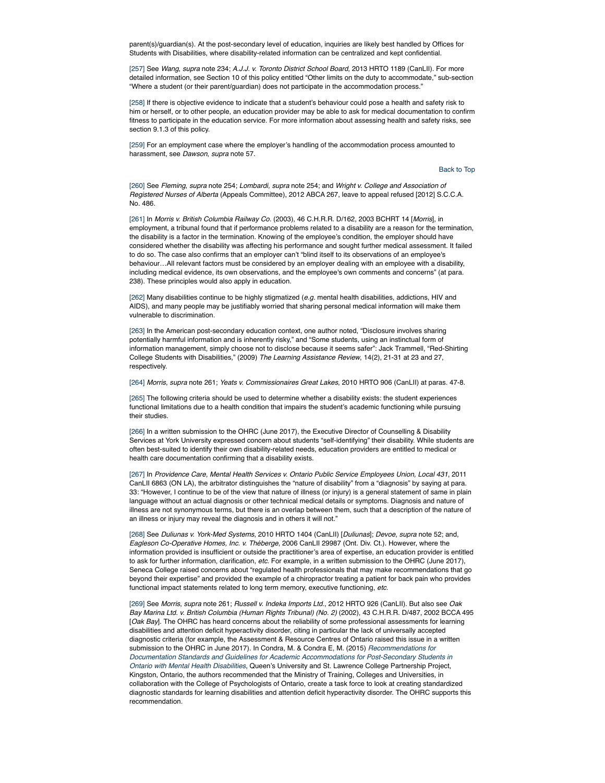parent(s)/guardian(s). At the post-secondary level of education, inquiries are likely best handled by Offices for Students with Disabilities, where disability-related information can be centralized and kept confidential.

[257] See *Wang*, *supra* note 234; *A.J.J. v. Toronto District School Board*, 2013 HRTO 1189 (CanLII). For more detailed information, see Section 10 of this policy entitled "Other limits on the duty to accommodate," sub-section "Where a student (or their parent/guardian) does not participate in the accommodation process."

[258] If there is objective evidence to indicate that a student's behaviour could pose a health and safety risk to him or herself, or to other people, an education provider may be able to ask for medical documentation to confirm fitness to participate in the education service. For more information about assessing health and safety risks, see section 9.1.3 of this policy.

[259] For an employment case where the employer's handling of the accommodation process amounted to harassment, see *Dawson*, *supra* note 57.

## Back to Top

[260] See *Fleming*, *supra* note 254; *Lombardi, supra* note 254; and *Wright v. College and Association of Registered Nurses of Alberta* (Appeals Committee), 2012 ABCA 267, leave to appeal refused [2012] S.C.C.A. No. 486.

[261] In *Morris v. British Columbia Railway Co.* (2003), 46 C.H.R.R. D/162, 2003 BCHRT 14 [*Morris*], in employment, a tribunal found that if performance problems related to a disability are a reason for the termination, the disability is a factor in the termination. Knowing of the employee's condition, the employer should have considered whether the disability was affecting his performance and sought further medical assessment. It failed to do so. The case also confirms that an employer can't "blind itself to its observations of an employee's behaviour…All relevant factors must be considered by an employer dealing with an employee with a disability, including medical evidence, its own observations, and the employee's own comments and concerns" (at para. 238). These principles would also apply in education.

[262] Many disabilities continue to be highly stigmatized (*e.g.* mental health disabilities, addictions, HIV and AIDS), and many people may be justifiably worried that sharing personal medical information will make them vulnerable to discrimination.

[263] In the American post-secondary education context, one author noted, "Disclosure involves sharing potentially harmful information and is inherently risky," and "Some students, using an instinctual form of information management, simply choose not to disclose because it seems safer": Jack Trammell, "Red-Shirting College Students with Disabilities," (2009) *The Learning Assistance Review*, 14(2), 21-31 at 23 and 27, respectively.

[264] *Morris*, *supra* note 261; *Yeats v. Commissionaires Great Lakes*, 2010 HRTO 906 (CanLII) at paras. 47-8.

[265] The following criteria should be used to determine whether a disability exists: the student experiences functional limitations due to a health condition that impairs the student's academic functioning while pursuing their studies.

[266] In a written submission to the OHRC (June 2017), the Executive Director of Counselling & Disability Services at York University expressed concern about students "self-identifying" their disability. While students are often best-suited to identify their own disability-related needs, education providers are entitled to medical or health care documentation confirming that a disability exists.

[267] In *Providence Care, Mental Health Services v. Ontario Public Service Employees Union, Local 431*, 2011 CanLII 6863 (ON LA), the arbitrator distinguishes the "nature of disability" from a "diagnosis" by saying at para. 33: "However, I continue to be of the view that nature of illness (or injury) is a general statement of same in plain language without an actual diagnosis or other technical medical details or symptoms. Diagnosis and nature of illness are not synonymous terms, but there is an overlap between them, such that a description of the nature of an illness or injury may reveal the diagnosis and in others it will not."

[268] See *Duliunas v. York-Med Systems*, 2010 HRTO 1404 (CanLII) [*Duliunas*]; *Devoe*, *supra* note 52; and, *Eagleson Co-Operative Homes, Inc. v. Théberge*, 2006 CanLII 29987 (Ont. Div. Ct.). However, where the information provided is insufficient or outside the practitioner's area of expertise, an education provider is entitled to ask for further information, clarification, *etc.* For example, in a written submission to the OHRC (June 2017), Seneca College raised concerns about "regulated health professionals that may make recommendations that go beyond their expertise" and provided the example of a chiropractor treating a patient for back pain who provides functional impact statements related to long term memory, executive functioning, *etc*.

[269] See *Morris*, *supra* note 261; *Russell v. Indeka Imports Ltd.*, 2012 HRTO 926 (CanLII). But also see *Oak Bay Marina Ltd. v. British Columbia (Human Rights Tribunal) (No. 2)* (2002), 43 C.H.R.R. D/487, 2002 BCCA 495 [*Oak Bay*]. The OHRC has heard concerns about the reliability of some professional assessments for learning disabilities and attention deficit hyperactivity disorder, citing in particular the lack of universally accepted diagnostic criteria (for example, the Assessment & Resource Centres of Ontario raised this issue in a written submission to the OHRC in June 2017). In Condra, M. & Condra E, M. (2015) *Recommendations for Documentation Standards and Guidelines for Academic Accommodations for Post-Secondary Students in Ontario with Mental Health Disabilities*, Queen's University and St. Lawrence College Partnership Project, Kingston, Ontario, the authors recommended that the Ministry of Training, Colleges and Universities, in collaboration with the College of Psychologists of Ontario, create a task force to look at creating standardized diagnostic standards for learning disabilities and attention deficit hyperactivity disorder. The OHRC supports this recommendation.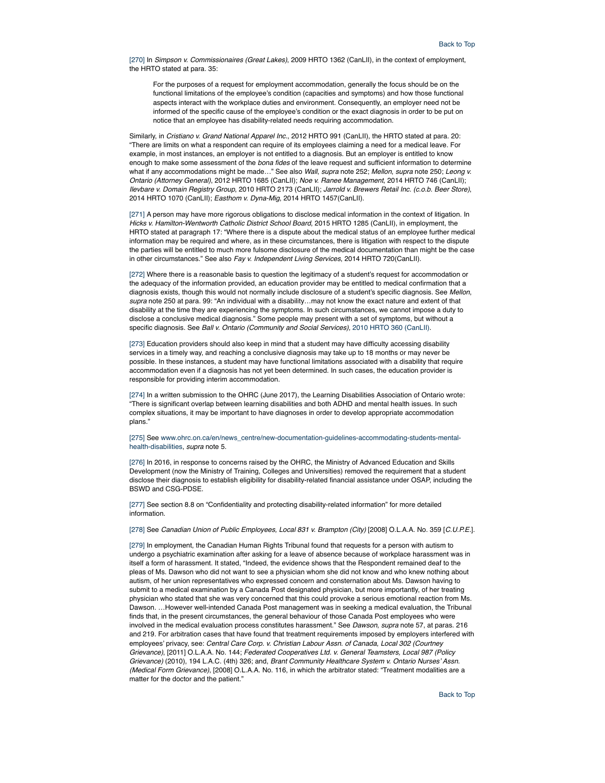[270] In *Simpson v. Commissionaires (Great Lakes)*, 2009 HRTO 1362 (CanLII), in the context of employment, the HRTO stated at para. 35:

For the purposes of a request for employment accommodation, generally the focus should be on the functional limitations of the employee's condition (capacities and symptoms) and how those functional aspects interact with the workplace duties and environment. Consequently, an employer need not be informed of the specific cause of the employee's condition or the exact diagnosis in order to be put on notice that an employee has disability-related needs requiring accommodation.

Similarly, in *Cristiano v. Grand National Apparel Inc.*, 2012 HRTO 991 (CanLII), the HRTO stated at para. 20: "There are limits on what a respondent can require of its employees claiming a need for a medical leave. For example, in most instances, an employer is not entitled to a diagnosis. But an employer is entitled to know enough to make some assessment of the *bona fides* of the leave request and sufficient information to determine what if any accommodations might be made…" See also *Wall*, *supra* note 252; *Mellon*, *supra* note 250; *Leong v. Ontario (Attorney General)*, 2012 HRTO 1685 (CanLII); *Noe v. Ranee Management*, 2014 HRTO 746 (CanLII); *Ilevbare v. Domain Registry Group*, 2010 HRTO 2173 (CanLII); *Jarrold v. Brewers Retail Inc. (c.o.b. Beer Store)*, 2014 HRTO 1070 (CanLII); *Easthom v. Dyna-Mig*, 2014 HRTO 1457(CanLII).

[271] A person may have more rigorous obligations to disclose medical information in the context of litigation. In *Hicks v. Hamilton-Wentworth Catholic District School Board*, 2015 HRTO 1285 (CanLII), in employment, the HRTO stated at paragraph 17: "Where there is a dispute about the medical status of an employee further medical information may be required and where, as in these circumstances, there is litigation with respect to the dispute the parties will be entitled to much more fulsome disclosure of the medical documentation than might be the case in other circumstances." See also *Fay v. Independent Living Services*, 2014 HRTO 720(CanLII).

[272] Where there is a reasonable basis to question the legitimacy of a student's request for accommodation or the adequacy of the information provided, an education provider may be entitled to medical confirmation that a diagnosis exists, though this would not normally include disclosure of a student's specific diagnosis. See *Mellon*, *supra* note 250 at para. 99: "An individual with a disability…may not know the exact nature and extent of that disability at the time they are experiencing the symptoms. In such circumstances, we cannot impose a duty to disclose a conclusive medical diagnosis." Some people may present with a set of symptoms, but without a specific diagnosis. See *Ball v. Ontario (Community and Social Services),* 2010 HRTO 360 (CanLII).

[273] Education providers should also keep in mind that a student may have difficulty accessing disability services in a timely way, and reaching a conclusive diagnosis may take up to 18 months or may never be possible. In these instances, a student may have functional limitations associated with a disability that require accommodation even if a diagnosis has not yet been determined. In such cases, the education provider is responsible for providing interim accommodation.

[274] In a written submission to the OHRC (June 2017), the Learning Disabilities Association of Ontario wrote: "There is significant overlap between learning disabilities and both ADHD and mental health issues. In such complex situations, it may be important to have diagnoses in order to develop appropriate accommodation plans."

[275] See www.ohrc.on.ca/en/news\_centre/new-documentation-guidelines-accommodating-students-mentalhealth-disabilities, *supra* note 5.

[276] In 2016, in response to concerns raised by the OHRC, the Ministry of Advanced Education and Skills Development (now the Ministry of Training, Colleges and Universities) removed the requirement that a student disclose their diagnosis to establish eligibility for disability-related financial assistance under OSAP, including the BSWD and CSG-PDSE.

[277] See section 8.8 on "Confidentiality and protecting disability-related information" for more detailed information.

[278] See *Canadian Union of Public Employees, Local 831 v. Brampton (City)* [2008] O.L.A.A. No. 359 [*C.U.P.E.*].

[279] In employment, the Canadian Human Rights Tribunal found that requests for a person with autism to undergo a psychiatric examination after asking for a leave of absence because of workplace harassment was in itself a form of harassment. It stated, "Indeed, the evidence shows that the Respondent remained deaf to the pleas of Ms. Dawson who did not want to see a physician whom she did not know and who knew nothing about autism, of her union representatives who expressed concern and consternation about Ms. Dawson having to submit to a medical examination by a Canada Post designated physician, but more importantly, of her treating physician who stated that she was very concerned that this could provoke a serious emotional reaction from Ms. Dawson. …However well-intended Canada Post management was in seeking a medical evaluation, the Tribunal finds that, in the present circumstances, the general behaviour of those Canada Post employees who were involved in the medical evaluation process constitutes harassment." See *Dawson*, *supra* note 57, at paras. 216 and 219. For arbitration cases that have found that treatment requirements imposed by employers interfered with employees' privacy, see: *Central Care Corp. v. Christian Labour Assn. of Canada, Local 302 (Courtney Grievance)*, [2011] O.L.A.A. No. 144; *Federated Cooperatives Ltd. v. General Teamsters, Local 987 (Policy Grievance)* (2010), 194 L.A.C. (4th) 326; and, *Brant Community Healthcare System v. Ontario Nurses' Assn. (Medical Form Grievance)*, [2008] O.L.A.A. No. 116, in which the arbitrator stated: "Treatment modalities are a matter for the doctor and the patient."

Back to Top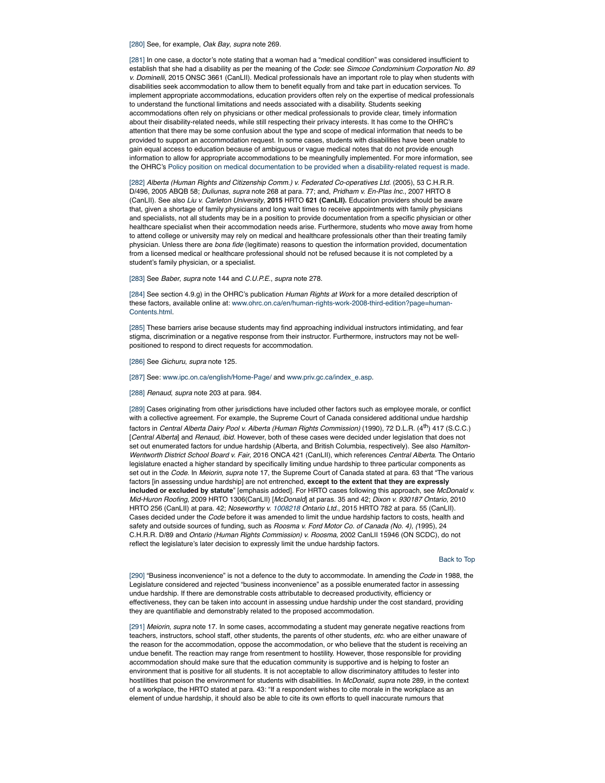[280] See, for example, *Oak Bay*, *supra* note 269.

[281] In one case, a doctor's note stating that a woman had a "medical condition" was considered insufficient to establish that she had a disability as per the meaning of the *Code*: see *Simcoe Condominium Corporation No. 89 v. Dominelli*, 2015 ONSC 3661 (CanLII). Medical professionals have an important role to play when students with disabilities seek accommodation to allow them to benefit equally from and take part in education services. To implement appropriate accommodations, education providers often rely on the expertise of medical professionals to understand the functional limitations and needs associated with a disability. Students seeking accommodations often rely on physicians or other medical professionals to provide clear, timely information about their disability-related needs, while still respecting their privacy interests. It has come to the OHRC's attention that there may be some confusion about the type and scope of medical information that needs to be provided to support an accommodation request. In some cases, students with disabilities have been unable to gain equal access to education because of ambiguous or vague medical notes that do not provide enough information to allow for appropriate accommodations to be meaningfully implemented. For more information, see the OHRC's Policy position on medical documentation to be provided when a disability-related request is made.

[282] Alberta (Human Rights and Citizenship Comm.) v. Federated Co-operatives Ltd. (2005), 53 C.H.R.R. D/496, 2005 ABQB 58; *Duliunas*, *supra* note 268 at para. 77; and, *Pridham v. En-Plas Inc*., 2007 HRTO 8 (CanLII). See also *Liu v. Carleton University*, **2015** HRTO **621 (CanLII).** Education providers should be aware that, given a shortage of family physicians and long wait times to receive appointments with family physicians and specialists, not all students may be in a position to provide documentation from a specific physician or other healthcare specialist when their accommodation needs arise. Furthermore, students who move away from home to attend college or university may rely on medical and healthcare professionals other than their treating family physician. Unless there are *bona fide* (legitimate) reasons to question the information provided, documentation from a licensed medical or healthcare professional should not be refused because it is not completed by a student's family physician, or a specialist.

[283] See *Baber*, *supra* note 144 and *C.U.P.E.*, *supra* note 278.

[284] See section 4.9.g) in the OHRC's publication *Human Rights at Work* for a more detailed description of these factors, available online at: www.ohrc.on.ca/en/human-rights-work-2008-third-edition?page=human-Contents.html.

[285] These barriers arise because students may find approaching individual instructors intimidating, and fear stigma, discrimination or a negative response from their instructor. Furthermore, instructors may not be wellpositioned to respond to direct requests for accommodation.

[286] See *Gichuru*, *supra* note 125.

#### [287] See: www.ipc.on.ca/english/Home-Page/ and www.priv.gc.ca/index\_e.asp.

[288] *Renaud*, *supra* note 203 at para. 984.

[289] Cases originating from other jurisdictions have included other factors such as employee morale, or conflict with a collective agreement. For example, the Supreme Court of Canada considered additional undue hardship factors in *Central Alberta Dairy Pool v. Alberta (Human Rights Commission)* (1990), 72 D.L.R. (4th) 417 (S.C.C.) [*Central Alberta*] and *Renaud*, *ibid.* However, both of these cases were decided under legislation that does not set out enumerated factors for undue hardship (Alberta, and British Columbia, respectively). See also *Hamilton-Wentworth District School Board v. Fair*, 2016 ONCA 421 (CanLII), which references *Central Alberta*. The Ontario legislature enacted a higher standard by specifically limiting undue hardship to three particular components as set out in the *Code*. In *Meiorin*, *supra* note 17, the Supreme Court of Canada stated at para. 63 that "The various factors [in assessing undue hardship] are not entrenched, **except to the extent that they are expressly included or excluded by statute**" [emphasis added]. For HRTO cases following this approach, see *McDonald v. Mid-Huron Roofing*, 2009 HRTO 1306(CanLII) [*McDonald*] at paras. 35 and 42; *Dixon v. 930187 Ontario*, 2010 HRTO 256 (CanLII) at para. 42; *Noseworthy v. 1008218 Ontario Ltd.*, 2015 HRTO 782 at para. 55 (CanLII). Cases decided under the *Code* before it was amended to limit the undue hardship factors to costs, health and safety and outside sources of funding, such as *Roosma v. Ford Motor Co. of Canada (No. 4), (*1995), 24 C.H.R.R. D/89 and *Ontario (Human Rights Commission) v. Roosma*, 2002 CanLII 15946 (ON SCDC), do not reflect the legislature's later decision to expressly limit the undue hardship factors.

#### Back to Top

[290] "Business inconvenience" is not a defence to the duty to accommodate. In amending the *Code* in 1988, the Legislature considered and rejected "business inconvenience" as a possible enumerated factor in assessing undue hardship. If there are demonstrable costs attributable to decreased productivity, efficiency or effectiveness, they can be taken into account in assessing undue hardship under the cost standard, providing they are quantifiable and demonstrably related to the proposed accommodation.

[291] *Meiorin*, *supra* note 17. In some cases, accommodating a student may generate negative reactions from teachers, instructors, school staff, other students, the parents of other students, *etc.* who are either unaware of the reason for the accommodation, oppose the accommodation, or who believe that the student is receiving an undue benefit. The reaction may range from resentment to hostility. However, those responsible for providing accommodation should make sure that the education community is supportive and is helping to foster an environment that is positive for all students. It is not acceptable to allow discriminatory attitudes to fester into hostilities that poison the environment for students with disabilities. In *McDonald*, *supra* note 289, in the context of a workplace, the HRTO stated at para. 43: "If a respondent wishes to cite morale in the workplace as an element of undue hardship, it should also be able to cite its own efforts to quell inaccurate rumours that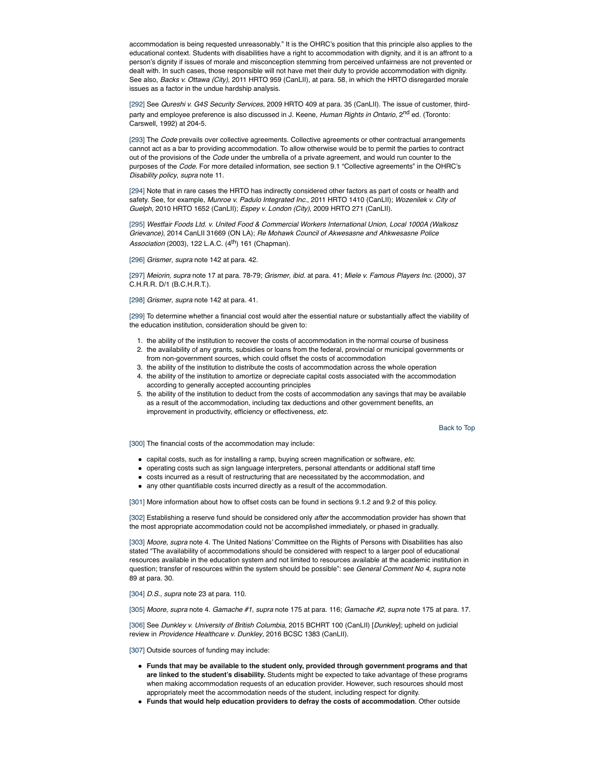accommodation is being requested unreasonably." It is the OHRC's position that this principle also applies to the educational context. Students with disabilities have a right to accommodation with dignity, and it is an affront to a person's dignity if issues of morale and misconception stemming from perceived unfairness are not prevented or dealt with. In such cases, those responsible will not have met their duty to provide accommodation with dignity. See also, *Backs v. Ottawa (City),* 2011 HRTO 959 (CanLII), at para. 58, in which the HRTO disregarded morale issues as a factor in the undue hardship analysis.

[292] See *Qureshi v. G4S Security Services*, 2009 HRTO 409 at para. 35 (CanLII). The issue of customer, thirdparty and employee preference is also discussed in J. Keene, *Human Rights in Ontario*, 2<sup>nd</sup> ed. (Toronto: Carswell, 1992) at 204-5.

[293] The *Code* prevails over collective agreements. Collective agreements or other contractual arrangements cannot act as a bar to providing accommodation. To allow otherwise would be to permit the parties to contract out of the provisions of the *Code* under the umbrella of a private agreement, and would run counter to the purposes of the *Code*. For more detailed information, see section 9.1 "Collective agreements" in the OHRC's *Disability policy*, *supra* note 11.

[294] Note that in rare cases the HRTO has indirectly considered other factors as part of costs or health and safety. See, for example, *Munroe v. Padulo Integrated Inc.*, 2011 HRTO 1410 (CanLII); *Wozenilek v. City of Guelph*, 2010 HRTO 1652 (CanLII); *Espey v. London (City)*, 2009 HRTO 271 (CanLII).

[295] *Westfair Foods Ltd. v. United Food & Commercial Workers International Union, Local 1000A (Walkosz Grievance)*, 2014 CanLII 31669 (ON LA); *Re Mohawk Council of Akwesasne and Ahkwesasne Police Association* (2003), 122 L.A.C. (4<sup>th</sup>) 161 (Chapman).

[296] *Grismer*, *supra* note 142 at para. 42.

[297] *Meiorin, supra* note 17 at para. 78-79; *Grismer*, *ibid.* at para. 41; *Miele v. Famous Players Inc*. (2000), 37 C.H.R.R. D/1 (B.C.H.R.T.).

[298] *Grismer*, *supra* note 142 at para. 41.

[299] To determine whether a financial cost would alter the essential nature or substantially affect the viability of the education institution, consideration should be given to:

- 1. the ability of the institution to recover the costs of accommodation in the normal course of business
- 2. the availability of any grants, subsidies or loans from the federal, provincial or municipal governments or from non-government sources, which could offset the costs of accommodation
- 3. the ability of the institution to distribute the costs of accommodation across the whole operation
- 4. the ability of the institution to amortize or depreciate capital costs associated with the accommodation according to generally accepted accounting principles
- 5. the ability of the institution to deduct from the costs of accommodation any savings that may be available as a result of the accommodation, including tax deductions and other government benefits, an improvement in productivity, efficiency or effectiveness, *etc.*

Back to Top

[300] The financial costs of the accommodation may include:

- capital costs, such as for installing a ramp, buying screen magnification or software, *etc.*
- operating costs such as sign language interpreters, personal attendants or additional staff time
- costs incurred as a result of restructuring that are necessitated by the accommodation, and
- any other quantifiable costs incurred directly as a result of the accommodation.

[301] More information about how to offset costs can be found in sections 9.1.2 and 9.2 of this policy.

[302] Establishing a reserve fund should be considered only *after* the accommodation provider has shown that the most appropriate accommodation could not be accomplished immediately, or phased in gradually.

[303] *Moore*, *supra* note 4. The United Nations' Committee on the Rights of Persons with Disabilities has also stated "The availability of accommodations should be considered with respect to a larger pool of educational resources available in the education system and not limited to resources available at the academic institution in question; transfer of resources within the system should be possible": see *General Comment No 4*, *supra* note 89 at para. 30.

[304] *D.S.*, *supra* note 23 at para. 110.

[305] *Moore*, *supra* note 4. *Gamache #1*, *supra* note 175 at para. 116; *Gamache #2*, *supra* note 175 at para. 17.

[306] See *Dunkley v. University of British Columbia*, 2015 BCHRT 100 (CanLII) [*Dunkley*]; upheld on judicial review in *Providence Healthcare v. Dunkley*, 2016 BCSC 1383 (CanLII).

[307] Outside sources of funding may include:

- **Funds that may be available to the student only, provided through government programs and that are linked to the student's disability.** Students might be expected to take advantage of these programs when making accommodation requests of an education provider. However, such resources should most appropriately meet the accommodation needs of the student, including respect for dignity.
- **Funds that would help education providers to defray the costs of accommodation**. Other outside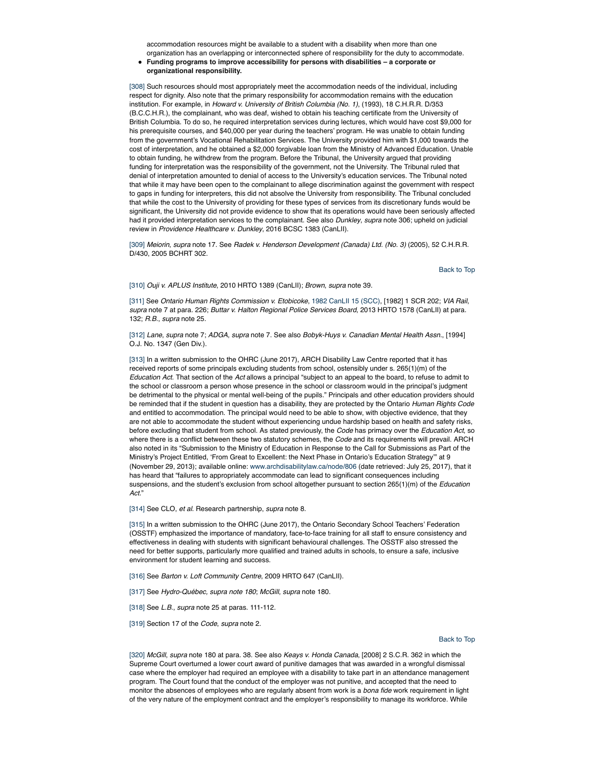accommodation resources might be available to a student with a disability when more than one organization has an overlapping or interconnected sphere of responsibility for the duty to accommodate.

**Funding programs to improve accessibility for persons with disabilities – a corporate or organizational responsibility.**

[308] Such resources should most appropriately meet the accommodation needs of the individual, including respect for dignity. Also note that the primary responsibility for accommodation remains with the education institution. For example, in *Howard v. University of British Columbia (No. 1)*, (1993), 18 C.H.R.R. D/353 (B.C.C.H.R.), the complainant, who was deaf, wished to obtain his teaching certificate from the University of British Columbia. To do so, he required interpretation services during lectures, which would have cost \$9,000 for his prerequisite courses, and \$40,000 per year during the teachers' program. He was unable to obtain funding from the government's Vocational Rehabilitation Services. The University provided him with \$1,000 towards the cost of interpretation, and he obtained a \$2,000 forgivable loan from the Ministry of Advanced Education. Unable to obtain funding, he withdrew from the program. Before the Tribunal, the University argued that providing funding for interpretation was the responsibility of the government, not the University. The Tribunal ruled that denial of interpretation amounted to denial of access to the University's education services. The Tribunal noted that while it may have been open to the complainant to allege discrimination against the government with respect to gaps in funding for interpreters, this did not absolve the University from responsibility. The Tribunal concluded that while the cost to the University of providing for these types of services from its discretionary funds would be significant, the University did not provide evidence to show that its operations would have been seriously affected had it provided interpretation services to the complainant. See also *Dunkley*, *supra* note 306; upheld on judicial review in *Providence Healthcare v. Dunkley*, 2016 BCSC 1383 (CanLII).

[309] *Meiorin*, *supra* note 17. See *Radek v. Henderson Development (Canada) Ltd. (No. 3)* (2005), 52 C.H.R.R. D/430, 2005 BCHRT 302.

Back to Top

[310] *Ouji v. APLUS Institute*, 2010 HRTO 1389 (CanLII); *Brown*, *supra* note 39.

[311] See *Ontario Human Rights Commission v. Etobicoke*, 1982 CanLII 15 (SCC), [1982] 1 SCR 202; *VIA Rail*, *supra* note 7 at para. 226; *Buttar v. Halton Regional Police Services Board*, 2013 HRTO 1578 (CanLII) at para. 132; *R.B.*, *supra* note 25.

[312] *Lane*, *supra* note 7; *ADGA*, *supra* note 7. See also *Bobyk-Huys v. Canadian Mental Health Assn*., [1994] O.J. No. 1347 (Gen Div.).

[313] In a written submission to the OHRC (June 2017), ARCH Disability Law Centre reported that it has received reports of some principals excluding students from school, ostensibly under s. 265(1)(m) of the *Education Act*. That section of the *Act* allows a principal "subject to an appeal to the board, to refuse to admit to the school or classroom a person whose presence in the school or classroom would in the principal's judgment be detrimental to the physical or mental well-being of the pupils." Principals and other education providers should be reminded that if the student in question has a disability, they are protected by the Ontario *Human Rights Code* and entitled to accommodation. The principal would need to be able to show, with objective evidence, that they are not able to accommodate the student without experiencing undue hardship based on health and safety risks, before excluding that student from school. As stated previously, the *Code* has primacy over the *Education Act*, so where there is a conflict between these two statutory schemes, the *Code* and its requirements will prevail. ARCH also noted in its "Submission to the Ministry of Education in Response to the Call for Submissions as Part of the Ministry's Project Entitled, 'From Great to Excellent: the Next Phase in Ontario's Education Strategy'" at 9 (November 29, 2013); available online: www.archdisabilitylaw.ca/node/806 (date retrieved: July 25, 2017), that it has heard that "failures to appropriately accommodate can lead to significant consequences including suspensions, and the student's exclusion from school altogether pursuant to section 265(1)(m) of the *Education Act.*"

[314] See CLO, *et al.* Research partnership, *supra* note 8.

[315] In a written submission to the OHRC (June 2017), the Ontario Secondary School Teachers' Federation (OSSTF) emphasized the importance of mandatory, face-to-face training for all staff to ensure consistency and effectiveness in dealing with students with significant behavioural challenges. The OSSTF also stressed the need for better supports, particularly more qualified and trained adults in schools, to ensure a safe, inclusive environment for student learning and success.

[316] See *Barton v. Loft Community Centre*, 2009 HRTO 647 (CanLII).

[317] See *Hydro-Québec, supra note 180*; *McGill*, *supra* note 180.

[318] See *L.B.*, *supra* note 25 at paras. 111-112.

[319] Section 17 of the *Code*, *supra* note 2*.*

## Back to Top

[320] *McGill*, *supra* note 180 at para. 38. See also *Keays v. Honda Canada*, [2008] 2 S.C.R. 362 in which the Supreme Court overturned a lower court award of punitive damages that was awarded in a wrongful dismissal case where the employer had required an employee with a disability to take part in an attendance management program. The Court found that the conduct of the employer was not punitive, and accepted that the need to monitor the absences of employees who are regularly absent from work is a *bona fide* work requirement in light of the very nature of the employment contract and the employer's responsibility to manage its workforce. While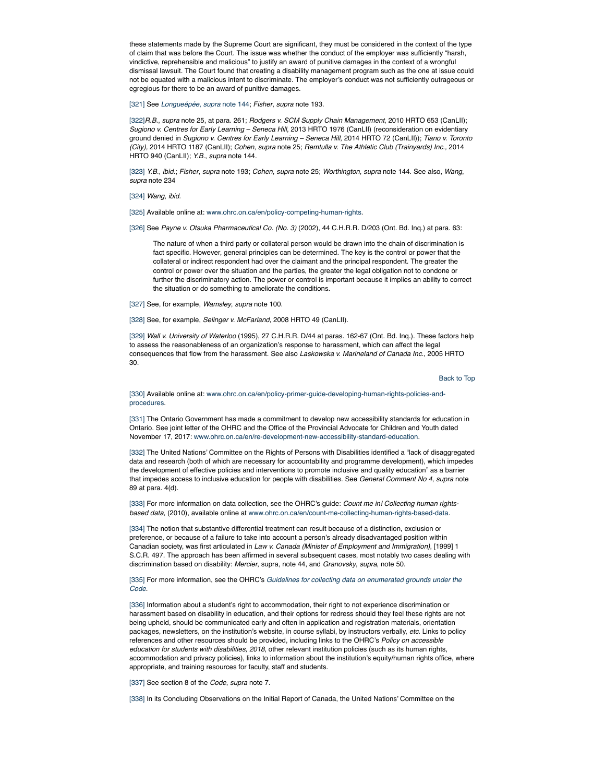these statements made by the Supreme Court are significant, they must be considered in the context of the type of claim that was before the Court. The issue was whether the conduct of the employer was sufficiently "harsh, vindictive, reprehensible and malicious" to justify an award of punitive damages in the context of a wrongful dismissal lawsuit. The Court found that creating a disability management program such as the one at issue could not be equated with a malicious intent to discriminate. The employer's conduct was not sufficiently outrageous or egregious for there to be an award of punitive damages.

[321] See *Longueépée*, *supra* note 144; *Fisher*, *supra* note 193.

[322]*R.B.*, *supra* note 25, at para. 261; *Rodgers v. SCM Supply Chain Management*, 2010 HRTO 653 (CanLII); *Sugiono v. Centres for Early Learning – Seneca Hill*, 2013 HRTO 1976 (CanLII) (reconsideration on evidentiary ground denied in *Sugiono v. Centres for Early Learning – Seneca Hill*, 2014 HRTO 72 (CanLII)); *Tiano v. Toronto (City),* 2014 HRTO 1187 (CanLII); *Cohen*, *supra* note 25; *Remtulla v. The Athletic Club (Trainyards) Inc.,* 2014 HRTO 940 (CanLII); *Y.B.*, *supra* note 144.

[323] *Y.B.*, *ibid.*; *Fisher*, *supra* note 193; *Cohen*, *supra* note 25; *Worthington*, *supra* note 144. See also, *Wang*, *supra* note 234

[324] *Wang*, *ibid.*

[325] Available online at: www.ohrc.on.ca/en/policy-competing-human-rights.

[326] See Payne v. Otsuka Pharmaceutical Co. (No. 3) (2002), 44 C.H.R.R. D/203 (Ont. Bd. Inq.) at para. 63:

The nature of when a third party or collateral person would be drawn into the chain of discrimination is fact specific. However, general principles can be determined. The key is the control or power that the collateral or indirect respondent had over the claimant and the principal respondent. The greater the control or power over the situation and the parties, the greater the legal obligation not to condone or further the discriminatory action. The power or control is important because it implies an ability to correct the situation or do something to ameliorate the conditions.

[327] See, for example, *Wamsley*, *supra* note 100.

[328] See, for example, *Selinger v. McFarland*, 2008 HRTO 49 (CanLII).

[329] *Wall v. University of Waterloo* (1995), 27 C.H.R.R. D/44 at paras. 162-67 (Ont. Bd. Inq.). These factors help to assess the reasonableness of an organization's response to harassment, which can affect the legal consequences that flow from the harassment. See also *Laskowska v. Marineland of Canada Inc.*, 2005 HRTO 30.

Back to Top

[330] Available online at: www.ohrc.on.ca/en/policy-primer-guide-developing-human-rights-policies-andprocedures.

[331] The Ontario Government has made a commitment to develop new accessibility standards for education in Ontario. See joint letter of the OHRC and the Office of the Provincial Advocate for Children and Youth dated November 17, 2017: www.ohrc.on.ca/en/re-development-new-accessibility-standard-education.

[332] The United Nations' Committee on the Rights of Persons with Disabilities identified a "lack of disaggregated data and research (both of which are necessary for accountability and programme development), which impedes the development of effective policies and interventions to promote inclusive and quality education" as a barrier that impedes access to inclusive education for people with disabilities. See *General Comment No 4*, *supra* note 89 at para. 4(d).

[333] For more information on data collection, see the OHRC's guide: *Count me in! Collecting human rightsbased data*, (2010), available online at www.ohrc.on.ca/en/count-me-collecting-human-rights-based-data.

[334] The notion that substantive differential treatment can result because of a distinction, exclusion or preference, or because of a failure to take into account a person's already disadvantaged position within Canadian society, was first articulated in *Law v. Canada (Minister of Employment and Immigration)*, [1999] 1 S.C.R. 497. The approach has been affirmed in several subsequent cases, most notably two cases dealing with discrimination based on disability: *Mercier*, supra, note 44, and *Granovsky*, *supra*, note 50.

## [335] For more information, see the OHRC's *Guidelines for collecting data on enumerated grounds under the Code*.

[336] Information about a student's right to accommodation, their right to not experience discrimination or harassment based on disability in education, and their options for redress should they feel these rights are not being upheld, should be communicated early and often in application and registration materials, orientation packages, newsletters, on the institution's website, in course syllabi, by instructors verbally, *etc.* Links to policy references and other resources should be provided, including links to the OHRC's *Policy on accessible education for students with disabilities, 2018*, other relevant institution policies (such as its human rights, accommodation and privacy policies), links to information about the institution's equity/human rights office, where appropriate, and training resources for faculty, staff and students.

[337] See section 8 of the *Code*, *supra* note 7.

[338] In its Concluding Observations on the Initial Report of Canada, the United Nations' Committee on the